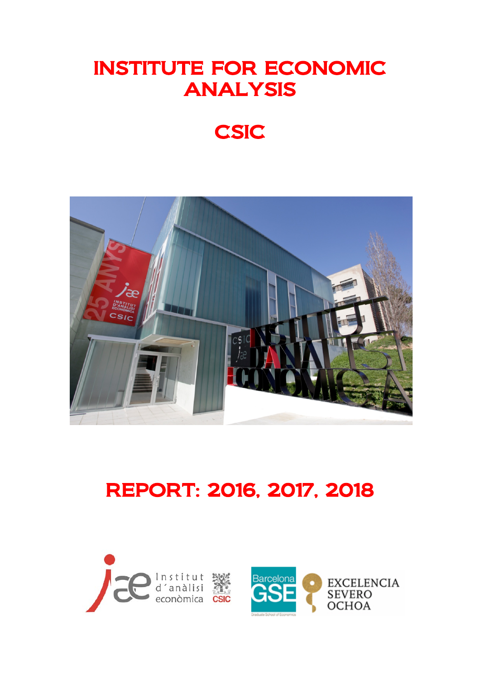# INSTITUTE FOR ECONOMIC ANALYSIS

# CSIC



# REPORT: 2016, 2017, 2018



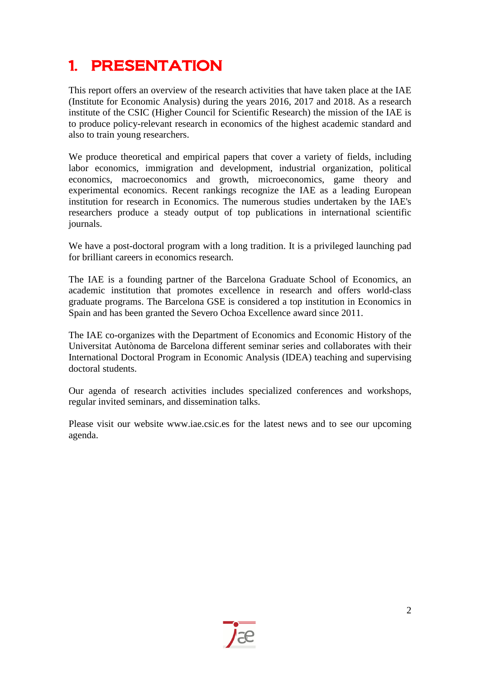# 1. PRESENTATION

This report offers an overview of the research activities that have taken place at the IAE (Institute for Economic Analysis) during the years 2016, 2017 and 2018. As a research institute of the CSIC (Higher Council for Scientific Research) the mission of the IAE is to produce policy-relevant research in economics of the highest academic standard and also to train young researchers.

We produce theoretical and empirical papers that cover a variety of fields, including labor economics, immigration and development, industrial organization, political economics, macroeconomics and growth, microeconomics, game theory and experimental economics. Recent rankings recognize the IAE as a leading European institution for research in Economics. The numerous studies undertaken by the IAE's researchers produce a steady output of top publications in international scientific journals.

We have a post-doctoral program with a long tradition. It is a privileged launching pad for brilliant careers in economics research.

The IAE is a founding partner of the Barcelona Graduate School of Economics, an academic institution that promotes excellence in research and offers world-class graduate programs. The Barcelona GSE is considered a top institution in Economics in Spain and has been granted the Severo Ochoa Excellence award since 2011.

The IAE co-organizes with the Department of Economics and Economic History of the Universitat Autònoma de Barcelona different seminar series and collaborates with their International Doctoral Program in Economic Analysis (IDEA) teaching and supervising doctoral students.

Our agenda of research activities includes specialized conferences and workshops, regular invited seminars, and dissemination talks.

Please visit our website www.iae.csic.es for the latest news and to see our upcoming agenda.

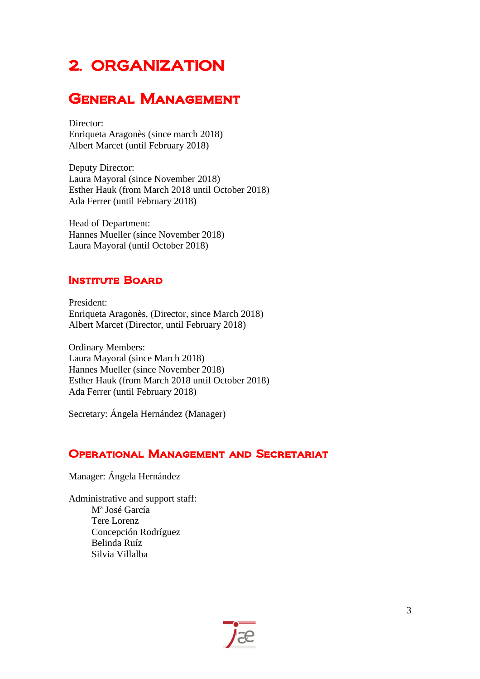# 2. ORGANIZATION

# General Management

Director: Enriqueta Aragonès (since march 2018) Albert Marcet (until February 2018)

Deputy Director: Laura Mayoral (since November 2018) Esther Hauk (from March 2018 until October 2018) Ada Ferrer (until February 2018)

Head of Department: Hannes Mueller (since November 2018) Laura Mayoral (until October 2018)

# **INSTITUTE BOARD**

President: Enriqueta Aragonès, (Director, since March 2018) Albert Marcet (Director, until February 2018)

Ordinary Members: Laura Mayoral (since March 2018) Hannes Mueller (since November 2018) Esther Hauk (from March 2018 until October 2018) Ada Ferrer (until February 2018)

Secretary: Ángela Hernández (Manager)

# Operational Management and Secretariat

Manager: Ángela Hernández

Administrative and support staff: Mª José García Tere Lorenz Concepción Rodríguez Belinda Ruíz Silvia Villalba

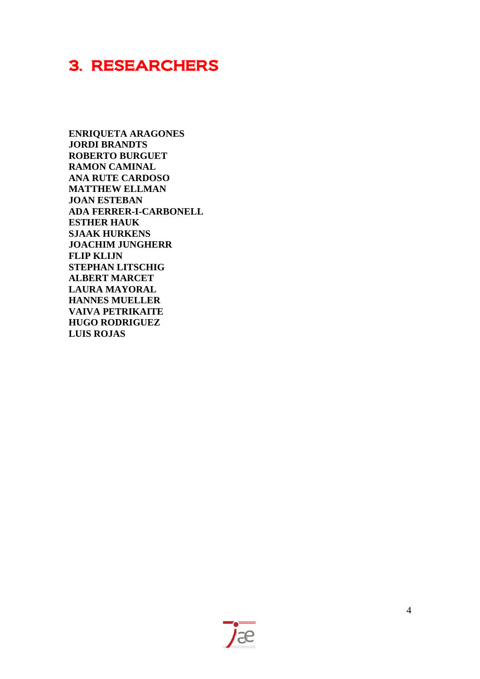# 3. RESEARCHERS

**ENRIQUETA ARAGONES JORDI BRANDTS ROBERTO BURGUET RAMON CAMINAL ANA RUTE CARDOSO MATTHEW ELLMAN JOAN ESTEBAN ADA FERRER-I-CARBONELL ESTHER HAUK SJAAK HURKENS JOACHIM JUNGHERR FLIP KLIJN STEPHAN LITSCHIG ALBERT MARCET LAURA MAYORAL HANNES MUELLER VAIVA PETRIKAITE HUGO RODRIGUEZ LUIS ROJAS**

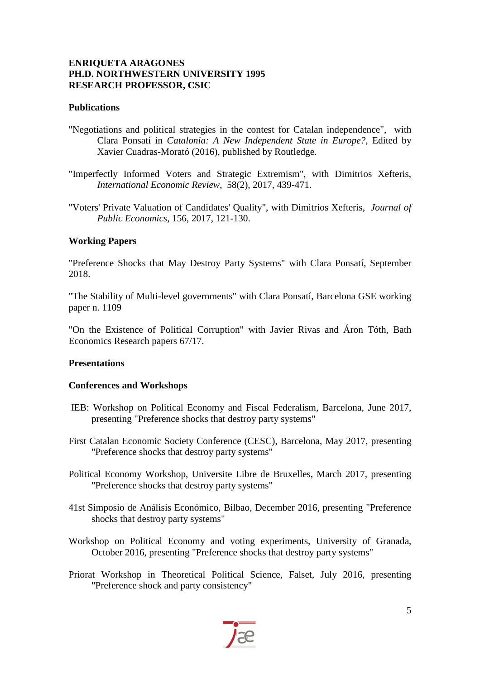# **ENRIQUETA ARAGONES PH.D. NORTHWESTERN UNIVERSITY 1995 RESEARCH PROFESSOR, CSIC**

#### **Publications**

- "Negotiations and political strategies in the contest for Catalan independence", with Clara Ponsatí in *Catalonia: A New Independent State in Europe?*, Edited by Xavier Cuadras-Morató (2016), published by Routledge.
- "Imperfectly Informed Voters and Strategic Extremism", with Dimitrios Xefteris, *International Economic Review*, 58(2), 2017, 439-471.
- "Voters' Private Valuation of Candidates' Quality", with Dimitrios Xefteris, *Journal of Public Economics*, 156, 2017, 121-130.

# **Working Papers**

"Preference Shocks that May Destroy Party Systems" with Clara Ponsatí, September 2018.

"The Stability of Multi-level governments" with Clara Ponsatí, Barcelona GSE working paper n. 1109

"On the Existence of Political Corruption" with Javier Rivas and Áron Tóth, Bath Economics Research papers 67/17.

#### **Presentations**

#### **Conferences and Workshops**

- IEB: Workshop on Political Economy and Fiscal Federalism, Barcelona, June 2017, presenting "Preference shocks that destroy party systems"
- First Catalan Economic Society Conference (CESC), Barcelona, May 2017, presenting "Preference shocks that destroy party systems"
- Political Economy Workshop, Universite Libre de Bruxelles, March 2017, presenting "Preference shocks that destroy party systems"
- 41st Simposio de Análisis Económico, Bilbao, December 2016, presenting "Preference shocks that destroy party systems"
- Workshop on Political Economy and voting experiments, University of Granada, October 2016, presenting "Preference shocks that destroy party systems"
- Priorat Workshop in Theoretical Political Science, Falset, July 2016, presenting "Preference shock and party consistency"

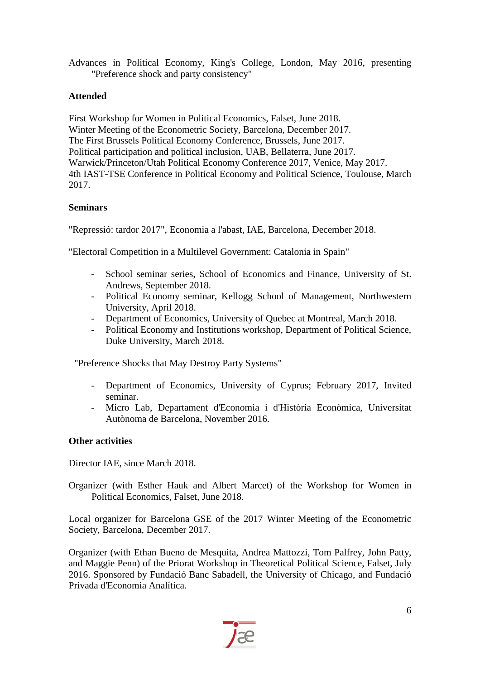Advances in Political Economy, King's College, London, May 2016, presenting "Preference shock and party consistency"

# **Attended**

First Workshop for Women in Political Economics, Falset, June 2018. Winter Meeting of the Econometric Society, Barcelona, December 2017. The First Brussels Political Economy Conference, Brussels, June 2017. Political participation and political inclusion, UAB, Bellaterra, June 2017. Warwick/Princeton/Utah Political Economy Conference 2017, Venice, May 2017. 4th IAST-TSE Conference in Political Economy and Political Science, Toulouse, March 2017.

# **Seminars**

"Repressió: tardor 2017", Economia a l'abast, IAE, Barcelona, December 2018.

"Electoral Competition in a Multilevel Government: Catalonia in Spain"

- School seminar series, School of Economics and Finance, University of St. Andrews, September 2018.
- Political Economy seminar, Kellogg School of Management, Northwestern University, April 2018.
- Department of Economics, University of Quebec at Montreal, March 2018.
- Political Economy and Institutions workshop, Department of Political Science, Duke University, March 2018.

"Preference Shocks that May Destroy Party Systems"

- Department of Economics, University of Cyprus; February 2017, Invited seminar.
- Micro Lab, Departament d'Economia i d'Història Econòmica, Universitat Autònoma de Barcelona, November 2016.

# **Other activities**

Director IAE, since March 2018.

Organizer (with Esther Hauk and Albert Marcet) of the Workshop for Women in Political Economics, Falset, June 2018.

Local organizer for Barcelona GSE of the 2017 Winter Meeting of the Econometric Society, Barcelona, December 2017.

Organizer (with Ethan Bueno de Mesquita, Andrea Mattozzi, Tom Palfrey, John Patty, and Maggie Penn) of the Priorat Workshop in Theoretical Political Science, Falset, July 2016. Sponsored by Fundació Banc Sabadell, the University of Chicago, and Fundació Privada d'Economia Analítica.

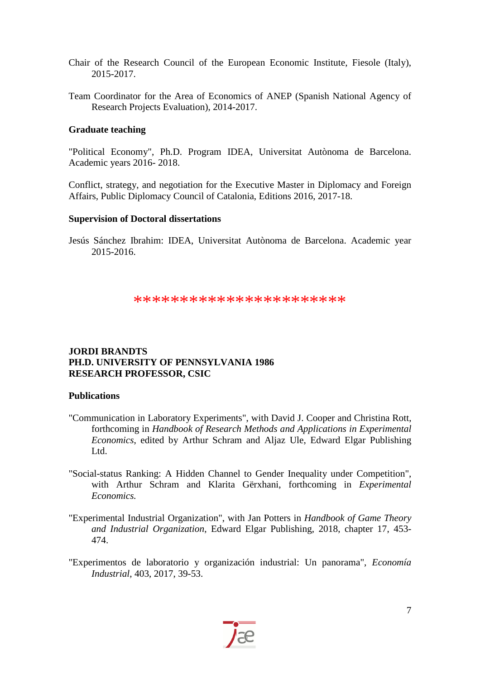- Chair of the Research Council of the European Economic Institute, Fiesole (Italy), 2015-2017.
- Team Coordinator for the Area of Economics of ANEP (Spanish National Agency of Research Projects Evaluation), 2014-2017.

#### **Graduate teaching**

"Political Economy", Ph.D. Program IDEA, Universitat Autònoma de Barcelona. Academic years 2016- 2018.

Conflict, strategy, and negotiation for the Executive Master in Diplomacy and Foreign Affairs, Public Diplomacy Council of Catalonia, Editions 2016, 2017-18.

#### **Supervision of Doctoral dissertations**

Jesús Sánchez Ibrahim: IDEA, Universitat Autònoma de Barcelona. Academic year 2015-2016.

\*\*\*\*\*\*\*\*\*\*\*\*\*\*\*\*\*\*\*\*

# **JORDI BRANDTS PH.D. UNIVERSITY OF PENNSYLVANIA 1986 RESEARCH PROFESSOR, CSIC**

#### **Publications**

- "Communication in Laboratory Experiments", with David J. Cooper and Christina Rott, forthcoming in *Handbook of Research Methods and Applications in Experimental Economics*, edited by Arthur Schram and Aljaz Ule, Edward Elgar Publishing Ltd.
- "Social-status Ranking: A Hidden Channel to Gender Inequality under Competition", with Arthur Schram and Klarita Gërxhani, forthcoming in *Experimental Economics.*
- "Experimental Industrial Organization", with Jan Potters in *Handbook of Game Theory and Industrial Organization*, Edward Elgar Publishing, 2018, chapter 17, 453- 474.
- "Experimentos de laboratorio y organización industrial: Un panorama", *Economía Industrial*, 403, 2017, 39-53.

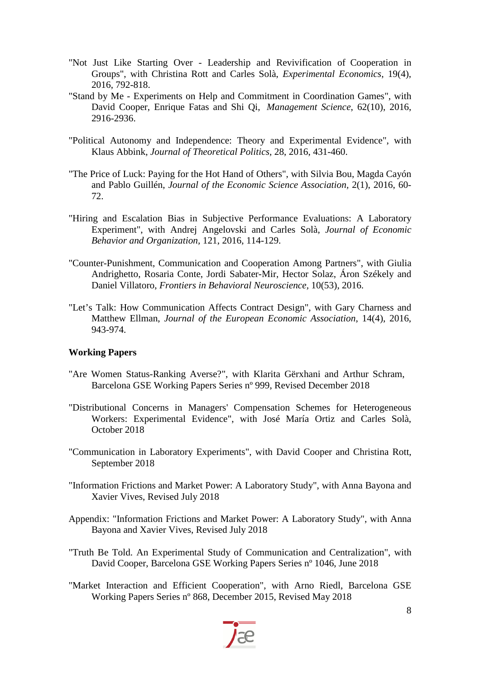- "Not Just Like Starting Over Leadership and Revivification of Cooperation in Groups", with Christina Rott and Carles Solà, *Experimental Economics*, 19(4), 2016, 792-818.
- "Stand by Me Experiments on Help and Commitment in Coordination Games", with David Cooper, Enrique Fatas and Shi Qi, *Management Science*, 62(10), 2016, 2916-2936.
- "Political Autonomy and Independence: Theory and Experimental Evidence", with Klaus Abbink, *Journal of Theoretical Politics,* 28, 2016, 431-460.
- "The Price of Luck: Paying for the Hot Hand of Others", with Silvia Bou, Magda Cayón and Pablo Guillén, *Journal of the Economic Science Association,* 2(1), 2016, 60- 72.
- "Hiring and Escalation Bias in Subjective Performance Evaluations: A Laboratory Experiment", with Andrej Angelovski and Carles Solà, *Journal of Economic Behavior and Organization,* 121, 2016, 114-129.
- "Counter-Punishment, Communication and Cooperation Among Partners", with Giulia Andrighetto, Rosaria Conte, Jordi Sabater-Mir, Hector Solaz, Áron Székely and Daniel Villatoro, *Frontiers in Behavioral Neuroscience,* 10(53), 2016.
- "Let's Talk: How Communication Affects Contract Design", with Gary Charness and Matthew Ellman, *Journal of the European Economic Association*, 14(4), 2016, 943-974.

#### **Working Papers**

- "Are Women Status-Ranking Averse?", with Klarita Gërxhani and Arthur Schram, Barcelona GSE Working Papers Series nº 999, Revised December 2018
- "Distributional Concerns in Managers' Compensation Schemes for Heterogeneous Workers: Experimental Evidence", with José María Ortiz and Carles Solà, October 2018
- "Communication in Laboratory Experiments", with David Cooper and Christina Rott, September 2018
- "Information Frictions and Market Power: A Laboratory Study", with Anna Bayona and Xavier Vives, Revised July 2018
- Appendix: "Information Frictions and Market Power: A Laboratory Study", with Anna Bayona and Xavier Vives, Revised July 2018
- "Truth Be Told. An Experimental Study of Communication and Centralization", with David Cooper, Barcelona GSE Working Papers Series nº 1046, June 2018
- "Market Interaction and Efficient Cooperation", with Arno Riedl, Barcelona GSE Working Papers Series nº 868, December 2015, Revised May 2018

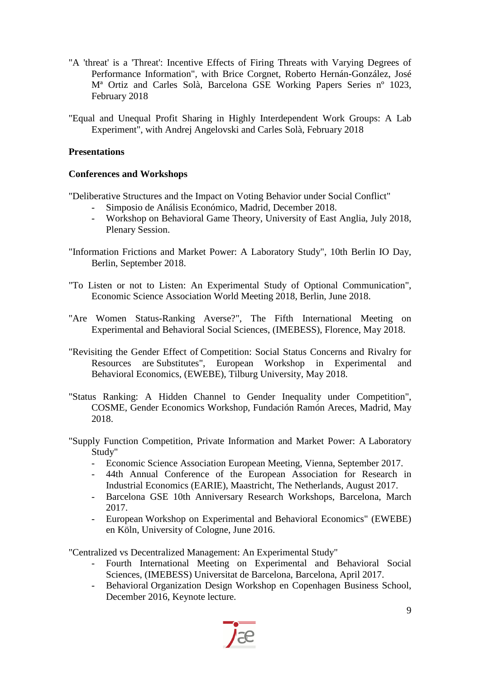- "A 'threat' is a 'Threat': Incentive Effects of Firing Threats with Varying Degrees of Performance Information", with Brice Corgnet, Roberto Hernán-González, José Mª Ortiz and Carles Solà, Barcelona GSE Working Papers Series nº 1023, February 2018
- "Equal and Unequal Profit Sharing in Highly Interdependent Work Groups: A Lab Experiment", with Andrej Angelovski and Carles Solà, February 2018

# **Presentations**

# **Conferences and Workshops**

"Deliberative Structures and the Impact on Voting Behavior under Social Conflict"

- Simposio de Análisis Económico, Madrid, December 2018.<br>- Workshop on Behavioral Game Theory, University of East
- Workshop on Behavioral Game Theory, University of East Anglia, July 2018, Plenary Session.
- "Information Frictions and Market Power: A Laboratory Study", 10th Berlin IO Day, Berlin, September 2018.
- "To Listen or not to Listen: An Experimental Study of Optional Communication", Economic Science Association World Meeting 2018, Berlin, June 2018.
- "Are Women Status-Ranking Averse?", The Fifth International Meeting on Experimental and Behavioral Social Sciences, (IMEBESS), Florence, May 2018.
- "Revisiting the Gender Effect of Competition: Social Status Concerns and Rivalry for Resources are Substitutes", European Workshop in Experimental and Behavioral Economics, (EWEBE), Tilburg University, May 2018.
- "Status Ranking: A Hidden Channel to Gender Inequality under Competition", COSME, Gender Economics Workshop, Fundación Ramón Areces, Madrid, May 2018.
- "Supply Function Competition, Private Information and Market Power: A Laboratory Study"
	- Economic Science Association European Meeting, Vienna, September 2017.
	- 44th Annual Conference of the European Association for Research in Industrial Economics (EARIE), Maastricht, The Netherlands, August 2017.
	- Barcelona GSE 10th Anniversary Research Workshops, Barcelona, March 2017.
	- European Workshop on Experimental and Behavioral Economics" (EWEBE) en Köln, University of Cologne, June 2016.

"Centralized vs Decentralized Management: An Experimental Study"

- Fourth International Meeting on Experimental and Behavioral Social Sciences, (IMEBESS) Universitat de Barcelona, Barcelona, April 2017.
- Behavioral Organization Design Workshop en Copenhagen Business School, December 2016, Keynote lecture.

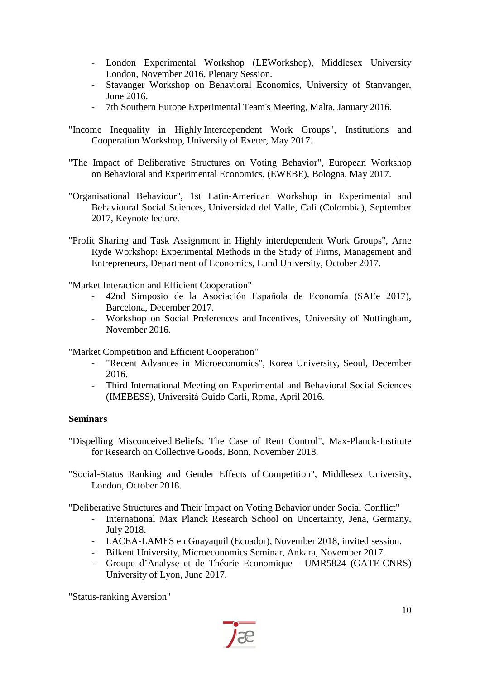- London Experimental Workshop (LEWorkshop), Middlesex University London, November 2016, Plenary Session.
- Stavanger Workshop on Behavioral Economics, University of Stanvanger, June 2016.
- 7th Southern Europe Experimental Team's Meeting, Malta, January 2016.
- "Income Inequality in Highly Interdependent Work Groups", Institutions and Cooperation Workshop, University of Exeter, May 2017.
- "The Impact of Deliberative Structures on Voting Behavior", European Workshop on Behavioral and Experimental Economics, (EWEBE), Bologna, May 2017.
- "Organisational Behaviour", 1st Latin-American Workshop in Experimental and Behavioural Social Sciences, Universidad del Valle, Cali (Colombia), September 2017, Keynote lecture.
- "Profit Sharing and Task Assignment in Highly interdependent Work Groups", Arne Ryde Workshop: Experimental Methods in the Study of Firms, Management and Entrepreneurs, Department of Economics, Lund University, October 2017.

"Market Interaction and Efficient Cooperation"

- 42nd Simposio de la Asociación Española de Economía (SAEe 2017), Barcelona, December 2017.
- Workshop on Social Preferences and Incentives, University of Nottingham, November 2016.

"Market Competition and Efficient Cooperation"

- "Recent Advances in Microeconomics", Korea University, Seoul, December 2016.
- Third International Meeting on Experimental and Behavioral Social Sciences (IMEBESS), Universitá Guido Carli, Roma, April 2016.

# **Seminars**

- "Dispelling Misconceived Beliefs: The Case of Rent Control", Max-Planck-Institute for Research on Collective Goods, Bonn, November 2018.
- "Social-Status Ranking and Gender Effects of Competition", Middlesex University, London, October 2018.

"Deliberative Structures and Their Impact on Voting Behavior under Social Conflict"

- International Max Planck Research School on Uncertainty, Jena, Germany, July 2018.
- LACEA-LAMES en Guayaquil (Ecuador), November 2018, invited session.
- Bilkent University, Microeconomics Seminar, Ankara, November 2017.
- Groupe d'Analyse et de Théorie Economique UMR5824 (GATE-CNRS) University of Lyon, June 2017.

"Status-ranking Aversion"

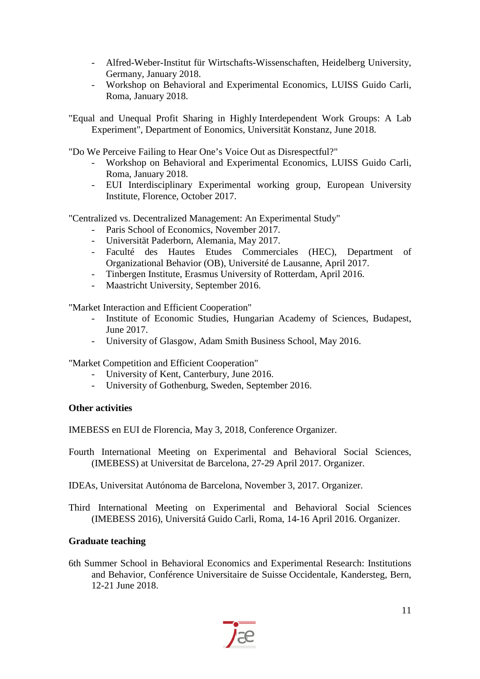- Alfred-Weber-Institut für Wirtschafts-Wissenschaften, Heidelberg University, Germany, January 2018.
- Workshop on Behavioral and Experimental Economics, LUISS Guido Carli, Roma, January 2018.
- "Equal and Unequal Profit Sharing in Highly Interdependent Work Groups: A Lab Experiment", Department of Eonomics*,* Universität Konstanz*,* June 2018.

"Do We Perceive Failing to Hear One's Voice Out as Disrespectful?"

- Workshop on Behavioral and Experimental Economics, LUISS Guido Carli, Roma, January 2018.
- EUI Interdisciplinary Experimental working group, European University Institute, Florence, October 2017.

"Centralized vs. Decentralized Management: An Experimental Study"

- Paris School of Economics, November 2017.
- Universität Paderborn, Alemania, May 2017.
- Faculté des Hautes Etudes Commerciales (HEC), Department of Organizational Behavior (OB), Université de Lausanne, April 2017.
- Tinbergen Institute, Erasmus University of Rotterdam, April 2016.
- Maastricht University, September 2016.

"Market Interaction and Efficient Cooperation"

- Institute of Economic Studies, Hungarian Academy of Sciences, Budapest, June 2017.
- University of Glasgow, Adam Smith Business School, May 2016.

"Market Competition and Efficient Cooperation"

- University of Kent, Canterbury, June 2016.
- University of Gothenburg, Sweden, September 2016.

#### **Other activities**

IMEBESS en EUI de Florencia, May 3, 2018, Conference Organizer.

- Fourth International Meeting on Experimental and Behavioral Social Sciences, (IMEBESS) at Universitat de Barcelona, 27-29 April 2017. Organizer.
- IDEAs, Universitat Autónoma de Barcelona, November 3, 2017. Organizer.
- Third International Meeting on Experimental and Behavioral Social Sciences (IMEBESS 2016), Universitá Guido Carli, Roma, 14-16 April 2016. Organizer.

#### **Graduate teaching**

6th Summer School in Behavioral Economics and Experimental Research: Institutions and Behavior, Conférence Universitaire de Suisse Occidentale, Kandersteg, Bern, 12-21 June 2018.

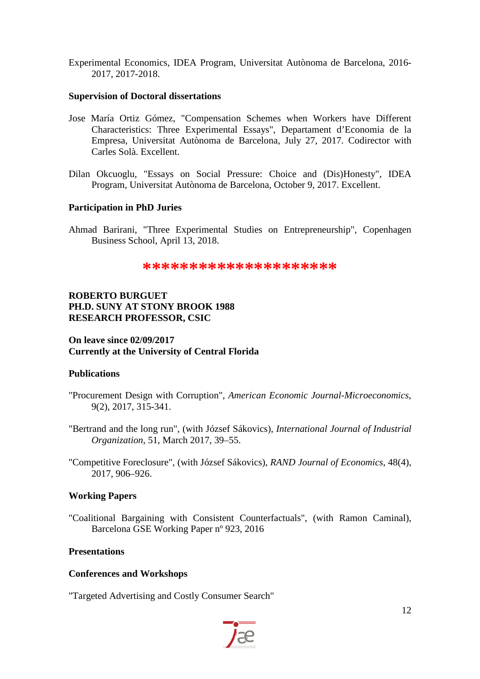Experimental Economics, IDEA Program, Universitat Autònoma de Barcelona, 2016- 2017, 2017-2018.

#### **Supervision of Doctoral dissertations**

- Jose María Ortiz Gómez, "Compensation Schemes when Workers have Different Characteristics: Three Experimental Essays", Departament d'Economia de la Empresa, Universitat Autònoma de Barcelona, July 27, 2017. Codirector with Carles Solà. Excellent.
- Dilan Okcuoglu, "Essays on Social Pressure: Choice and (Dis)Honesty", IDEA Program, Universitat Autònoma de Barcelona, October 9, 2017. Excellent.

# **Participation in PhD Juries**

Ahmad Barirani, "Three Experimental Studies on Entrepreneurship", Copenhagen Business School, April 13, 2018.

**\*\*\*\*\*\*\*\*\*\*\*\*\*\*\*\*\*\*\*\*\***

# **ROBERTO BURGUET PH.D. SUNY AT STONY BROOK 1988 RESEARCH PROFESSOR, CSIC**

# **On leave since 02/09/2017 Currently at the University of Central Florida**

#### **Publications**

- "Procurement Design with Corruption", *American Economic Journal-Microeconomics*, 9(2), 2017, 315-341.
- "Bertrand and the long run", (with József Sákovics), *International Journal of Industrial Organization*, 51, March 2017, 39–55.
- "Competitive Foreclosure", (with József Sákovics), *RAND Journal of Economics*, 48(4), 2017, 906–926.

#### **Working Papers**

"Coalitional Bargaining with Consistent Counterfactuals", (with Ramon Caminal), Barcelona GSE Working Paper nº 923, 2016

# **Presentations**

#### **Conferences and Workshops**

"Targeted Advertising and Costly Consumer Search"

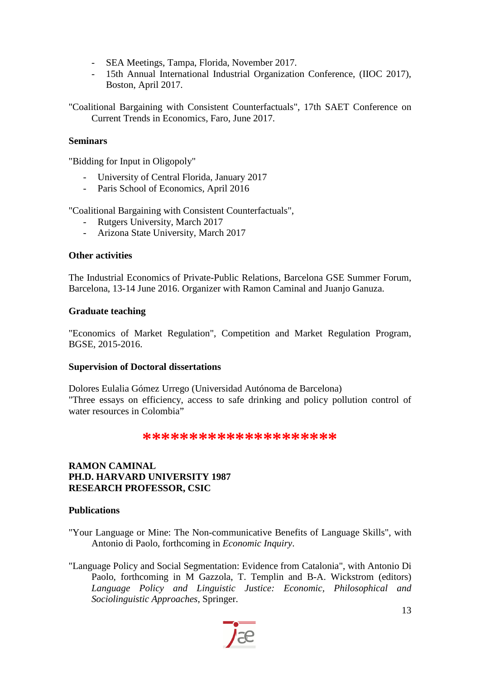- SEA Meetings, Tampa, Florida, November 2017.
- 15th Annual International Industrial Organization Conference, (IIOC 2017), Boston, April 2017.

"Coalitional Bargaining with Consistent Counterfactuals", 17th SAET Conference on Current Trends in Economics, Faro, June 2017.

# **Seminars**

"Bidding for Input in Oligopoly"

- University of Central Florida, January 2017
- Paris School of Economics, April 2016

"Coalitional Bargaining with Consistent Counterfactuals",

- Rutgers University, March 2017
- Arizona State University, March 2017

# **Other activities**

The Industrial Economics of Private-Public Relations, Barcelona GSE Summer Forum, Barcelona, 13-14 June 2016. Organizer with Ramon Caminal and Juanjo Ganuza.

# **Graduate teaching**

"Economics of Market Regulation", Competition and Market Regulation Program, BGSE, 2015-2016.

#### **Supervision of Doctoral dissertations**

Dolores Eulalia Gómez Urrego (Universidad Autónoma de Barcelona) "Three essays on efficiency, access to safe drinking and policy pollution control of water resources in Colombia"

# \*\*\*\*\*\*\*\*\*\*\*\*\*\*\*\*\*\*

# **RAMON CAMINAL PH.D. HARVARD UNIVERSITY 1987 RESEARCH PROFESSOR, CSIC**

#### **Publications**

- "Your Language or Mine: The Non-communicative Benefits of Language Skills", with Antonio di Paolo, forthcoming in *Economic Inquiry*.
- "Language Policy and Social Segmentation: Evidence from Catalonia", with Antonio Di Paolo, forthcoming in M Gazzola, T. Templin and B-A. Wickstrom (editors) *Language Policy and Linguistic Justice: Economic, Philosophical and Sociolinguistic Approaches*, Springer.

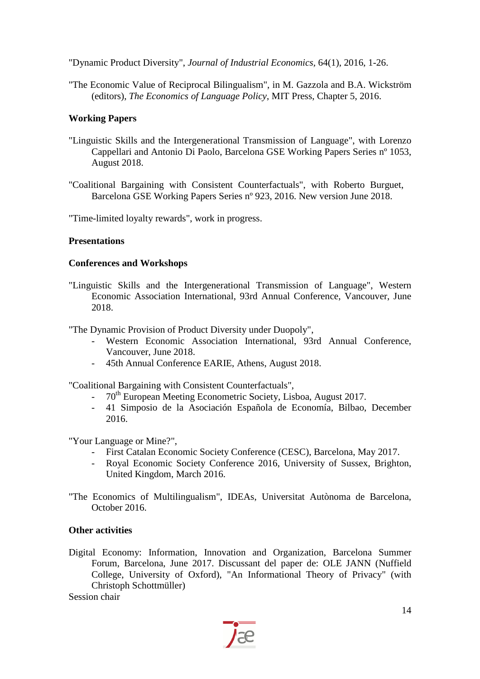"Dynamic Product Diversity", *Journal of Industrial Economics,* 64(1), 2016, 1-26.

"The Economic Value of Reciprocal Bilingualism", in M. Gazzola and B.A. Wickström (editors), *The Economics of Language Policy*, MIT Press, Chapter 5, 2016.

# **Working Papers**

- "Linguistic Skills and the Intergenerational Transmission of Language", with Lorenzo Cappellari and Antonio Di Paolo, Barcelona GSE Working Papers Series nº 1053, August 2018.
- "Coalitional Bargaining with Consistent Counterfactuals", with Roberto Burguet, Barcelona GSE Working Papers Series nº 923, 2016. New version June 2018.

"Time-limited loyalty rewards", work in progress.

# **Presentations**

# **Conferences and Workshops**

"Linguistic Skills and the Intergenerational Transmission of Language", Western Economic Association International, 93rd Annual Conference, Vancouver, June 2018.

"The Dynamic Provision of Product Diversity under Duopoly",

- Western Economic Association International, 93rd Annual Conference, Vancouver, June 2018.
- 45th Annual Conference EARIE, Athens, August 2018.

"Coalitional Bargaining with Consistent Counterfactuals",

- 70<sup>th</sup> European Meeting Econometric Society, Lisboa, August 2017.
- 41 Simposio de la Asociación Española de Economía, Bilbao, December 2016.

"Your Language or Mine?",

- First Catalan Economic Society Conference (CESC), Barcelona, May 2017.
- Royal Economic Society Conference 2016, University of Sussex, Brighton, United Kingdom, March 2016.
- "The Economics of Multilingualism", IDEAs, Universitat Autònoma de Barcelona, October 2016.

#### **Other activities**

Digital Economy: Information, Innovation and Organization, Barcelona Summer Forum, Barcelona, June 2017. Discussant del paper de: OLE JANN (Nuffield College, University of Oxford), "An Informational Theory of Privacy" (with Christoph Schottmüller)

Session chair

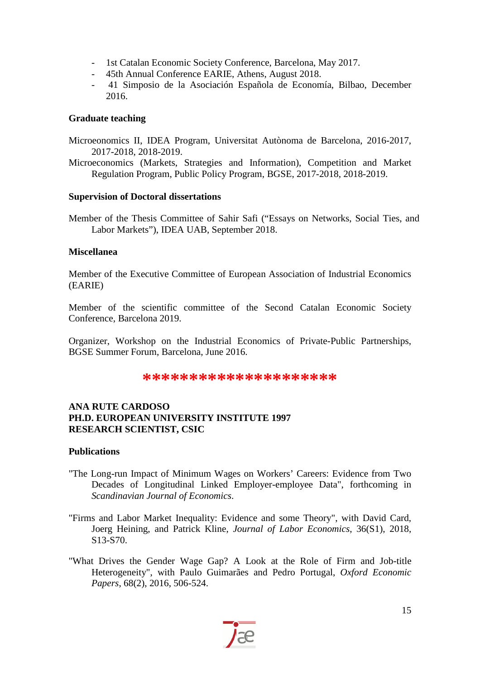- 1st Catalan Economic Society Conference, Barcelona, May 2017.
- 45th Annual Conference EARIE, Athens, August 2018.
- 41 Simposio de la Asociación Española de Economía, Bilbao, December 2016.

#### **Graduate teaching**

- Microeonomics II, IDEA Program, Universitat Autònoma de Barcelona, 2016-2017, 2017-2018, 2018-2019.
- Microeconomics (Markets, Strategies and Information), Competition and Market Regulation Program, Public Policy Program, BGSE, 2017-2018, 2018-2019.

#### **Supervision of Doctoral dissertations**

Member of the Thesis Committee of Sahir Safi ("Essays on Networks, Social Ties, and Labor Markets"), IDEA UAB, September 2018.

# **Miscellanea**

Member of the Executive Committee of European Association of Industrial Economics (EARIE)

Member of the scientific committee of the Second Catalan Economic Society Conference, Barcelona 2019.

Organizer, Workshop on the Industrial Economics of Private-Public Partnerships, BGSE Summer Forum, Barcelona, June 2016.

#### **\*\*\*\*\*\*\*\*\*\*\*\*\*\*\*\*\***

# **ANA RUTE CARDOSO PH.D. EUROPEAN UNIVERSITY INSTITUTE 1997 RESEARCH SCIENTIST, CSIC**

#### **Publications**

- "The Long-run Impact of Minimum Wages on Workers' Careers: Evidence from Two Decades of Longitudinal Linked Employer-employee Data", forthcoming in *Scandinavian Journal of Economics*.
- "Firms and Labor Market Inequality: Evidence and some Theory", with David Card, Joerg Heining, and Patrick Kline, *Journal of Labor Economics*, 36(S1), 2018, S13-S70.
- "What Drives the Gender Wage Gap? A Look at the Role of Firm and Job-title Heterogeneity", with Paulo Guimarães and Pedro Portugal, *Oxford Economic Papers*, 68(2), 2016, 506-524.

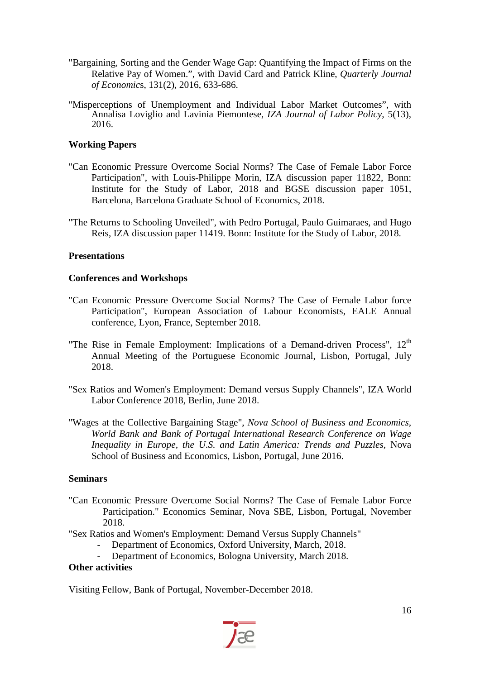- "Bargaining, Sorting and the Gender Wage Gap: Quantifying the Impact of Firms on the Relative Pay of Women.", with David Card and Patrick Kline, *Quarterly Journal of Economic*s, 131(2), 2016, 633-686.
- "Misperceptions of Unemployment and Individual Labor Market Outcomes", with Annalisa Loviglio and Lavinia Piemontese, *IZA Journal of Labor Policy*, 5(13), 2016.

# **Working Papers**

- "Can Economic Pressure Overcome Social Norms? The Case of Female Labor Force Participation", with Louis-Philippe Morin, IZA discussion paper 11822, Bonn: Institute for the Study of Labor, 2018 and BGSE discussion paper 1051, Barcelona, Barcelona Graduate School of Economics, 2018.
- "The Returns to Schooling Unveiled", with Pedro Portugal, Paulo Guimaraes, and Hugo Reis, IZA discussion paper 11419. Bonn: Institute for the Study of Labor, 2018.

#### **Presentations**

#### **Conferences and Workshops**

- "Can Economic Pressure Overcome Social Norms? The Case of Female Labor force Participation", European Association of Labour Economists, EALE Annual conference, Lyon, France, September 2018.
- "The Rise in Female Employment: Implications of a Demand-driven Process",  $12<sup>th</sup>$ Annual Meeting of the Portuguese Economic Journal, Lisbon, Portugal, July 2018.
- "Sex Ratios and Women's Employment: Demand versus Supply Channels", IZA World Labor Conference 2018, Berlin, June 2018.
- "Wages at the Collective Bargaining Stage", *Nova School of Business and Economics, World Bank and Bank of Portugal International Research Conference on Wage Inequality in Europe, the U.S. and Latin America: Trends and Puzzles*, Nova School of Business and Economics, Lisbon, Portugal, June 2016.

#### **Seminars**

- "Can Economic Pressure Overcome Social Norms? The Case of Female Labor Force Participation." Economics Seminar, Nova SBE, Lisbon, Portugal, November 2018.
- "Sex Ratios and Women's Employment: Demand Versus Supply Channels"
	- Department of Economics, Oxford University, March, 2018.
	- Department of Economics, Bologna University, March 2018.

#### **Other activities**

Visiting Fellow, Bank of Portugal, November-December 2018.

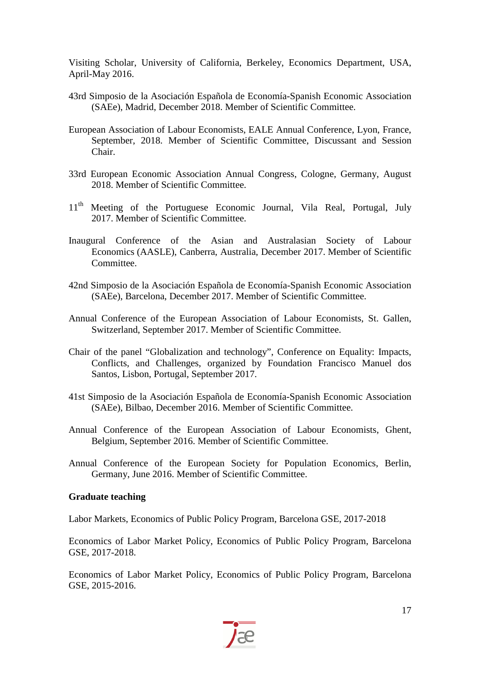Visiting Scholar, University of California, Berkeley, Economics Department, USA, April-May 2016.

- 43rd Simposio de la Asociación Española de Economía-Spanish Economic Association (SAEe), Madrid, December 2018. Member of Scientific Committee.
- European Association of Labour Economists, EALE Annual Conference, Lyon, France, September, 2018. Member of Scientific Committee, Discussant and Session Chair.
- 33rd European Economic Association Annual Congress, Cologne, Germany, August 2018. Member of Scientific Committee.
- 11<sup>th</sup> Meeting of the Portuguese Economic Journal, Vila Real, Portugal, July 2017. Member of Scientific Committee.
- Inaugural Conference of the Asian and Australasian Society of Labour Economics (AASLE), Canberra, Australia, December 2017. Member of Scientific Committee.
- 42nd Simposio de la Asociación Española de Economía-Spanish Economic Association (SAEe), Barcelona, December 2017. Member of Scientific Committee.
- Annual Conference of the European Association of Labour Economists, St. Gallen, Switzerland, September 2017. Member of Scientific Committee.
- Chair of the panel "Globalization and technology", Conference on Equality: Impacts, Conflicts, and Challenges, organized by Foundation Francisco Manuel dos Santos, Lisbon, Portugal, September 2017.
- 41st Simposio de la Asociación Española de Economía-Spanish Economic Association (SAEe), Bilbao, December 2016. Member of Scientific Committee.
- Annual Conference of the European Association of Labour Economists, Ghent, Belgium, September 2016. Member of Scientific Committee.
- Annual Conference of the European Society for Population Economics, Berlin, Germany, June 2016. Member of Scientific Committee.

#### **Graduate teaching**

Labor Markets, Economics of Public Policy Program, Barcelona GSE, 2017-2018

Economics of Labor Market Policy, Economics of Public Policy Program, Barcelona GSE, 2017-2018.

Economics of Labor Market Policy, Economics of Public Policy Program, Barcelona GSE, 2015-2016.

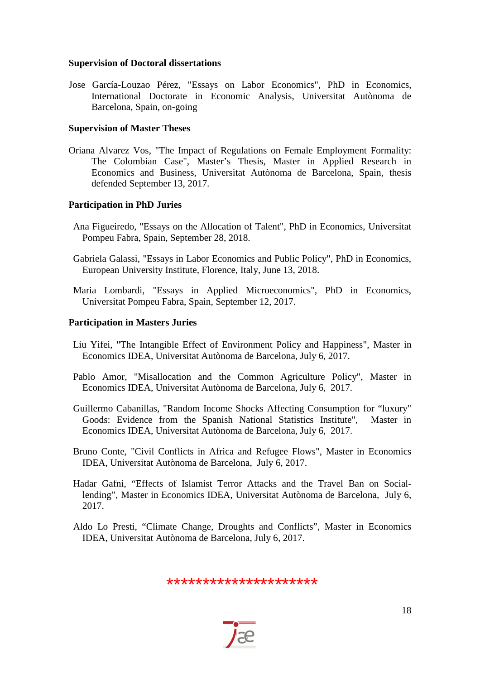#### **Supervision of Doctoral dissertations**

Jose García-Louzao Pérez, "Essays on Labor Economics", PhD in Economics, International Doctorate in Economic Analysis, Universitat Autònoma de Barcelona, Spain, on-going

# **Supervision of Master Theses**

Oriana Alvarez Vos, "The Impact of Regulations on Female Employment Formality: The Colombian Case", Master's Thesis, Master in Applied Research in Economics and Business, Universitat Autònoma de Barcelona, Spain, thesis defended September 13, 2017.

# **Participation in PhD Juries**

- Ana Figueiredo, "Essays on the Allocation of Talent", PhD in Economics, Universitat Pompeu Fabra, Spain, September 28, 2018.
- Gabriela Galassi, "Essays in Labor Economics and Public Policy", PhD in Economics, European University Institute, Florence, Italy, June 13, 2018.
- Maria Lombardi, "Essays in Applied Microeconomics", PhD in Economics, Universitat Pompeu Fabra, Spain, September 12, 2017.

# **Participation in Masters Juries**

- Liu Yifei, "The Intangible Effect of Environment Policy and Happiness", Master in Economics IDEA, Universitat Autònoma de Barcelona, July 6, 2017.
- Pablo Amor, "Misallocation and the Common Agriculture Policy", Master in Economics IDEA, Universitat Autònoma de Barcelona, July 6, 2017.
- Guillermo Cabanillas, "Random Income Shocks Affecting Consumption for "luxury" Goods: Evidence from the Spanish National Statistics Institute", Master in Economics IDEA, Universitat Autònoma de Barcelona, July 6, 2017.
- Bruno Conte, "Civil Conflicts in Africa and Refugee Flows", Master in Economics IDEA, Universitat Autònoma de Barcelona, July 6, 2017.
- Hadar Gafni, "Effects of Islamist Terror Attacks and the Travel Ban on Sociallending", Master in Economics IDEA, Universitat Autònoma de Barcelona, July 6, 2017.
- Aldo Lo Presti, "Climate Change, Droughts and Conflicts", Master in Economics IDEA, Universitat Autònoma de Barcelona, July 6, 2017.

\*\*\*\*\*\*\*\*\*\*\*\*\*\*\*\*\*\*\*\*\*

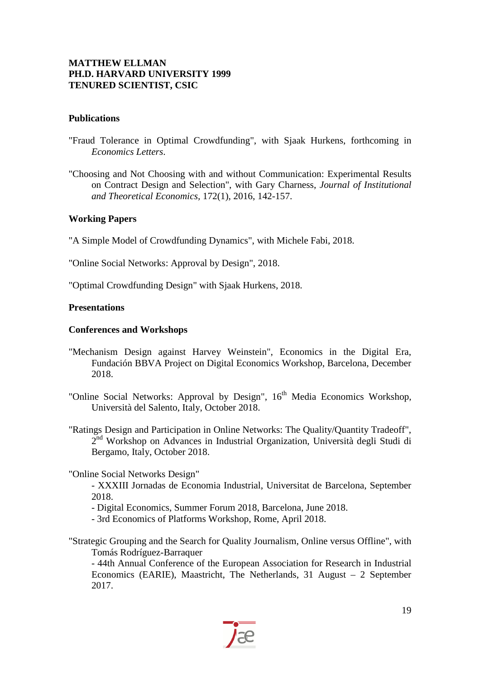# **MATTHEW ELLMAN PH.D. HARVARD UNIVERSITY 1999 TENURED SCIENTIST, CSIC**

# **Publications**

- "Fraud Tolerance in Optimal Crowdfunding", with Sjaak Hurkens, forthcoming in *Economics Letters*.
- "Choosing and Not Choosing with and without Communication: Experimental Results on Contract Design and Selection", with Gary Charness, *Journal of Institutional and Theoretical Economics,* 172(1), 2016, 142-157.

# **Working Papers**

"A Simple Model of Crowdfunding Dynamics", with Michele Fabi, 2018.

"Online Social Networks: Approval by Design", 2018.

"Optimal Crowdfunding Design" with Sjaak Hurkens, 2018.

# **Presentations**

# **Conferences and Workshops**

- "Mechanism Design against Harvey Weinstein", Economics in the Digital Era, Fundación BBVA Project on Digital Economics Workshop, Barcelona, December 2018.
- "Online Social Networks: Approval by Design", 16<sup>th</sup> Media Economics Workshop, Università del Salento, Italy, October 2018.
- "Ratings Design and Participation in Online Networks: The Quality/Quantity Tradeoff", 2nd Workshop on Advances in Industrial Organization, Università degli Studi di Bergamo, Italy, October 2018.

"Online Social Networks Design"

- XXXIII Jornadas de Economia Industrial, Universitat de Barcelona, September 2018.

- Digital Economics, Summer Forum 2018, Barcelona, June 2018.

- 3rd Economics of Platforms Workshop, Rome, April 2018.

"Strategic Grouping and the Search for Quality Journalism, Online versus Offline", with Tomás Rodríguez-Barraquer

- 44th Annual Conference of the European Association for Research in Industrial Economics (EARIE), Maastricht, The Netherlands, 31 August – 2 September 2017.

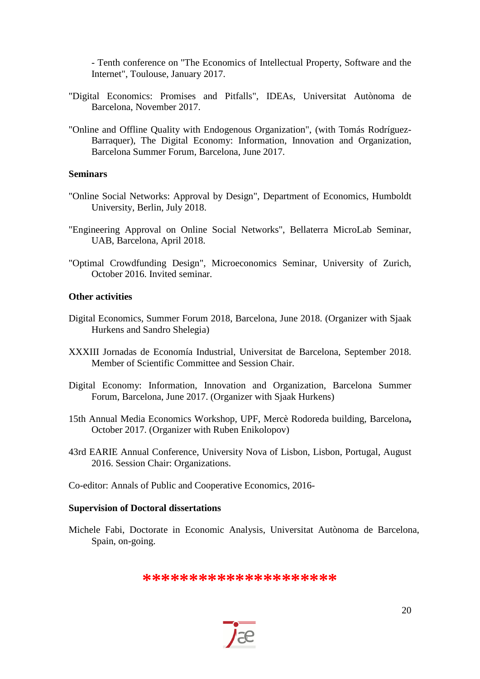- Tenth conference on "The Economics of Intellectual Property, Software and the Internet", Toulouse, January 2017.

- "Digital Economics: Promises and Pitfalls", IDEAs, Universitat Autònoma de Barcelona, November 2017.
- "Online and Offline Quality with Endogenous Organization", (with Tomás Rodríguez-Barraquer), The Digital Economy: Information, Innovation and Organization, Barcelona Summer Forum, Barcelona, June 2017.

# **Seminars**

- "Online Social Networks: Approval by Design", Department of Economics, Humboldt University, Berlin, July 2018.
- "Engineering Approval on Online Social Networks", Bellaterra MicroLab Seminar, UAB, Barcelona, April 2018.
- "Optimal Crowdfunding Design", Microeconomics Seminar, University of Zurich, October 2016. Invited seminar.

#### **Other activities**

- Digital Economics, Summer Forum 2018, Barcelona, June 2018. (Organizer with Sjaak Hurkens and Sandro Shelegia)
- XXXIII Jornadas de Economía Industrial, Universitat de Barcelona, September 2018. Member of Scientific Committee and Session Chair.
- Digital Economy: Information, Innovation and Organization, Barcelona Summer Forum, Barcelona, June 2017. (Organizer with Sjaak Hurkens)
- 15th Annual Media Economics Workshop, UPF, Mercè Rodoreda building, Barcelona**,**  October 2017. (Organizer with Ruben Enikolopov)
- 43rd EARIE Annual Conference, University Nova of Lisbon, Lisbon, Portugal, August 2016. Session Chair: Organizations.

Co-editor: Annals of Public and Cooperative Economics, 2016-

#### **Supervision of Doctoral dissertations**

Michele Fabi, Doctorate in Economic Analysis, Universitat Autònoma de Barcelona, Spain, on-going.

#### **\*\*\*\*\*\*\*\*\*\*\*\*\*\*\*\*\***

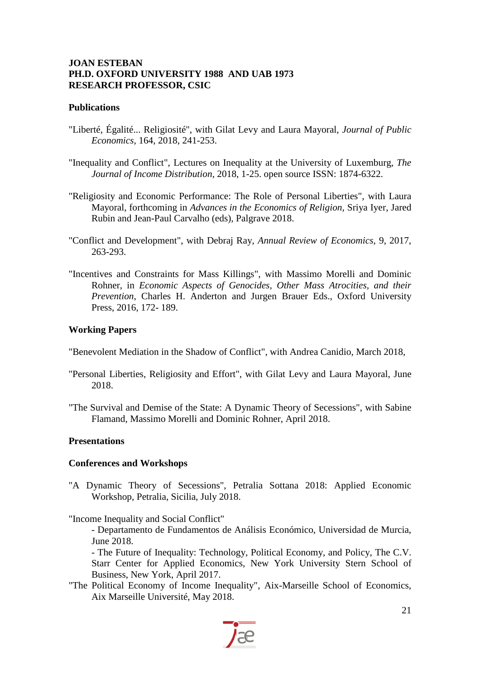# **JOAN ESTEBAN PH.D. OXFORD UNIVERSITY 1988 AND UAB 1973 RESEARCH PROFESSOR, CSIC**

#### **Publications**

- "Liberté, Égalité... Religiosité", with Gilat Levy and Laura Mayoral, *Journal of Public Economics,* 164, 2018, 241-253.
- "Inequality and Conflict", Lectures on Inequality at the University of Luxemburg, *The Journal of Income Distribution*, 2018, 1-25. open source ISSN: 1874-6322.
- "Religiosity and Economic Performance: The Role of Personal Liberties", with Laura Mayoral, forthcoming in *Advances in the Economics of Religion*, Sriya Iyer, Jared Rubin and Jean-Paul Carvalho (eds)*,* Palgrave 2018.
- "Conflict and Development", with Debraj Ray, *Annual Review of Economics*, 9, 2017, 263-293.
- "Incentives and Constraints for Mass Killings", with Massimo Morelli and Dominic Rohner, in *Economic Aspects of Genocides, Other Mass Atrocities, and their Prevention*, Charles H. Anderton and Jurgen Brauer Eds., Oxford University Press, 2016, 172- 189.

#### **Working Papers**

"Benevolent Mediation in the Shadow of Conflict", with Andrea Canidio, March 2018,

- "Personal Liberties, Religiosity and Effort", with Gilat Levy and Laura Mayoral, June 2018.
- "The Survival and Demise of the State: A Dynamic Theory of Secessions", with Sabine Flamand, Massimo Morelli and Dominic Rohner, April 2018.

#### **Presentations**

#### **Conferences and Workshops**

"A Dynamic Theory of Secessions", Petralia Sottana 2018: Applied Economic Workshop, Petralia, Sicilia, July 2018.

"Income Inequality and Social Conflict"

- Departamento de Fundamentos de Análisis Económico, Universidad de Murcia, June 2018.

- The Future of Inequality: Technology, Political Economy, and Policy, The C.V. Starr Center for Applied Economics, New York University Stern School of Business, New York, April 2017.

"The Political Economy of Income Inequality", Aix-Marseille School of Economics, Aix Marseille Université, May 2018.

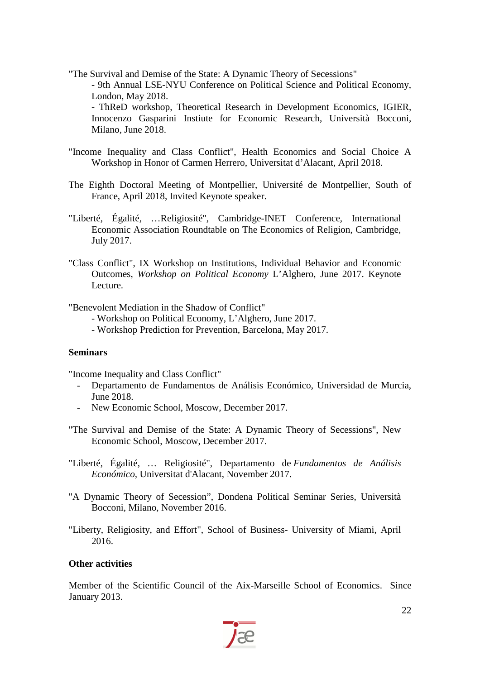"The Survival and Demise of the State: A Dynamic Theory of Secessions" - 9th Annual LSE-NYU Conference on Political Science and Political Economy, London, May 2018. - ThReD workshop, Theoretical Research in Development Economics, IGIER, Innocenzo Gasparini Instiute for Economic Research, Università Bocconi, Milano, June 2018.

- "Income Inequality and Class Conflict", Health Economics and Social Choice A Workshop in Honor of Carmen Herrero, Universitat d'Alacant, April 2018.
- The Eighth Doctoral Meeting of Montpellier, Université de Montpellier, South of France, April 2018, Invited Keynote speaker.
- "Liberté, Égalité, …Religiosité", Cambridge-INET Conference, International Economic Association Roundtable on The Economics of Religion, Cambridge, July 2017.
- "Class Conflict", IX Workshop on Institutions, Individual Behavior and Economic Outcomes, *Workshop on Political Economy* L'Alghero, June 2017. Keynote Lecture.

"Benevolent Mediation in the Shadow of Conflict"

- *-* Workshop on Political Economy, L'Alghero, June 2017.
- Workshop Prediction for Prevention, Barcelona, May 2017.

#### **Seminars**

"Income Inequality and Class Conflict"

- Departamento de Fundamentos de Análisis Económico, Universidad de Murcia, June 2018.
- New Economic School, Moscow, December 2017.
- "The Survival and Demise of the State: A Dynamic Theory of Secessions", New Economic School, Moscow, December 2017.
- "Liberté, Égalité, … Religiosité", Departamento de *Fundamentos de Análisis Económico,* Universitat d'Alacant, November 2017.
- "A Dynamic Theory of Secession", Dondena Political Seminar Series, Università Bocconi, Milano, November 2016.
- "Liberty, Religiosity, and Effort", School of Business- University of Miami, April 2016.

# **Other activities**

Member of the Scientific Council of the Aix-Marseille School of Economics. Since January 2013.

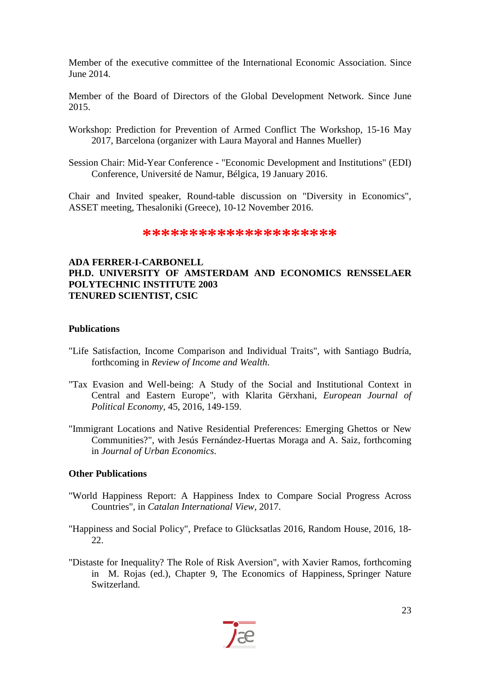Member of the executive committee of the International Economic Association. Since June 2014.

Member of the Board of Directors of the Global Development Network. Since June 2015.

- Workshop: Prediction for Prevention of Armed Conflict The Workshop, 15-16 May 2017, Barcelona (organizer with Laura Mayoral and Hannes Mueller)
- Session Chair: Mid-Year Conference "Economic Development and Institutions" (EDI) Conference, Université de Namur, Bélgica, 19 January 2016.

Chair and Invited speaker, Round-table discussion on "Diversity in Economics", ASSET meeting, Thesaloniki (Greece), 10-12 November 2016.

# **\*\*\*\*\*\*\*\*\*\*\*\*\*\*\*\*\*\*\*\*\***

# **ADA FERRER-I-CARBONELL PH.D. UNIVERSITY OF AMSTERDAM AND ECONOMICS RENSSELAER POLYTECHNIC INSTITUTE 2003 TENURED SCIENTIST, CSIC**

#### **Publications**

- "Life Satisfaction, Income Comparison and Individual Traits", with Santiago Budría, forthcoming in *Review of Income and Wealth*.
- "Tax Evasion and Well-being: A Study of the Social and Institutional Context in Central and Eastern Europe", with Klarita Gërxhani, *European Journal of Political Economy*, 45, 2016, 149-159.
- "Immigrant Locations and Native Residential Preferences: Emerging Ghettos or New Communities?", with Jesús Fernández-Huertas Moraga and A. Saiz, forthcoming in *Journal of Urban Economics*.

#### **Other Publications**

- "World Happiness Report: A Happiness Index to Compare Social Progress Across Countries", in *Catalan International View*, 2017.
- "Happiness and Social Policy", Preface to Glücksatlas 2016, Random House, 2016, 18- 22.
- "Distaste for Inequality? The Role of Risk Aversion", with Xavier Ramos, forthcoming in M. Rojas (ed.), Chapter 9, The Economics of Happiness, Springer Nature Switzerland.

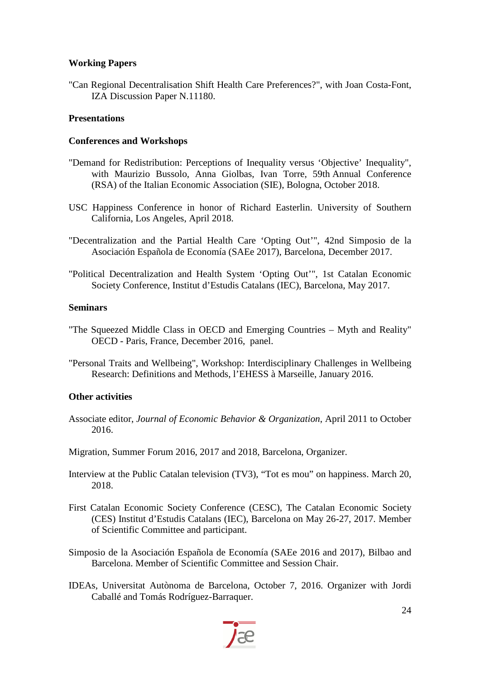# **Working Papers**

"Can Regional Decentralisation Shift Health Care Preferences?", with Joan Costa-Font, IZA Discussion Paper N.11180.

# **Presentations**

# **Conferences and Workshops**

- "Demand for Redistribution: Perceptions of Inequality versus 'Objective' Inequality", with Maurizio Bussolo, Anna Giolbas, Ivan Torre, 59th Annual Conference (RSA) of the Italian Economic Association (SIE), Bologna, October 2018.
- USC Happiness Conference in honor of Richard Easterlin. University of Southern California, Los Angeles, April 2018.
- "Decentralization and the Partial Health Care 'Opting Out'", 42nd Simposio de la Asociación Española de Economía (SAEe 2017), Barcelona, December 2017.
- "Political Decentralization and Health System 'Opting Out'", 1st Catalan Economic Society Conference, Institut d'Estudis Catalans (IEC), Barcelona, May 2017.

#### **Seminars**

- "The Squeezed Middle Class in OECD and Emerging Countries Myth and Reality" OECD - Paris, France, December 2016, panel.
- "Personal Traits and Wellbeing", Workshop: Interdisciplinary Challenges in Wellbeing Research: Definitions and Methods, l'EHESS à Marseille, January 2016.

# **Other activities**

- Associate editor, *Journal of Economic Behavior & Organization*, April 2011 to October 2016.
- Migration, Summer Forum 2016, 2017 and 2018, Barcelona, Organizer.
- Interview at the Public Catalan television (TV3), "Tot es mou" on happiness. March 20, 2018.
- First Catalan Economic Society Conference (CESC), The Catalan Economic Society (CES) Institut d'Estudis Catalans (IEC), Barcelona on May 26-27, 2017. Member of Scientific Committee and participant.
- Simposio de la Asociación Española de Economía (SAEe 2016 and 2017), Bilbao and Barcelona. Member of Scientific Committee and Session Chair.
- IDEAs, Universitat Autònoma de Barcelona, October 7, 2016. Organizer with Jordi Caballé and Tomás Rodríguez-Barraquer.

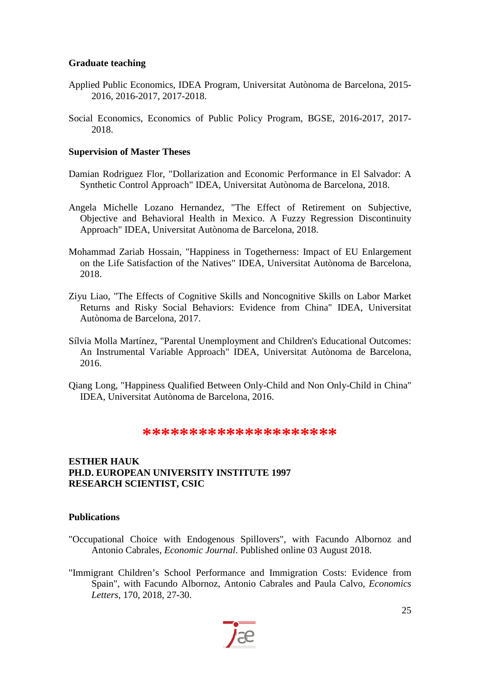# **Graduate teaching**

- Applied Public Economics, IDEA Program, Universitat Autònoma de Barcelona, 2015- 2016, 2016-2017, 2017-2018.
- Social Economics, Economics of Public Policy Program, BGSE, 2016-2017, 2017- 2018.

# **Supervision of Master Theses**

- Damian Rodriguez Flor, "Dollarization and Economic Performance in El Salvador: A Synthetic Control Approach" IDEA, Universitat Autònoma de Barcelona, 2018.
- Angela Michelle Lozano Hernandez, "The Effect of Retirement on Subjective, Objective and Behavioral Health in Mexico. A Fuzzy Regression Discontinuity Approach" IDEA, Universitat Autònoma de Barcelona, 2018.
- Mohammad Zariab Hossain, "Happiness in Togetherness: Impact of EU Enlargement on the Life Satisfaction of the Natives" IDEA, Universitat Autònoma de Barcelona, 2018.
- Ziyu Liao, "The Effects of Cognitive Skills and Noncognitive Skills on Labor Market Returns and Risky Social Behaviors: Evidence from China" IDEA, Universitat Autònoma de Barcelona, 2017.
- Sílvia Molla Martínez, "Parental Unemployment and Children's Educational Outcomes: An Instrumental Variable Approach" IDEA, Universitat Autònoma de Barcelona, 2016.
- Qiang Long, "Happiness Qualified Between Only-Child and Non Only-Child in China" IDEA, Universitat Autònoma de Barcelona, 2016.

# **\*\*\*\*\*\*\*\*\*\*\*\*\*\*\*\*\***

#### **ESTHER HAUK PH.D. EUROPEAN UNIVERSITY INSTITUTE 1997 RESEARCH SCIENTIST, CSIC**

#### **Publications**

- "Occupational Choice with Endogenous Spillovers", with Facundo Albornoz and Antonio Cabrales, *Economic Journal*. Published online 03 August 2018.
- "Immigrant Children's School Performance and Immigration Costs: Evidence from Spain", with Facundo Albornoz, Antonio Cabrales and Paula Calvo, *Economics Letters*, 170, 2018, 27-30.

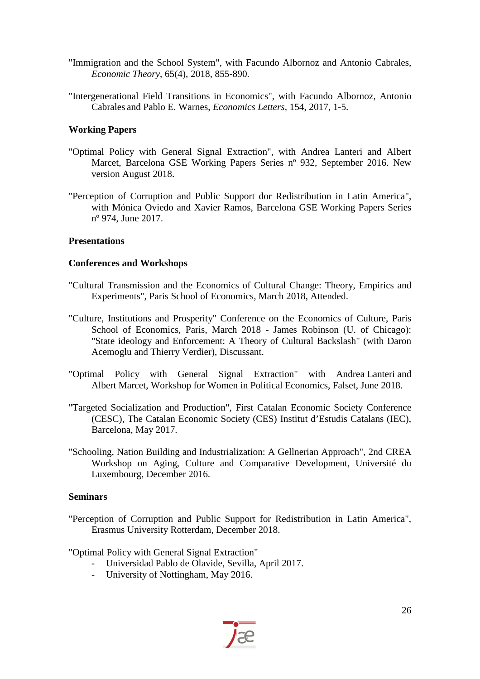- "Immigration and the School System", with Facundo Albornoz and Antonio Cabrales, *Economic Theory*, 65(4), 2018, 855-890.
- "Intergenerational Field Transitions in Economics", with Facundo Albornoz, Antonio Cabrales and Pablo E. Warnes, *Economics Letters,* 154, 2017, 1-5.

# **Working Papers**

- "Optimal Policy with General Signal Extraction", with Andrea Lanteri and Albert Marcet, Barcelona GSE Working Papers Series nº 932, September 2016. New version August 2018.
- "Perception of Corruption and Public Support dor Redistribution in Latin America", with Mónica Oviedo and Xavier Ramos, Barcelona GSE Working Papers Series nº 974, June 2017.

#### **Presentations**

# **Conferences and Workshops**

- "Cultural Transmission and the Economics of Cultural Change: Theory, Empirics and Experiments", Paris School of Economics, March 2018, Attended.
- "Culture, Institutions and Prosperity" Conference on the Economics of Culture, Paris School of Economics, Paris, March 2018 - James Robinson (U. of Chicago): "State ideology and Enforcement: A Theory of Cultural Backslash" (with Daron Acemoglu and Thierry Verdier), Discussant.
- "Optimal Policy with General Signal Extraction" with Andrea Lanteri and Albert Marcet, Workshop for Women in Political Economics, Falset, June 2018.
- "Targeted Socialization and Production", First Catalan Economic Society Conference (CESC), The Catalan Economic Society (CES) Institut d'Estudis Catalans (IEC), Barcelona, May 2017.
- "Schooling, Nation Building and Industrialization: A Gellnerian Approach", 2nd CREA Workshop on Aging, Culture and Comparative Development, Université du Luxembourg, December 2016.

#### **Seminars**

"Perception of Corruption and Public Support for Redistribution in Latin America", Erasmus University Rotterdam, December 2018.

"Optimal Policy with General Signal Extraction"

- Universidad Pablo de Olavide, Sevilla, April 2017.
- University of Nottingham, May 2016.

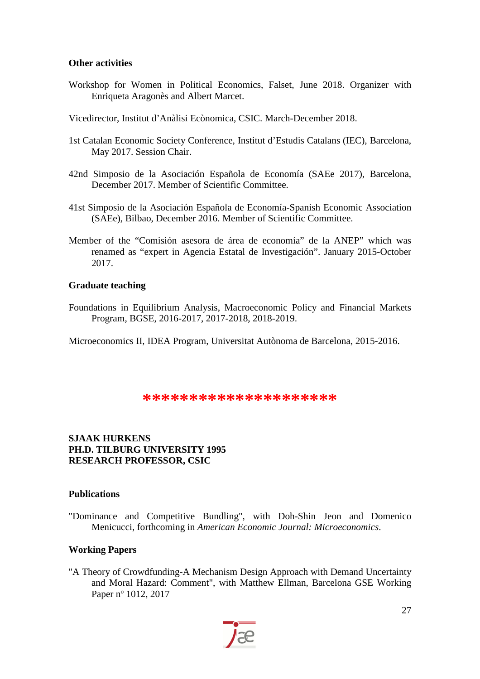# **Other activities**

Workshop for Women in Political Economics, Falset, June 2018. Organizer with Enriqueta Aragonès and Albert Marcet.

Vicedirector, Institut d'Anàlisi Ecònomica, CSIC. March-December 2018.

- 1st Catalan Economic Society Conference, Institut d'Estudis Catalans (IEC), Barcelona, May 2017. Session Chair.
- 42nd Simposio de la Asociación Española de Economía (SAEe 2017), Barcelona, December 2017. Member of Scientific Committee.
- 41st Simposio de la Asociación Española de Economía-Spanish Economic Association (SAEe), Bilbao, December 2016. Member of Scientific Committee.
- Member of the "Comisión asesora de área de economía" de la ANEP" which was renamed as "expert in Agencia Estatal de Investigación". January 2015-October 2017.

# **Graduate teaching**

Foundations in Equilibrium Analysis, Macroeconomic Policy and Financial Markets Program, BGSE, 2016-2017, 2017-2018, 2018-2019.

Microeconomics II, IDEA Program, Universitat Autònoma de Barcelona, 2015-2016.

# **\*\*\*\*\*\*\*\*\*\*\*\*\*\*\*\*\***

# **SJAAK HURKENS PH.D. TILBURG UNIVERSITY 1995 RESEARCH PROFESSOR, CSIC**

#### **Publications**

"Dominance and Competitive Bundling", with Doh-Shin Jeon and Domenico Menicucci, forthcoming in *American Economic Journal: Microeconomics*.

# **Working Papers**

"A Theory of Crowdfunding-A Mechanism Design Approach with Demand Uncertainty and Moral Hazard: Comment", with Matthew Ellman, Barcelona GSE Working Paper nº 1012, 2017

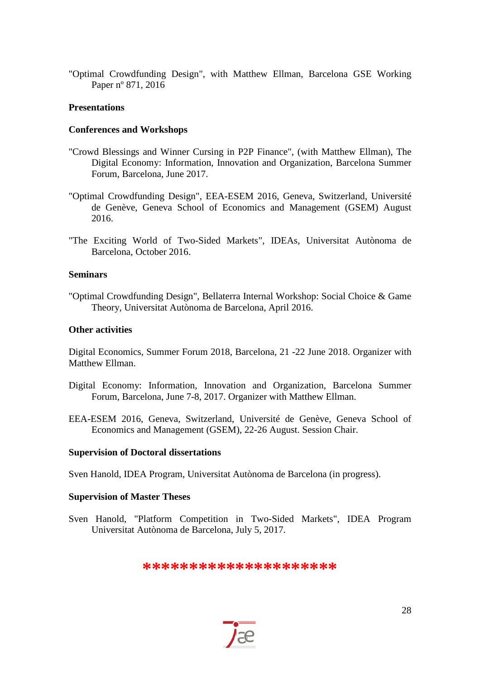"Optimal Crowdfunding Design", with Matthew Ellman, Barcelona GSE Working Paper nº 871, 2016

# **Presentations**

#### **Conferences and Workshops**

- "Crowd Blessings and Winner Cursing in P2P Finance", (with Matthew Ellman), The Digital Economy: Information, Innovation and Organization, Barcelona Summer Forum, Barcelona, June 2017.
- "Optimal Crowdfunding Design", EEA-ESEM 2016, Geneva, Switzerland, Université de Genève, Geneva School of Economics and Management (GSEM) August 2016.
- "The Exciting World of Two-Sided Markets", IDEAs, Universitat Autònoma de Barcelona, October 2016.

#### **Seminars**

"Optimal Crowdfunding Design", Bellaterra Internal Workshop: Social Choice & Game Theory, Universitat Autònoma de Barcelona, April 2016.

# **Other activities**

Digital Economics, Summer Forum 2018, Barcelona, 21 -22 June 2018. Organizer with Matthew Ellman.

- Digital Economy: Information, Innovation and Organization, Barcelona Summer Forum, Barcelona, June 7-8, 2017. Organizer with Matthew Ellman.
- EEA-ESEM 2016, Geneva, Switzerland, Université de Genève, Geneva School of Economics and Management (GSEM), 22-26 August. Session Chair.

#### **Supervision of Doctoral dissertations**

Sven Hanold, IDEA Program, Universitat Autònoma de Barcelona (in progress).

#### **Supervision of Master Theses**

Sven Hanold, "Platform Competition in Two-Sided Markets", IDEA Program Universitat Autònoma de Barcelona, July 5, 2017.

# \*\*\*\*\*\*\*\*\*\*\*\*\*\*\*\*\*\*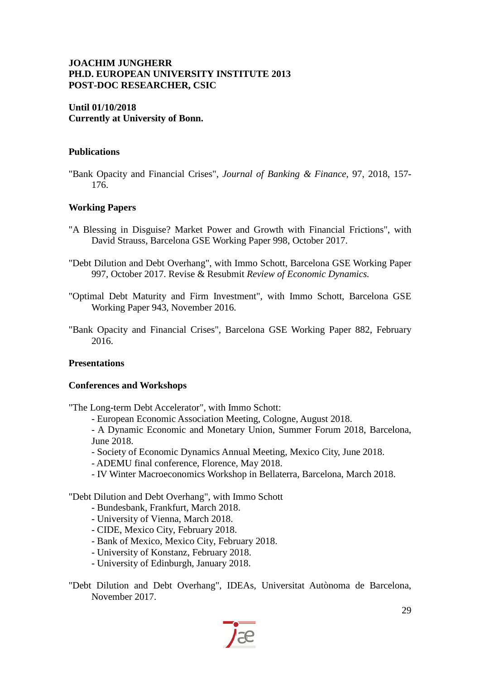# **JOACHIM JUNGHERR PH.D. EUROPEAN UNIVERSITY INSTITUTE 2013 POST-DOC RESEARCHER, CSIC**

# **Until 01/10/2018 Currently at University of Bonn.**

# **Publications**

"Bank Opacity and Financial Crises", *Journal of Banking & Finance*, 97, 2018, 157- 176.

# **Working Papers**

- "A Blessing in Disguise? Market Power and Growth with Financial Frictions", with David Strauss, Barcelona GSE Working Paper 998, October 2017.
- "Debt Dilution and Debt Overhang", with Immo Schott, Barcelona GSE Working Paper 997, October 2017. Revise & Resubmit *Review of Economic Dynamics.*
- "Optimal Debt Maturity and Firm Investment", with Immo Schott, Barcelona GSE Working Paper 943, November 2016.
- "Bank Opacity and Financial Crises", Barcelona GSE Working Paper 882, February 2016.

#### **Presentations**

#### **Conferences and Workshops**

"The Long-term Debt Accelerator", with Immo Schott:

- European Economic Association Meeting, Cologne, August 2018.
- A Dynamic Economic and Monetary Union, Summer Forum 2018, Barcelona, June 2018.
- Society of Economic Dynamics Annual Meeting, Mexico City, June 2018.
- ADEMU final conference, Florence, May 2018.
- IV Winter Macroeconomics Workshop in Bellaterra, Barcelona, March 2018.

"Debt Dilution and Debt Overhang", with Immo Schott

- Bundesbank, Frankfurt, March 2018.
- University of Vienna, March 2018.
- CIDE, Mexico City, February 2018.
- Bank of Mexico, Mexico City, February 2018.
- University of Konstanz, February 2018.
- University of Edinburgh, January 2018.
- "Debt Dilution and Debt Overhang", IDEAs, Universitat Autònoma de Barcelona, November 2017.

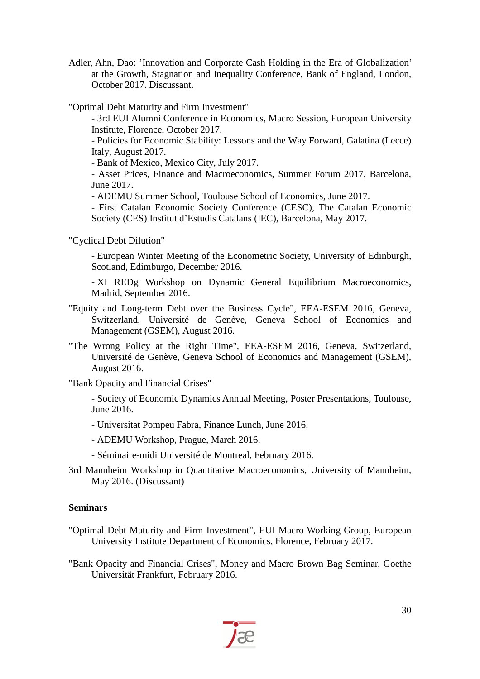Adler, Ahn, Dao: 'Innovation and Corporate Cash Holding in the Era of Globalization' at the Growth, Stagnation and Inequality Conference, Bank of England, London, October 2017. Discussant.

"Optimal Debt Maturity and Firm Investment"

- 3rd EUI Alumni Conference in Economics, Macro Session, European University Institute, Florence, October 2017.

- Policies for Economic Stability: Lessons and the Way Forward, Galatina (Lecce) Italy, August 2017.

- Bank of Mexico, Mexico City, July 2017.

- Asset Prices, Finance and Macroeconomics, Summer Forum 2017, Barcelona, June 2017.

- ADEMU Summer School, Toulouse School of Economics, June 2017.

- First Catalan Economic Society Conference (CESC), The Catalan Economic Society (CES) Institut d'Estudis Catalans (IEC), Barcelona, May 2017.

"Cyclical Debt Dilution"

- European Winter Meeting of the Econometric Society, University of Edinburgh, Scotland, Edimburgo, December 2016.

- XI REDg Workshop on Dynamic General Equilibrium Macroeconomics, Madrid, September 2016.

- "Equity and Long-term Debt over the Business Cycle", EEA-ESEM 2016, Geneva, Switzerland, Université de Genève, Geneva School of Economics and Management (GSEM), August 2016.
- "The Wrong Policy at the Right Time", EEA-ESEM 2016, Geneva, Switzerland, Université de Genève, Geneva School of Economics and Management (GSEM), August 2016.
- "Bank Opacity and Financial Crises"

- Society of Economic Dynamics Annual Meeting, Poster Presentations, Toulouse, June 2016.

- Universitat Pompeu Fabra, Finance Lunch, June 2016.
- ADEMU Workshop, Prague, March 2016.
- Séminaire-midi Université de Montreal, February 2016.
- 3rd Mannheim Workshop in Quantitative Macroeconomics, University of Mannheim, May 2016. (Discussant)

#### **Seminars**

"Optimal Debt Maturity and Firm Investment", EUI Macro Working Group, European University Institute Department of Economics, Florence, February 2017.

"Bank Opacity and Financial Crises", Money and Macro Brown Bag Seminar, Goethe Universität Frankfurt, February 2016.

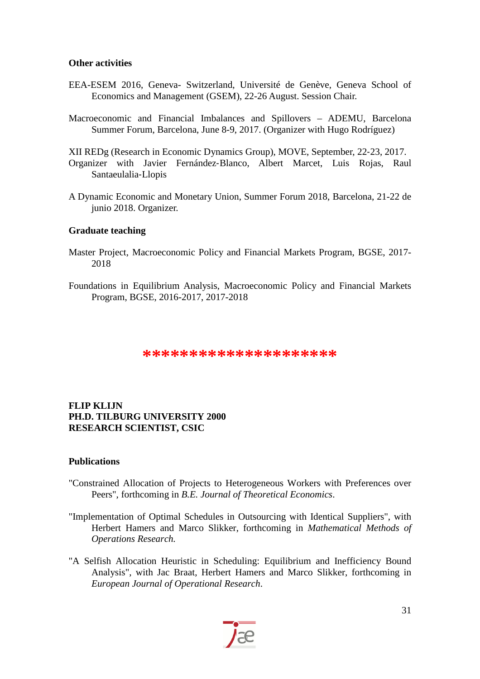#### **Other activities**

- EEA-ESEM 2016, Geneva- Switzerland, Université de Genève, Geneva School of Economics and Management (GSEM), 22-26 August. Session Chair.
- Macroeconomic and Financial Imbalances and Spillovers ADEMU, Barcelona Summer Forum, Barcelona, June 8-9, 2017. (Organizer with Hugo Rodríguez)

XII REDg (Research in Economic Dynamics Group), MOVE, September, 22‐23, 2017. Organizer with Javier Fernández‐Blanco, Albert Marcet, Luis Rojas, Raul Santaeulalia‐Llopis

A Dynamic Economic and Monetary Union, Summer Forum 2018, Barcelona, 21-22 de junio 2018. Organizer.

#### **Graduate teaching**

- Master Project, Macroeconomic Policy and Financial Markets Program, BGSE, 2017- 2018
- Foundations in Equilibrium Analysis, Macroeconomic Policy and Financial Markets Program, BGSE, 2016-2017, 2017-2018

# **\*\*\*\*\*\*\*\*\*\*\*\*\*\*\*\*\*\*\*\*\***

# **FLIP KLIJN PH.D. TILBURG UNIVERSITY 2000 RESEARCH SCIENTIST, CSIC**

#### **Publications**

- "Constrained Allocation of Projects to Heterogeneous Workers with Preferences over Peers", forthcoming in *B.E. Journal of Theoretical Economics*.
- "Implementation of Optimal Schedules in Outsourcing with Identical Suppliers", with Herbert Hamers and Marco Slikker, forthcoming in *Mathematical Methods of Operations Research.*
- "A Selfish Allocation Heuristic in Scheduling: Equilibrium and Inefficiency Bound Analysis", with Jac Braat, Herbert Hamers and Marco Slikker, forthcoming in *European Journal of Operational Research*.

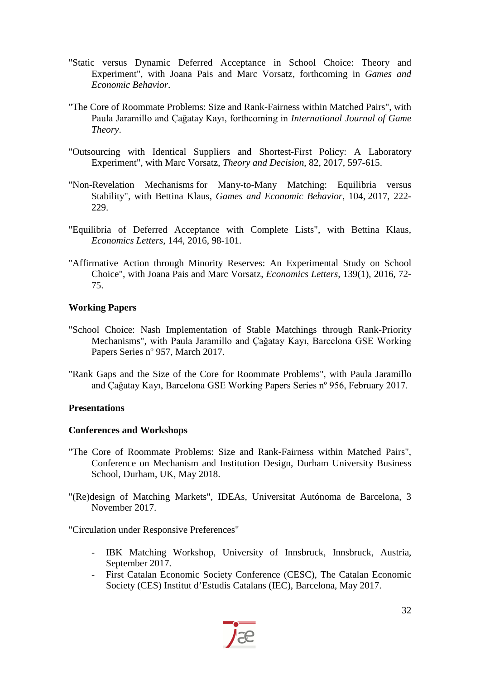- "Static versus Dynamic Deferred Acceptance in School Choice: Theory and Experiment", with Joana Pais and Marc Vorsatz, forthcoming in *Games and Economic Behavior*.
- "The Core of Roommate Problems: Size and Rank-Fairness within Matched Pairs", with Paula Jaramillo and Çaǧatay Kayı, forthcoming in *International Journal of Game Theory*.
- "Outsourcing with Identical Suppliers and Shortest-First Policy: A Laboratory Experiment", with Marc Vorsatz, *Theory and Decision,* 82, 2017, 597-615.
- "Non-Revelation Mechanisms for Many-to-Many Matching: Equilibria versus Stability", with Bettina Klaus, *Games and Economic Behavior,* 104, 2017, 222- 229.
- "Equilibria of Deferred Acceptance with Complete Lists", with Bettina Klaus, *Economics Letters*, 144, 2016, 98-101.
- "Affirmative Action through Minority Reserves: An Experimental Study on School Choice", with Joana Pais and Marc Vorsatz, *Economics Letters,* 139(1), 2016, 72- 75.

# **Working Papers**

- "School Choice: Nash Implementation of Stable Matchings through Rank-Priority Mechanisms", with Paula Jaramillo and Çaǧatay Kayı, Barcelona GSE Working Papers Series nº 957, March 2017.
- "Rank Gaps and the Size of the Core for Roommate Problems", with Paula Jaramillo and Çaǧatay Kayı, Barcelona GSE Working Papers Series nº 956, February 2017.

#### **Presentations**

#### **Conferences and Workshops**

- "The Core of Roommate Problems: Size and Rank-Fairness within Matched Pairs", Conference on Mechanism and Institution Design, Durham University Business School, Durham, UK, May 2018.
- "(Re)design of Matching Markets", IDEAs, Universitat Autónoma de Barcelona, 3 November 2017.

"Circulation under Responsive Preferences"

- IBK Matching Workshop, University of Innsbruck, Innsbruck, Austria, September 2017.
- First Catalan Economic Society Conference (CESC), The Catalan Economic Society (CES) Institut d'Estudis Catalans (IEC), Barcelona, May 2017.

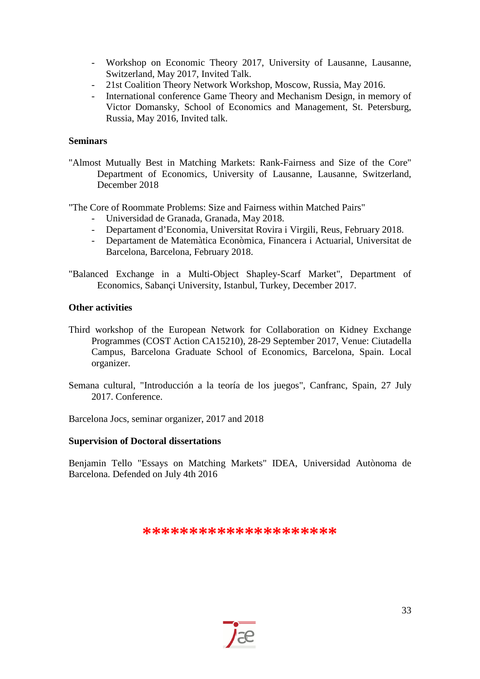- Workshop on Economic Theory 2017, University of Lausanne, Lausanne, Switzerland, May 2017, Invited Talk.
- 21st Coalition Theory Network Workshop, Moscow, Russia, May 2016.
- International conference Game Theory and Mechanism Design, in memory of Victor Domansky, [School of Economics and Management,](http://scem.spb.hse.ru/en/) St. Petersburg, Russia, May 2016, Invited talk.

#### **Seminars**

"Almost Mutually Best in Matching Markets: Rank-Fairness and Size of the Core" Department of Economics, University of Lausanne, Lausanne, Switzerland, December 2018

"The Core of Roommate Problems: Size and Fairness within Matched Pairs"

- Universidad de Granada, Granada, May 2018.
- Departament d'Economia, Universitat Rovira i Virgili, Reus, February 2018.
- Departament de Matemàtica Econòmica, Financera i Actuarial, Universitat de Barcelona, Barcelona, February 2018.
- "Balanced Exchange in a Multi-Object Shapley-Scarf Market", Department of Economics, Sabançi University, Istanbul, Turkey, December 2017.

# **Other activities**

- Third workshop of the European Network for Collaboration on Kidney Exchange Programmes (COST Action CA15210), 28-29 September 2017, Venue: Ciutadella Campus, Barcelona Graduate School of Economics, Barcelona, Spain. Local organizer.
- Semana cultural, "Introducción a la teoría de los juegos", Canfranc, Spain, 27 July 2017. Conference.

Barcelona Jocs, seminar organizer, 2017 and 2018

#### **Supervision of Doctoral dissertations**

Benjamin Tello "Essays on Matching Markets" IDEA, Universidad Autònoma de Barcelona. Defended on July 4th 2016

**\*\*\*\*\*\*\*\*\*\*\*\*\*\*\*\*\*** 

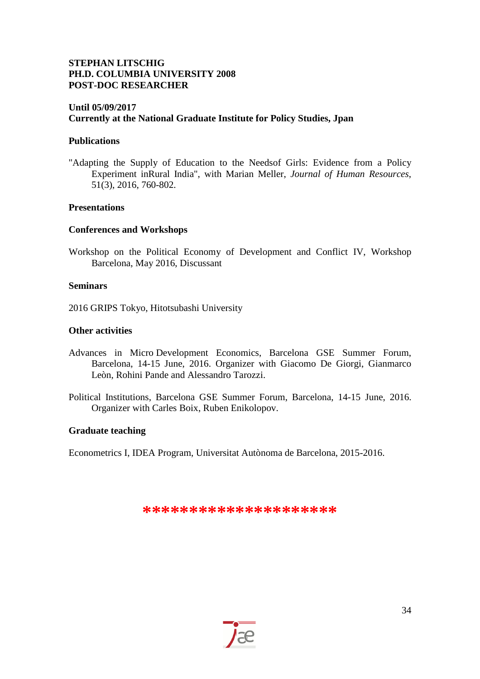# **STEPHAN LITSCHIG PH.D. COLUMBIA UNIVERSITY 2008 POST-DOC RESEARCHER**

# **Until 05/09/2017 Currently at the National Graduate Institute for Policy Studies, Jpan**

# **Publications**

"Adapting the Supply of Education to the Needsof Girls: Evidence from a Policy Experiment inRural India", with Marian Meller, *Journal of Human Resources*, 51(3), 2016, 760-802.

# **Presentations**

#### **Conferences and Workshops**

Workshop on the Political Economy of Development and Conflict IV, Workshop Barcelona, May 2016, Discussant

#### **Seminars**

2016 GRIPS Tokyo, Hitotsubashi University

# **Other activities**

- Advances in Micro Development Economics, Barcelona GSE Summer Forum, Barcelona, 14-15 June, 2016. Organizer with Giacomo De Giorgi, Gianmarco Leòn, Rohini Pande and Alessandro Tarozzi.
- Political Institutions, Barcelona GSE Summer Forum, Barcelona, 14-15 June, 2016. Organizer with Carles Boix, Ruben Enikolopov.

#### **Graduate teaching**

Econometrics I, IDEA Program, Universitat Autònoma de Barcelona, 2015-2016.

# \*\*\*\*\*\*\*\*\*\*\*\*\*\*\*\*\*\*

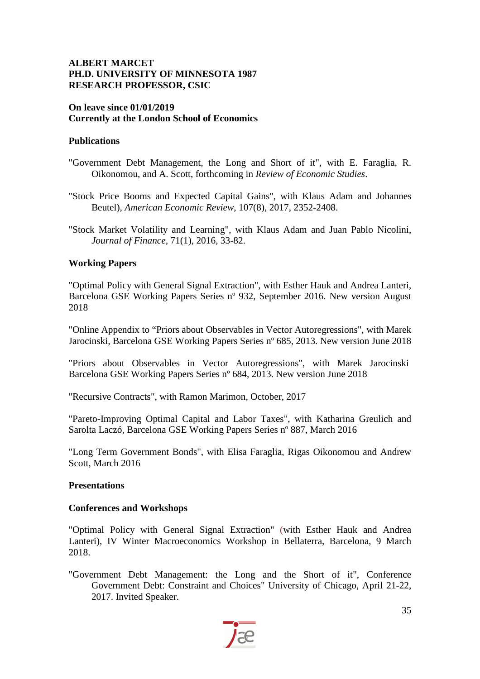# **ALBERT MARCET PH.D. UNIVERSITY OF MINNESOTA 1987 RESEARCH PROFESSOR, CSIC**

# **On leave since 01/01/2019 Currently at the London School of Economics**

# **Publications**

- "Government Debt Management, the Long and Short of it", with E. Faraglia, R. Oikonomou, and A. Scott, forthcoming in *Review of Economic Studies*.
- "Stock Price Booms and Expected Capital Gains", with Klaus Adam and Johannes Beutel), *American Economic Review*, 107(8), 2017, 2352-2408.
- "Stock Market Volatility and Learning", with Klaus Adam and Juan Pablo Nicolini, *Journal of Finance,* 71(1), 2016, 33-82.

# **Working Papers**

"Optimal Policy with General Signal Extraction", with Esther Hauk and Andrea Lanteri, Barcelona GSE Working Papers Series nº 932, September 2016. New version August 2018

"Online Appendix to "Priors about Observables in Vector Autoregressions", with Marek Jarocinski, Barcelona GSE Working Papers Series nº 685, 2013. New version June 2018

"Priors about Observables in Vector Autoregressions", with Marek Jarocinski Barcelona GSE Working Papers Series nº 684, 2013. New version June 2018

"Recursive Contracts", with Ramon Marimon, October, 2017

"Pareto-Improving Optimal Capital and Labor Taxes", with Katharina Greulich and Sarolta Laczó, Barcelona GSE Working Papers Series nº 887, March 2016

"Long Term Government Bonds", with Elisa Faraglia, Rigas Oikonomou and Andrew Scott, March 2016

#### **Presentations**

#### **Conferences and Workshops**

"Optimal Policy with General Signal Extraction" (with Esther Hauk and Andrea Lanteri), IV Winter Macroeconomics Workshop in Bellaterra, Barcelona, 9 March 2018.

"Government Debt Management: the Long and the Short of it", Conference Government Debt: Constraint and Choices" University of Chicago, April 21-22, 2017. Invited Speaker.

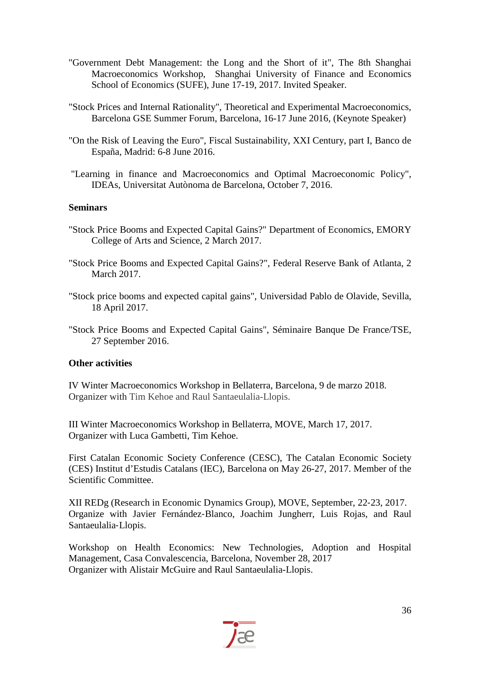- "Government Debt Management: the Long and the Short of it", The 8th Shanghai Macroeconomics Workshop, Shanghai University of Finance and Economics School of Economics (SUFE), June 17-19, 2017. Invited Speaker.
- "Stock Prices and Internal Rationality", Theoretical and Experimental Macroeconomics, Barcelona GSE Summer Forum, Barcelona, 16-17 June 2016, (Keynote Speaker)
- "On the Risk of Leaving the Euro", Fiscal Sustainability, XXI Century, part I, Banco de España, Madrid: 6-8 June 2016.
- "Learning in finance and Macroeconomics and Optimal Macroeconomic Policy", IDEAs, Universitat Autònoma de Barcelona, October 7, 2016.

# **Seminars**

- "Stock Price Booms and Expected Capital Gains?" Department of Economics, EMORY College of Arts and Science, 2 March 2017.
- "Stock Price Booms and Expected Capital Gains?", Federal Reserve Bank of Atlanta, 2 March 2017.
- "Stock price booms and expected capital gains", Universidad Pablo de Olavide, Sevilla, 18 April 2017.
- "Stock Price Booms and Expected Capital Gains", Séminaire Banque De France/TSE, 27 September 2016.

# **Other activities**

IV Winter Macroeconomics Workshop in Bellaterra, Barcelona, 9 de marzo 2018. Organizer with Tim Kehoe and Raul Santaeulalia-Llopis.

III Winter Macroeconomics Workshop in Bellaterra, MOVE, March 17, 2017. Organizer with Luca Gambetti, Tim Kehoe.

First Catalan Economic Society Conference (CESC), The Catalan Economic Society (CES) Institut d'Estudis Catalans (IEC), Barcelona on May 26-27, 2017. Member of the Scientific Committee.

XII REDg (Research in Economic Dynamics Group), MOVE, September, 22‐23, 2017. Organize with Javier Fernández‐Blanco, Joachim Jungherr, Luis Rojas, and Raul Santaeulalia‐Llopis.

Workshop on Health Economics: New Technologies, Adoption and Hospital Management, Casa Convalescencia, Barcelona, November 28, 2017 Organizer with Alistair McGuire and Raul Santaeulalia-Llopis.

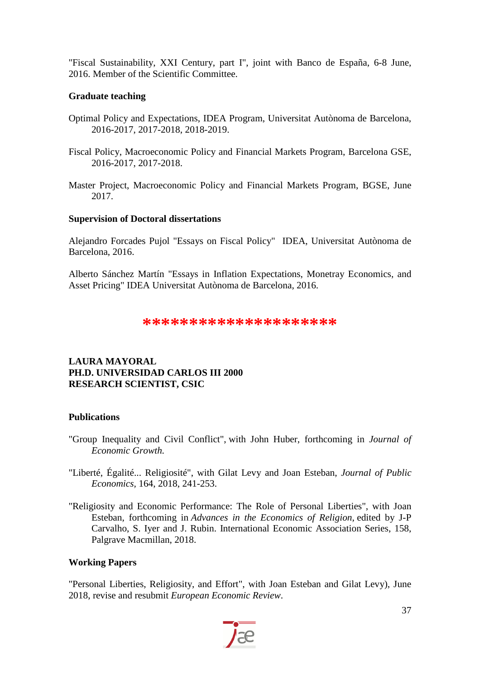"Fiscal Sustainability, XXI Century, part I", joint with Banco de España, 6-8 June, 2016. Member of the Scientific Committee.

#### **Graduate teaching**

- Optimal Policy and Expectations, IDEA Program, Universitat Autònoma de Barcelona, 2016-2017, 2017-2018, 2018-2019.
- Fiscal Policy, Macroeconomic Policy and Financial Markets Program, Barcelona GSE, 2016-2017, 2017-2018.
- Master Project, Macroeconomic Policy and Financial Markets Program, BGSE, June 2017.

#### **Supervision of Doctoral dissertations**

Alejandro Forcades Pujol "Essays on Fiscal Policy" IDEA, Universitat Autònoma de Barcelona, 2016.

Alberto Sánchez Martín "Essays in Inflation Expectations, Monetray Economics, and Asset Pricing" IDEA Universitat Autònoma de Barcelona, 2016.

#### **\*\*\*\*\*\*\*\*\*\*\*\*\*\*\*\*\*\*\*\*\***

#### **LAURA MAYORAL PH.D. UNIVERSIDAD CARLOS III 2000 RESEARCH SCIENTIST, CSIC**

#### **Publications**

- "Group Inequality and Civil Conflict[",](http://mayoral.iae-csic.org/research/draft7.pdf) with John Huber, forthcoming in *Journal of Economic Growth.*
- "Liberté, Égalité... Religiosité", with Gilat Levy and Joan Esteban, *Journal of Public Economics,* 164, 2018, 241-253.
- "Religiosity and Economic Performance: The Role of Personal Liberties", with Joan Esteban, forthcoming in *Advances in the Economics of Religion*, edited by J-P Carvalho, S. Iyer and J. Rubin. International Economic Association Series, 158, Palgrave Macmillan, 2018.

#### **Working Papers**

"Personal Liberties, Religiosity, and Effort", with Joan Esteban and Gilat Levy), June 2018, revise and resubmit *European Economic Review*.

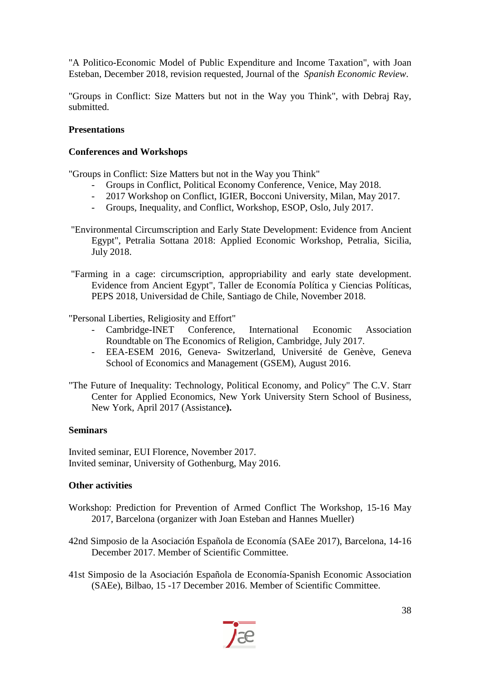"A Politico-Economic Model of Public Expenditure and Income Taxation", with Joan Esteban, December 2018, revision requested, Journal of the *Spanish Economic Review*.

"Groups in Conflict: Size Matters but not in the Way you Think", with Debraj Ray, submitted.

#### **Presentations**

#### **Conferences and Workshops**

"Groups in Conflict: Size Matters but not in the Way you Think"

- Groups in Conflict, Political Economy Conference, Venice, May 2018.
- 2017 Workshop on Conflict, IGIER, Bocconi University, Milan, May 2017.
- Groups, Inequality, and Conflict, Workshop, ESOP, Oslo, July 2017.
- "Environmental Circumscription and Early State Development: Evidence from Ancient Egypt", Petralia Sottana 2018: Applied Economic Workshop, Petralia, Sicilia, July 2018.
- "Farming in a cage: circumscription, appropriability and early state development. Evidence from Ancient Egypt", Taller de Economía Política y Ciencias Políticas, PEPS 2018, Universidad de Chile, Santiago de Chile, November 2018.

"Personal Liberties, Religiosity and Effort"

- Cambridge-INET Conference, International Economic Association Roundtable on The Economics of Religion, Cambridge, July 2017.
- EEA-ESEM 2016, Geneva- Switzerland, Université de Genève, Geneva School of Economics and Management (GSEM), August 2016.
- "The Future of Inequality: Technology, Political Economy, and Policy" The C.V. Starr Center for Applied Economics, New York University Stern School of Business, New York, April 2017 (Assistance**).**

#### **Seminars**

Invited seminar, EUI Florence, November 2017. Invited seminar, University of Gothenburg, May 2016.

#### **Other activities**

- Workshop: Prediction for Prevention of Armed Conflict The Workshop, 15-16 May 2017, Barcelona (organizer with Joan Esteban and Hannes Mueller)
- 42nd Simposio de la Asociación Española de Economía (SAEe 2017), Barcelona, 14-16 December 2017. Member of Scientific Committee.

41st Simposio de la Asociación Española de Economía-Spanish Economic Association (SAEe), Bilbao, 15 -17 December 2016. Member of Scientific Committee.

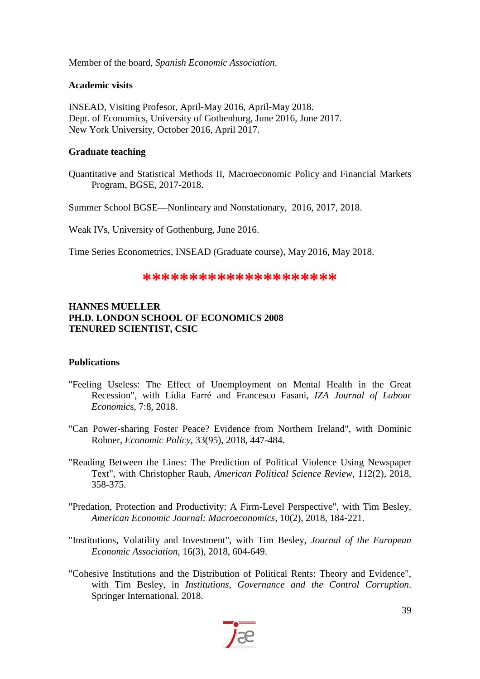Member of the board, *Spanish Economic Association*.

#### **Academic visits**

INSEAD, Visiting Profesor, April-May 2016, April-May 2018. Dept. of Economics, University of Gothenburg, June 2016, June 2017. New York University, October 2016, April 2017.

#### **Graduate teaching**

Quantitative and Statistical Methods II, Macroeconomic Policy and Financial Markets Program, BGSE, 2017-2018.

Summer School BGSE—Nonlineary and Nonstationary, 2016, 2017, 2018.

Weak IVs, University of Gothenburg, June 2016.

Time Series Econometrics, INSEAD (Graduate course), May 2016, May 2018.

#### **\*\*\*\*\*\*\*\*\*\*\*\*\*\*\*\*\*\*\*\*\***

#### **HANNES MUELLER PH.D. LONDON SCHOOL OF ECONOMICS 2008 TENURED SCIENTIST, CSIC**

#### **Publications**

- "Feeling Useless: The Effect of Unemployment on Mental Health in the Great Recession", with Lídia Farré and Francesco Fasani, *IZA Journal of Labour Economic*s, 7:8, 2018.
- "Can Power-sharing Foster Peace? Evidence from Northern Ireland", with Dominic Rohner, *Economic Policy*, 33(95), 2018, 447-484.
- "Reading Between the Lines: The Prediction of Political Violence Using Newspaper Text", with Christopher Rauh, *American Political Science Review*, 112(2), 2018, 358-375.
- "Predation, Protection and Productivity: A Firm-Level Perspective", with Tim Besley, *American Economic Journal: Macroeconomics,* 10(2), 2018, 184-221.
- "Institutions, Volatility and Investment", with Tim Besley, *Journal of the European Economic Association*, 16(3), 2018, 604-649.
- "Cohesive Institutions and the Distribution of Political Rents: Theory and Evidence", with Tim Besley, in *Institutions, Governance and the Control Corruption*. Springer International. 2018.

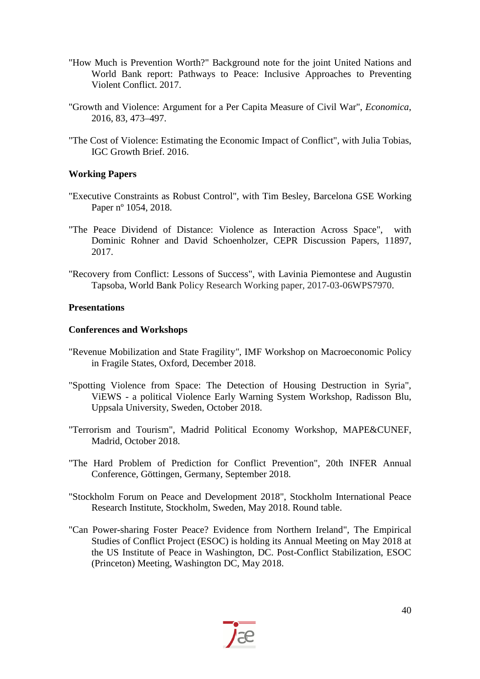- "How Much is Prevention Worth?" Background note for the joint United Nations and World Bank report: Pathways to Peace: Inclusive Approaches to Preventing Violent Conflict. 2017.
- "Growth and Violence: Argument for a Per Capita Measure of Civil War", *Economica*, 2016, 83, 473–497.
- "The Cost of Violence: Estimating the Economic Impact of Conflict", with Julia Tobias, IGC Growth Brief. 2016.

#### **Working Papers**

- "Executive Constraints as Robust Control", with Tim Besley, Barcelona GSE Working Paper nº 1054, 2018.
- "The Peace Dividend of Distance: Violence as Interaction Across Space", with Dominic Rohner and David Schoenholzer, CEPR Discussion Papers, 11897, 2017.
- "Recovery from Conflict: Lessons of Success", with Lavinia Piemontese and Augustin Tapsoba, World Bank Policy Research Working paper, 2017-03-06WPS7970.

#### **Presentations**

#### **Conferences and Workshops**

- "Revenue Mobilization and State Fragility*",* IMF Workshop on Macroeconomic Policy in Fragile States, Oxford, December 2018.
- "Spotting Violence from Space: The Detection of Housing Destruction in Syria", ViEWS - a political Violence Early Warning System Workshop, Radisson Blu, Uppsala University, Sweden, October 2018.
- "Terrorism and Tourism", Madrid Political Economy Workshop, MAPE&CUNEF, Madrid, October 2018.
- "The Hard Problem of Prediction for Conflict Prevention", 20th INFER Annual Conference, Göttingen, Germany, September 2018.
- "Stockholm Forum on Peace and Development 2018", Stockholm International Peace Research Institute, Stockholm, Sweden, May 2018. Round table.
- "Can Power-sharing Foster Peace? Evidence from Northern Ireland", The Empirical Studies of Conflict Project (ESOC) is holding its Annual Meeting on May 2018 at the US Institute of Peace in Washington, DC. Post-Conflict Stabilization, ESOC (Princeton) Meeting, Washington DC, May 2018.

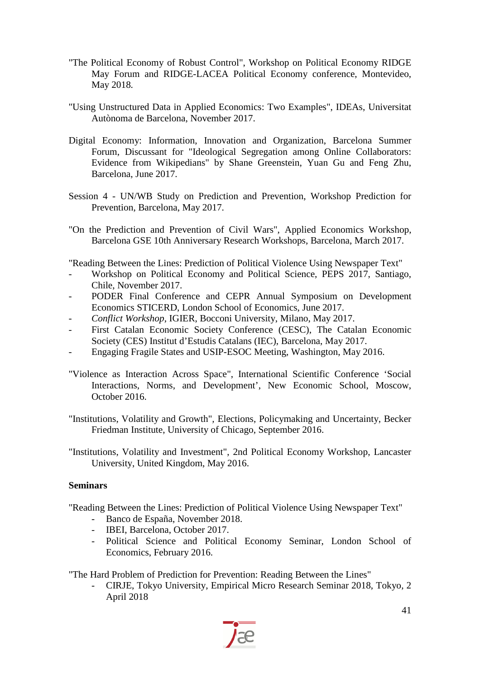- "The Political Economy of Robust Control", Workshop on Political Economy RIDGE May Forum and RIDGE-LACEA Political Economy conference, Montevideo, May 2018*.*
- "Using Unstructured Data in Applied Economics: Two Examples", IDEAs, Universitat Autònoma de Barcelona, November 2017.
- Digital Economy: Information, Innovation and Organization, Barcelona Summer Forum, Discussant for "Ideological Segregation among Online Collaborators: Evidence from Wikipedians" by Shane Greenstein, Yuan Gu and Feng Zhu, Barcelona, June 2017.
- Session 4 UN/WB Study on Prediction and Prevention, Workshop Prediction for Prevention, Barcelona, May 2017.
- "On the Prediction and Prevention of Civil Wars", Applied Economics Workshop, Barcelona GSE 10th Anniversary Research Workshops, Barcelona, March 2017.

"Reading Between the Lines: Prediction of Political Violence Using Newspaper Text"

- Workshop on Political Economy and Political Science, PEPS 2017, Santiago, Chile, November 2017.
- PODER Final Conference and CEPR Annual Symposium on Development Economics STICERD, London School of Economics, June 2017.
- *Conflict Workshop*, IGIER, Bocconi University, Milano, May 2017.
- First Catalan Economic Society Conference (CESC), The Catalan Economic Society (CES) Institut d'Estudis Catalans (IEC), Barcelona, May 2017.
- Engaging Fragile States and USIP-ESOC Meeting, Washington, May 2016.
- "Violence as Interaction Across Space", International Scientific Conference 'Social Interactions, Norms, and Development', New Economic School, Moscow, October 2016.

"Institutions, Volatility and Growth"*,* Elections, Policymaking and Uncertainty, Becker Friedman Institute, University of Chicago, September 2016.

"Institutions, Volatility and Investment", 2nd Political Economy Workshop, Lancaster University, United Kingdom, May 2016.

#### **Seminars**

"Reading Between the Lines: Prediction of Political Violence Using Newspaper Text"

- Banco de España, November 2018.
- IBEI, Barcelona, October 2017.
- Political Science and Political Economy Seminar, London School of Economics, February 2016.

"The Hard Problem of Prediction for Prevention: Reading Between the Lines"

- CIRJE, Tokyo University, Empirical Micro Research Seminar 2018, Tokyo, 2 April 2018

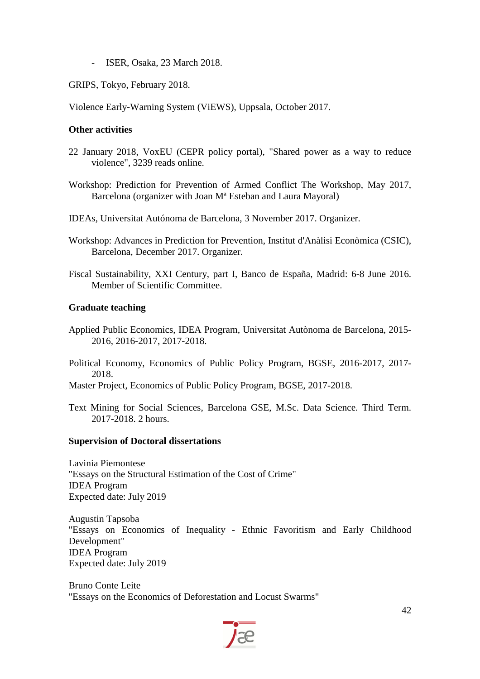- ISER, Osaka, 23 March 2018.
- GRIPS, Tokyo, February 2018.

Violence Early-Warning System (ViEWS), Uppsala, October 2017.

#### **Other activities**

- 22 January 2018, VoxEU (CEPR policy portal), "Shared power as a way to reduce violence", 3239 reads online.
- Workshop: Prediction for Prevention of Armed Conflict The Workshop, May 2017, Barcelona (organizer with Joan Mª Esteban and Laura Mayoral)
- IDEAs, Universitat Autónoma de Barcelona, 3 November 2017. Organizer.
- Workshop: Advances in Prediction for Prevention, Institut d'Anàlisi Econòmica (CSIC), Barcelona, December 2017. Organizer.
- Fiscal Sustainability, XXI Century, part I, Banco de España, Madrid: 6-8 June 2016. Member of Scientific Committee.

#### **Graduate teaching**

- Applied Public Economics, IDEA Program, Universitat Autònoma de Barcelona, 2015- 2016, 2016-2017, 2017-2018.
- Political Economy, Economics of Public Policy Program, BGSE, 2016-2017, 2017- 2018.

Master Project, Economics of Public Policy Program, BGSE, 2017-2018.

Text Mining for Social Sciences, Barcelona GSE, M.Sc. Data Science. Third Term. 2017-2018. 2 hours.

#### **Supervision of Doctoral dissertations**

Lavinia Piemontese "Essays on the Structural Estimation of the Cost of Crime" IDEA Program Expected date: July 2019

Augustin Tapsoba "Essays on Economics of Inequality - Ethnic Favoritism and Early Childhood Development" IDEA Program Expected date: July 2019

Bruno Conte Leite "Essays on the Economics of Deforestation and Locust Swarms"

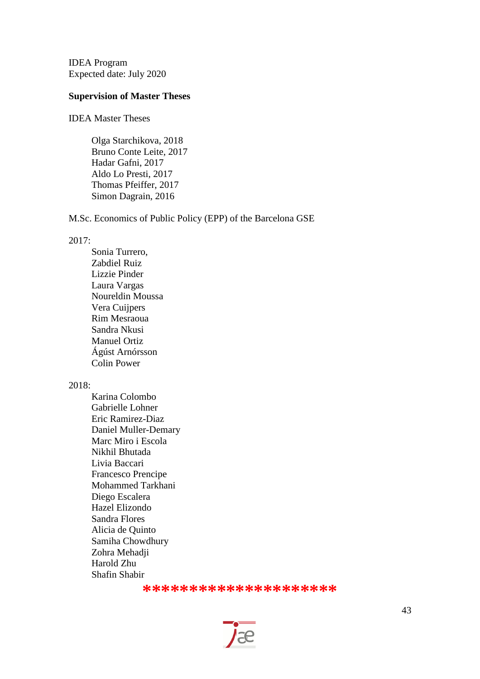IDEA Program Expected date: July 2020

#### **Supervision of Master Theses**

IDEA Master Theses

Olga Starchikova, 2018 Bruno Conte Leite, 2017 Hadar Gafni, 2017 Aldo Lo Presti, 2017 Thomas Pfeiffer, 2017 Simon Dagrain, 2016

M.Sc. Economics of Public Policy (EPP) of the Barcelona GSE

#### 2017:

Sonia Turrero, Zabdiel Ruiz Lizzie Pinder Laura Vargas Noureldin Moussa Vera Cuijpers Rim Mesraoua Sandra Nkusi Manuel Ortiz Ágúst Arnórsson Colin Power

#### 2018:

Karina Colombo Gabrielle Lohner Eric Ramirez-Diaz Daniel Muller-Demary Marc Miro i Escola Nikhil Bhutada Livia Baccari Francesco Prencipe Mohammed Tarkhani Diego Escalera Hazel Elizondo Sandra Flores Alicia de Quinto Samiha Chowdhury Zohra Mehadji Harold Zhu Shafin Shabir

#### **\*\*\*\*\*\*\*\*\*\*\*\*\*\*\*\*\***

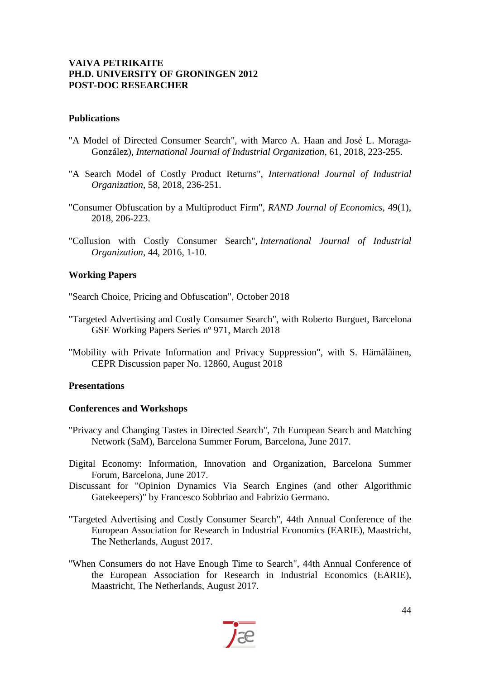#### **VAIVA PETRIKAITE PH.D. UNIVERSITY OF GRONINGEN 2012 POST-DOC RESEARCHER**

#### **Publications**

- "A Model of Directed Consumer Search", with Marco A. Haan and José L. Moraga-González), *International Journal of Industrial Organization*, 61, 2018, 223-255.
- "A Search Model of Costly Product Returns", *International Journal of Industrial Organization,* 58, 2018, 236-251.
- "Consumer Obfuscation by a Multiproduct Firm", *RAND Journal of Economics*, 49(1), 2018, 206-223.
- "Collusion with Costly Consumer Search", *International Journal of Industrial Organization*, 44, 2016, 1-10.

#### **Working Papers**

"Search Choice, Pricing and Obfuscation", October 2018

- "Targeted Advertising and Costly Consumer Search", with Roberto Burguet, Barcelona GSE Working Papers Series nº 971, March 2018
- "Mobility with Private Information and Privacy Suppression", with S. Hämäläinen, CEPR Discussion paper No. 12860, August 2018

#### **Presentations**

#### **Conferences and Workshops**

- "Privacy and Changing Tastes in Directed Search", 7th European Search and Matching Network (SaM), Barcelona Summer Forum, Barcelona, June 2017.
- Digital Economy: Information, Innovation and Organization, Barcelona Summer Forum, Barcelona, June 2017.
- Discussant for "Opinion Dynamics Via Search Engines (and other Algorithmic Gatekeepers)" by Francesco Sobbriao and Fabrizio Germano.
- "Targeted Advertising and Costly Consumer Search", 44th Annual Conference of the European Association for Research in Industrial Economics (EARIE), Maastricht, The Netherlands, August 2017.
- "When Consumers do not Have Enough Time to Search", 44th Annual Conference of the European Association for Research in Industrial Economics (EARIE), Maastricht, The Netherlands, August 2017.

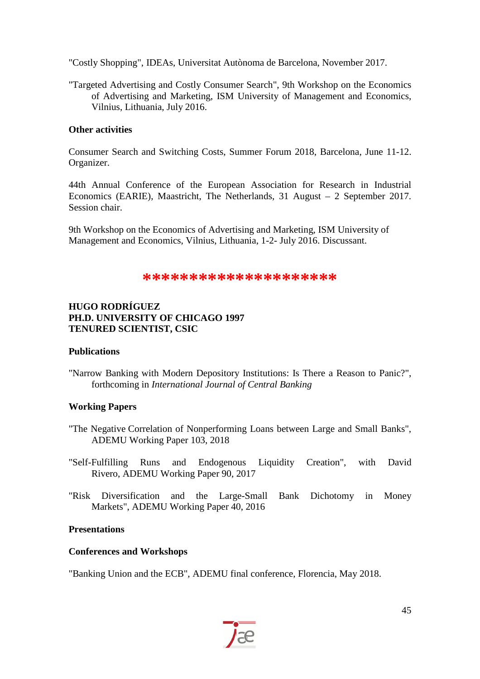"Costly Shopping", IDEAs, Universitat Autònoma de Barcelona, November 2017.

"Targeted Advertising and Costly Consumer Search", 9th Workshop on the Economics of Advertising and Marketing, ISM University of Management and Economics, Vilnius, Lithuania, July 2016.

#### **Other activities**

Consumer Search and Switching Costs, Summer Forum 2018, Barcelona, June 11-12. Organizer.

44th Annual Conference of the European Association for Research in Industrial Economics (EARIE), Maastricht, The Netherlands, 31 August – 2 September 2017. Session chair.

9th Workshop on the Economics of Advertising and Marketing, ISM University of Management and Economics, Vilnius, Lithuania, 1-2- July 2016. Discussant.

#### **\*\*\*\*\*\*\*\*\*\*\*\*\*\*\*\*\*\*\*\*\***

#### **HUGO RODRÍGUEZ PH.D. UNIVERSITY OF CHICAGO 1997 TENURED SCIENTIST, CSIC**

#### **Publications**

"Narrow Banking with Modern Depository Institutions: Is There a Reason to Panic?", forthcoming in *International Journal of Central Banking*

#### **Working Papers**

- "The Negative Correlation of Nonperforming Loans between Large and Small Banks", ADEMU Working Paper 103, 2018
- "Self-Fulfilling Runs and Endogenous Liquidity Creation", with David Rivero, ADEMU Working Paper 90, 2017
- "Risk Diversification and the Large-Small Bank Dichotomy in Money Markets", ADEMU Working Paper 40, 2016

#### **Presentations**

#### **Conferences and Workshops**

"Banking Union and the ECB", ADEMU final conference, Florencia, May 2018.

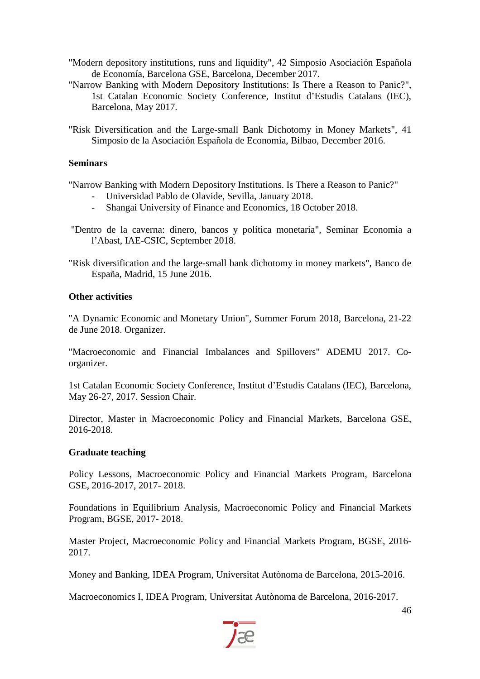- "Modern depository institutions, runs and liquidity", 42 Simposio Asociación Española de Economía, Barcelona GSE, Barcelona, December 2017.
- "Narrow Banking with Modern Depository Institutions: Is There a Reason to Panic?", 1st Catalan Economic Society Conference, Institut d'Estudis Catalans (IEC), Barcelona, May 2017.
- "Risk Diversification and the Large-small Bank Dichotomy in Money Markets", 41 Simposio de la Asociación Española de Economía, Bilbao, December 2016.

#### **Seminars**

"Narrow Banking with Modern Depository Institutions. Is There a Reason to Panic?"

- Universidad Pablo de Olavide, Sevilla, January 2018.
- Shangai University of Finance and Economics, 18 October 2018.
- "Dentro de la caverna: dinero, bancos y política monetaria", Seminar Economia a l'Abast, IAE-CSIC, September 2018.
- "Risk diversification and the large-small bank dichotomy in money markets", Banco de España, Madrid, 15 June 2016.

#### **Other activities**

"A Dynamic Economic and Monetary Union", Summer Forum 2018, Barcelona, 21-22 de June 2018. Organizer.

"Macroeconomic and Financial Imbalances and Spillovers" ADEMU 2017. Coorganizer.

1st Catalan Economic Society Conference, Institut d'Estudis Catalans (IEC), Barcelona, May 26-27, 2017. Session Chair.

Director, Master in Macroeconomic Policy and Financial Markets, Barcelona GSE, 2016-2018.

#### **Graduate teaching**

Policy Lessons, Macroeconomic Policy and Financial Markets Program, Barcelona GSE, 2016-2017, 2017- 2018.

Foundations in Equilibrium Analysis, Macroeconomic Policy and Financial Markets Program, BGSE, 2017- 2018.

Master Project, Macroeconomic Policy and Financial Markets Program, BGSE, 2016- 2017.

Money and Banking, IDEA Program, Universitat Autònoma de Barcelona, 2015-2016.

Macroeconomics I, IDEA Program, Universitat Autònoma de Barcelona, 2016-2017.

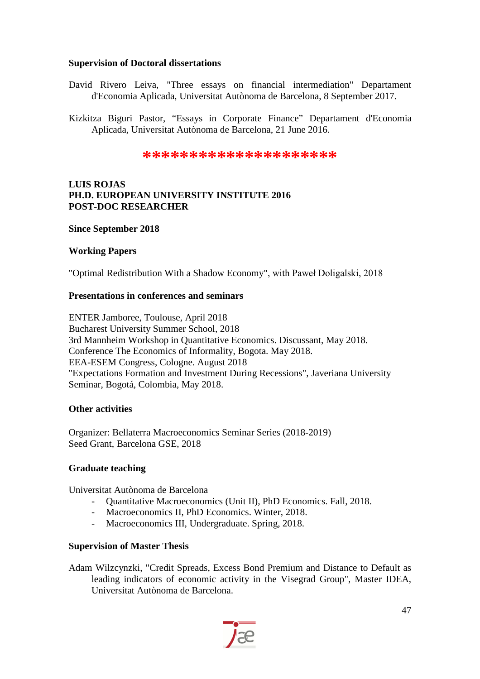#### **Supervision of Doctoral dissertations**

- David Rivero Leiva, "Three essays on financial intermediation" Departament d'Economia Aplicada, Universitat Autònoma de Barcelona, 8 September 2017.
- Kizkitza Biguri Pastor, "Essays in Corporate Finance" Departament d'Economia Aplicada, Universitat Autònoma de Barcelona, 21 June 2016.

#### \*\*\*\*\*\*\*\*\*\*\*\*\*\*\*\*\*\*

#### **LUIS ROJAS PH.D. EUROPEAN UNIVERSITY INSTITUTE 2016 POST-DOC RESEARCHER**

#### **Since September 2018**

#### **Working Papers**

"Optimal Redistribution With a Shadow Economy", with Paweł Doligalski, 2018

#### **Presentations in conferences and seminars**

ENTER Jamboree, Toulouse, April 2018 Bucharest University Summer School, 2018 3rd Mannheim Workshop in Quantitative Economics. Discussant, May 2018. Conference The Economics of Informality, Bogota. May 2018. EEA-ESEM Congress, Cologne. August 2018 "Expectations Formation and Investment During Recessions", Javeriana University Seminar, Bogotá, Colombia, May 2018.

#### **Other activities**

Organizer: Bellaterra Macroeconomics Seminar Series (2018-2019) Seed Grant, Barcelona GSE, 2018

#### **Graduate teaching**

Universitat Autònoma de Barcelona

- Quantitative Macroeconomics (Unit II), PhD Economics. Fall, 2018.
- Macroeconomics II, PhD Economics. Winter, 2018.
- Macroeconomics III, Undergraduate. Spring, 2018.

#### **Supervision of Master Thesis**

Adam Wilzcynzki, "Credit Spreads, Excess Bond Premium and Distance to Default as leading indicators of economic activity in the Visegrad Group", Master IDEA, Universitat Autònoma de Barcelona.

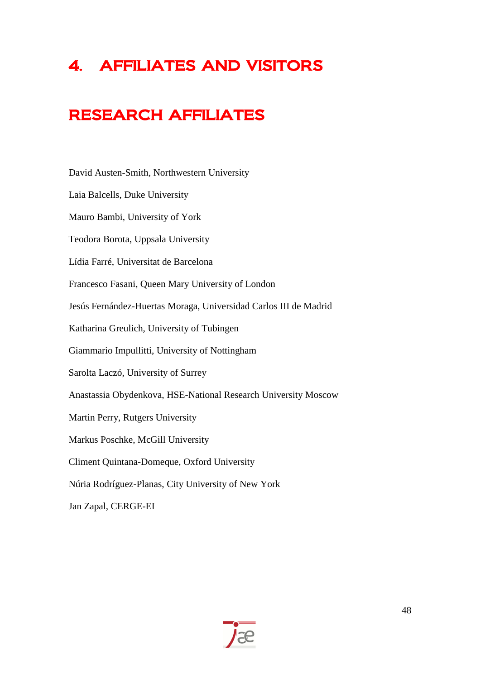# 4. AFFILIATES AND VISITORS

# RESEARCH AFFILIATES

David Austen-Smith, Northwestern University

Laia Balcells, Duke University

Mauro Bambi, University of York

Teodora Borota, Uppsala University

Lídia Farré, Universitat de Barcelona

Francesco Fasani, Queen Mary University of London

Jesús Fernández-Huertas Moraga, Universidad Carlos III de Madrid

Katharina Greulich, University of Tubingen

Giammario Impullitti, University of Nottingham

Sarolta Laczó, University of Surrey

Anastassia Obydenkova, HSE-National Research University Moscow

Martin Perry, Rutgers University

Markus Poschke, McGill University

Climent Quintana-Domeque, Oxford University

Núria Rodríguez-Planas, City University of New York

Jan Zapal, CERGE-EI

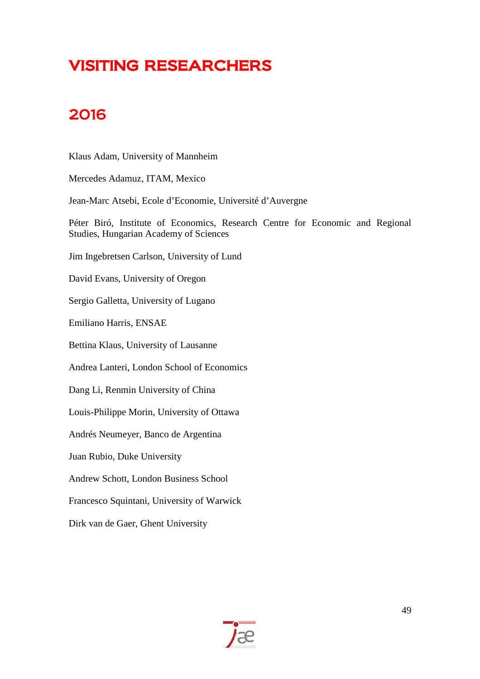# VISITING RESEARCHERS

# 2016

Klaus Adam, University of Mannheim

Mercedes Adamuz, ITAM, Mexico

Jean-Marc Atsebi, Ecole d'Economie, Université d'Auvergne

Péter Biró, Institute of Economics, Research Centre for Economic and Regional Studies, Hungarian Academy of Sciences

Jim Ingebretsen Carlson, University of Lund

David Evans, University of Oregon

Sergio Galletta, University of Lugano

Emiliano Harris, ENSAE

Bettina Klaus, University of Lausanne

Andrea Lanteri, London School of Economics

Dang Li, Renmin University of China

Louis-Philippe Morin, [University of Ottawa](https://ideas.repec.org/f/pmo328.html#subaffil-body-0)

Andrés Neumeyer, Banco de Argentina

Juan Rubio, Duke University

Andrew Schott, London Business School

Francesco Squintani, University of Warwick

Dirk van de Gaer, Ghent University

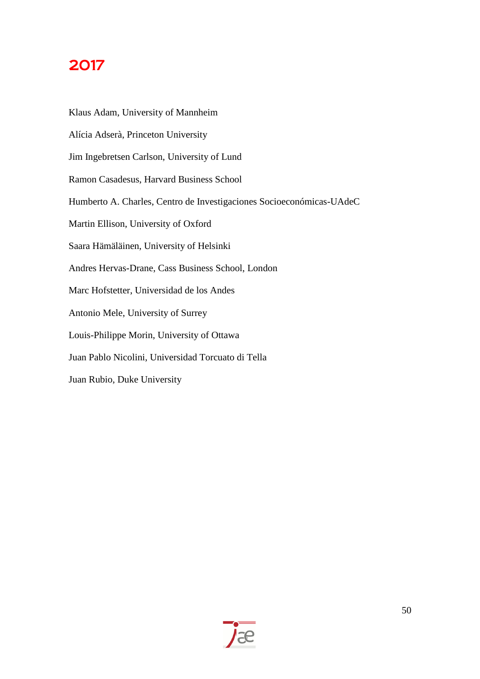## 2017

Klaus Adam, University of Mannheim Alícia Adserà, Princeton University Jim Ingebretsen Carlson, University of Lund Ramon Casadesus, Harvard Business School Humberto A. Charles, Centro de Investigaciones Socioeconómicas-UAdeC Martin Ellison, University of Oxford Saara Hämäläinen, University of Helsinki Andres Hervas-Drane, Cass Business School, London Marc Hofstetter, Universidad de los Andes Antonio Mele, University of Surrey Louis-Philippe Morin, University of Ottawa Juan Pablo Nicolini, Universidad Torcuato di Tella Juan Rubio, Duke University

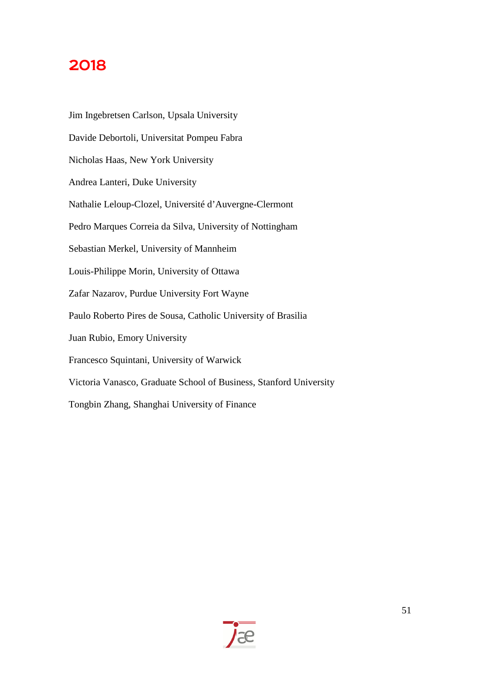### 2018

Jim Ingebretsen Carlson, Upsala University Davide Debortoli, Universitat Pompeu Fabra Nicholas Haas, New York University Andrea Lanteri, Duke University Nathalie Leloup-Clozel, Université d'Auvergne-Clermont Pedro Marques Correia da Silva, University of Nottingham Sebastian Merkel, University of Mannheim Louis-Philippe Morin, University of Ottawa Zafar Nazarov, Purdue University Fort Wayne Paulo Roberto Pires de Sousa, Catholic University of Brasilia Juan Rubio, Emory University Francesco Squintani, University of Warwick Victoria Vanasco, Graduate School of Business, Stanford University Tongbin Zhang, Shanghai University of Finance

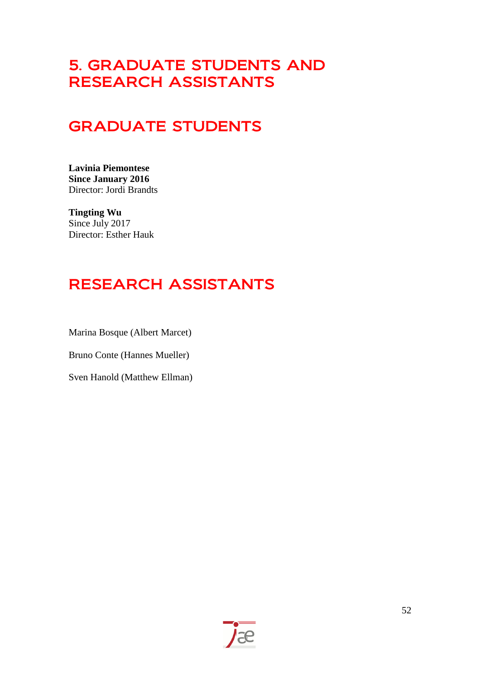## 5. GRADUATE STUDENTS AND RESEARCH ASSISTANTS

## GRADUATE STUDENTS

**Lavinia Piemontese Since January 2016** Director: Jordi Brandts

**Tingting Wu** Since July 2017 Director: Esther Hauk

## RESEARCH ASSISTANTS

Marina Bosque (Albert Marcet)

Bruno Conte (Hannes Mueller)

Sven Hanold (Matthew Ellman)

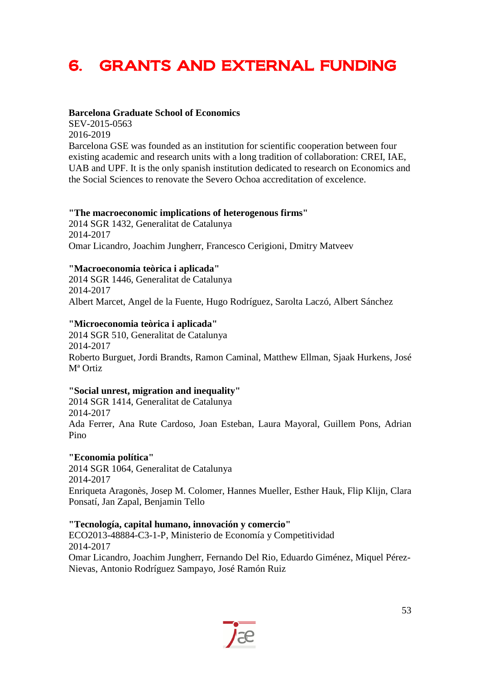# 6. GRANTS AND EXTERNAL FUNDING

#### **Barcelona Graduate School of Economics**

SEV-2015-0563 2016-2019

Barcelona GSE was founded as an institution for scientific cooperation between four existing academic and research units with a long tradition of collaboration: CREI, IAE, UAB and UPF. It is the only spanish institution dedicated to research on Economics and the Social Sciences to renovate the Severo Ochoa accreditation of excelence.

#### **"The macroeconomic implications of heterogenous firms"**

2014 SGR 1432, Generalitat de Catalunya 2014-2017 Omar Licandro, Joachim Jungherr, Francesco Cerigioni, Dmitry Matveev

#### **"Macroeconomia teòrica i aplicada"**

2014 SGR 1446, Generalitat de Catalunya 2014-2017 Albert Marcet, Angel de la Fuente, Hugo Rodríguez, Sarolta Laczó, Albert Sánchez

#### **"Microeconomia teòrica i aplicada"**

2014 SGR 510, Generalitat de Catalunya 2014-2017 Roberto Burguet, Jordi Brandts, Ramon Caminal, Matthew Ellman, Sjaak Hurkens, José Mª Ortiz

#### **"Social unrest, migration and inequality"**

2014 SGR 1414, Generalitat de Catalunya 2014-2017 Ada Ferrer, Ana Rute Cardoso, Joan Esteban, Laura Mayoral, Guillem Pons, Adrian Pino

#### **"Economia política"**

2014 SGR 1064, Generalitat de Catalunya 2014-2017 Enriqueta Aragonès, Josep M. Colomer, Hannes Mueller, Esther Hauk, Flip Klijn, Clara Ponsatí, Jan Zapal, Benjamin Tello

#### **"Tecnología, capital humano, innovación y comercio"**

ECO2013-48884-C3-1-P, Ministerio de Economía y Competitividad 2014-2017 Omar Licandro, Joachim Jungherr, Fernando Del Rio, Eduardo Giménez, Miquel Pérez-Nievas, Antonio Rodríguez Sampayo, José Ramón Ruiz

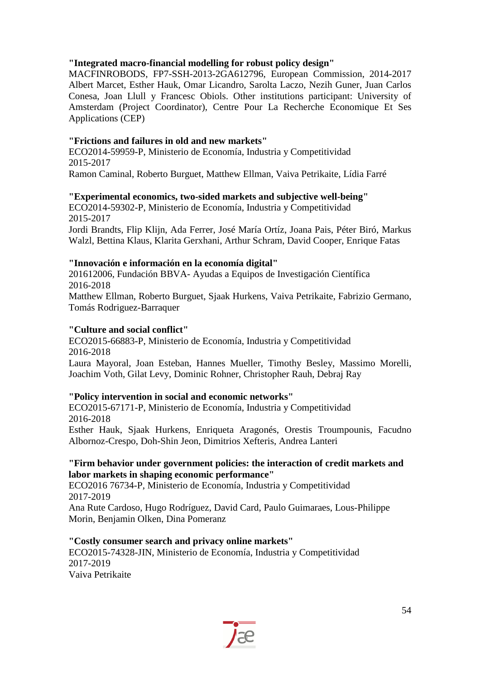#### **"Integrated macro-financial modelling for robust policy design"**

MACFINROBODS, FP7-SSH-2013-2GA612796, European Commission, 2014-2017 Albert Marcet, Esther Hauk, Omar Licandro, Sarolta Laczo, Nezih Guner, Juan Carlos Conesa, Joan Llull y Francesc Obiols. Other institutions participant: University of Amsterdam (Project Coordinator), Centre Pour La Recherche Economique Et Ses Applications (CEP)

#### **"Frictions and failures in old and new markets"**

ECO2014-59959-P, Ministerio de Economía, Industria y Competitividad 2015-2017 Ramon Caminal, Roberto Burguet, Matthew Ellman, Vaiva Petrikaite, Lídia Farré

#### **"Experimental economics, two-sided markets and subjective well-being"**

ECO2014-59302-P, Ministerio de Economía, Industria y Competitividad 2015-2017

Jordi Brandts, Flip Klijn, Ada Ferrer, José María Ortíz, Joana Pais, Péter Biró, Markus Walzl, Bettina Klaus, Klarita Gerxhani, Arthur Schram, David Cooper, Enrique Fatas

#### **"Innovación e información en la economía digital"**

201612006, Fundación BBVA- Ayudas a Equipos de Investigación Científica 2016-2018

Matthew Ellman, Roberto Burguet, Sjaak Hurkens, Vaiva Petrikaite, Fabrizio Germano, Tomás Rodriguez-Barraquer

#### **"Culture and social conflict"**

ECO2015-66883-P, Ministerio de Economía, Industria y Competitividad 2016-2018

Laura Mayoral, Joan Esteban, Hannes Mueller, Timothy Besley, Massimo Morelli, Joachim Voth, Gilat Levy, Dominic Rohner, Christopher Rauh, Debraj Ray

#### **"Policy intervention in social and economic networks"**

ECO2015-67171-P, Ministerio de Economía, Industria y Competitividad 2016-2018

Esther Hauk, Sjaak Hurkens, Enriqueta Aragonés, Orestis Troumpounis, Facudno Albornoz-Crespo, Doh-Shin Jeon, Dimitrios Xefteris, Andrea Lanteri

#### **"Firm behavior under government policies: the interaction of credit markets and labor markets in shaping economic performance"**

ECO2016 76734-P, Ministerio de Economía, Industria y Competitividad 2017-2019

Ana Rute Cardoso, Hugo Rodríguez, David Card, Paulo Guimaraes, Lous-Philippe Morin, Benjamin Olken, Dina Pomeranz

### **"Costly consumer search and privacy online markets"**

ECO2015-74328-JIN, Ministerio de Economía, Industria y Competitividad 2017-2019 Vaiva Petrikaite

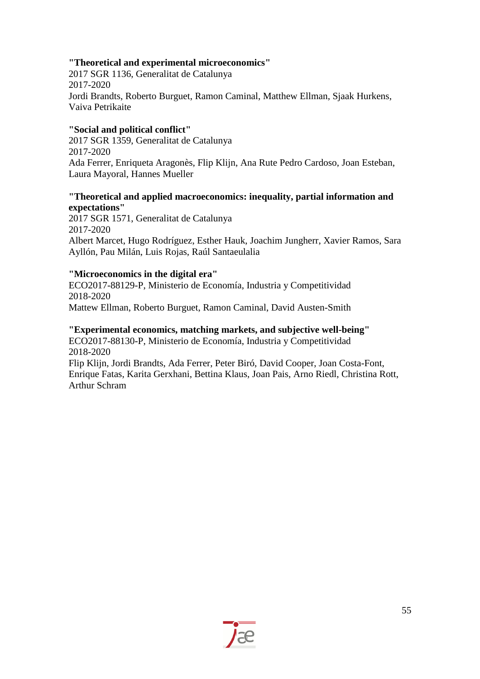#### **"Theoretical and experimental microeconomics"**

2017 SGR 1136, Generalitat de Catalunya 2017-2020 Jordi Brandts, Roberto Burguet, Ramon Caminal, Matthew Ellman, Sjaak Hurkens, Vaiva Petrikaite

#### **"Social and political conflict"**

2017 SGR 1359, Generalitat de Catalunya 2017-2020 Ada Ferrer, Enriqueta Aragonès, Flip Klijn, Ana Rute Pedro Cardoso, Joan Esteban, Laura Mayoral, Hannes Mueller

#### **"Theoretical and applied macroeconomics: inequality, partial information and expectations"**

2017 SGR 1571, Generalitat de Catalunya 2017-2020 Albert Marcet, Hugo Rodríguez, Esther Hauk, Joachim Jungherr, Xavier Ramos, Sara Ayllón, Pau Milán, Luis Rojas, Raúl Santaeulalia

#### **"Microeconomics in the digital era"**

ECO2017-88129-P, Ministerio de Economía, Industria y Competitividad 2018-2020 Mattew Ellman, Roberto Burguet, Ramon Caminal, David Austen-Smith

#### **"Experimental economics, matching markets, and subjective well-being"**

ECO2017-88130-P, Ministerio de Economía, Industria y Competitividad 2018-2020

Flip Klijn, Jordi Brandts, Ada Ferrer, Peter Biró, David Cooper, Joan Costa-Font, Enrique Fatas, Karita Gerxhani, Bettina Klaus, Joan Pais, Arno Riedl, Christina Rott, Arthur Schram

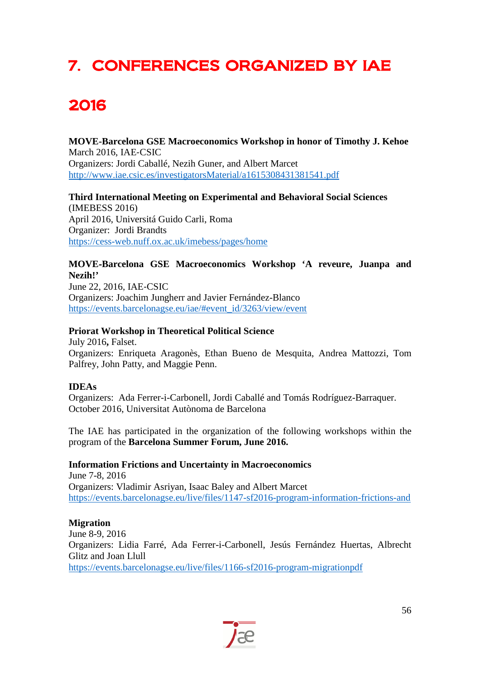# 7. CONFERENCES ORGANIZED BY IAE

# 2016

**MOVE-Barcelona GSE Macroeconomics Workshop in honor of Timothy J. Kehoe** March 2016, IAE‐CSIC Organizers: Jordi Caballé, Nezih Guner, and Albert Marcet <http://www.iae.csic.es/investigatorsMaterial/a1615308431381541.pdf>

**Third International Meeting on Experimental and Behavioral Social Sciences**  (IMEBESS 2016) April 2016, Universitá Guido Carli, Roma Organizer: Jordi Brandts <https://cess-web.nuff.ox.ac.uk/imebess/pages/home>

#### **MOVE**‐**Barcelona GSE Macroeconomics Workshop 'A reveure, Juanpa and Nezih!'**

June 22, 2016, IAE‐CSIC Organizers: Joachim Jungherr and Javier Fernández-Blanco [https://events.barcelonagse.eu/iae/#event\\_id/3263/view/event](https://events.barcelonagse.eu/iae/#event_id/3263/view/event)

#### **Priorat Workshop in Theoretical Political Science**

July 2016**,** Falset. Organizers: Enriqueta Aragonès, Ethan Bueno de Mesquita, Andrea Mattozzi, Tom Palfrey, John Patty, and Maggie Penn.

#### **IDEAs**

Organizers: Ada Ferrer-i-Carbonell, Jordi Caballé and Tomás Rodríguez-Barraquer. October 2016, Universitat Autònoma de Barcelona

The IAE has participated in the organization of the following workshops within the program of the **Barcelona Summer Forum, June 2016.**

#### **Information Frictions and Uncertainty in Macroeconomics**

June 7-8, 2016 Organizers: Vladimir Asriyan, Isaac Baley and Albert Marcet <https://events.barcelonagse.eu/live/files/1147-sf2016-program-information-frictions-and>

#### **Migration**

June 8-9, 2016 Organizers: Lidia Farré, Ada Ferrer-i-Carbonell, Jesús Fernández Huertas, Albrecht Glitz and Joan Llull <https://events.barcelonagse.eu/live/files/1166-sf2016-program-migrationpdf>

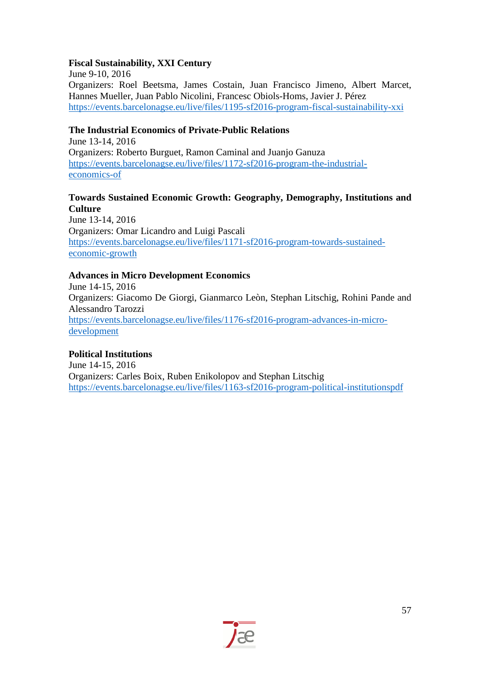#### **Fiscal Sustainability, XXI Century**

June 9-10, 2016 Organizers: Roel Beetsma, James Costain, Juan Francisco Jimeno, Albert Marcet, Hannes Mueller, Juan Pablo Nicolini, Francesc Obiols-Homs, Javier J. Pérez <https://events.barcelonagse.eu/live/files/1195-sf2016-program-fiscal-sustainability-xxi>

#### **The Industrial Economics of Private-Public Relations**

June 13-14, 2016 Organizers: Roberto Burguet, Ramon Caminal and Juanjo Ganuza [https://events.barcelonagse.eu/live/files/1172-sf2016-program-the-industrial](https://events.barcelonagse.eu/live/files/1172-sf2016-program-the-industrial-economics-of)[economics-of](https://events.barcelonagse.eu/live/files/1172-sf2016-program-the-industrial-economics-of)

#### **Towards Sustained Economic Growth: Geography, Demography, Institutions and Culture**

June 13-14, 2016 Organizers: Omar Licandro and Luigi Pascali [https://events.barcelonagse.eu/live/files/1171-sf2016-program-towards-sustained](https://events.barcelonagse.eu/live/files/1171-sf2016-program-towards-sustained-economic-growth)[economic-growth](https://events.barcelonagse.eu/live/files/1171-sf2016-program-towards-sustained-economic-growth)

#### **Advances in Micro Development Economics**

June 14-15, 2016 Organizers: Giacomo De Giorgi, Gianmarco Leòn, Stephan Litschig, Rohini Pande and Alessandro Tarozzi [https://events.barcelonagse.eu/live/files/1176-sf2016-program-advances-in-micro](https://events.barcelonagse.eu/live/files/1176-sf2016-program-advances-in-micro-development)[development](https://events.barcelonagse.eu/live/files/1176-sf2016-program-advances-in-micro-development)

#### **Political Institutions**

June 14-15, 2016 Organizers: Carles Boix, Ruben Enikolopov and Stephan Litschig <https://events.barcelonagse.eu/live/files/1163-sf2016-program-political-institutionspdf>

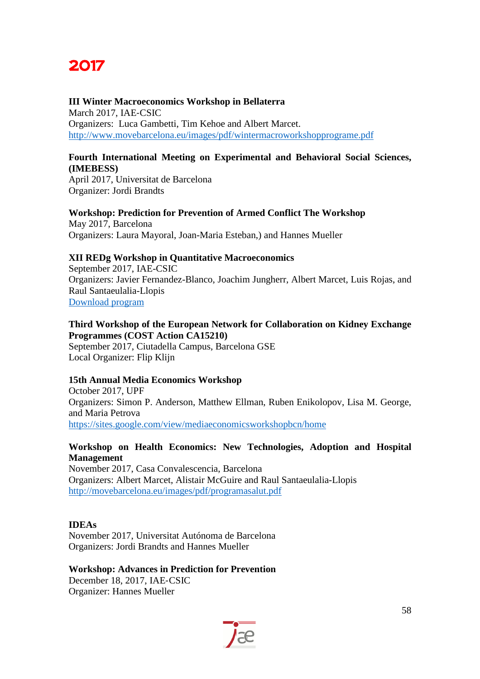

#### **III Winter Macroeconomics Workshop in Bellaterra**

March 2017, IAE‐CSIC Organizers: Luca Gambetti, Tim Kehoe and Albert Marcet. <http://www.movebarcelona.eu/images/pdf/wintermacroworkshopprograme.pdf>

#### **Fourth International Meeting on Experimental and Behavioral Social Sciences, (IMEBESS)**

April 2017, Universitat de Barcelona Organizer: Jordi Brandts

### **Workshop: Prediction for Prevention of Armed Conflict The Workshop**

May 2017, Barcelona Organizers: Laura Mayoral, Joan-Maria Esteban,) and Hannes Mueller

#### **XII REDg Workshop in Quantitative Macroeconomics**

September 2017, IAE-CSIC Organizers: Javier Fernandez-Blanco, Joachim Jungherr, Albert Marcet, Luis Rojas, and Raul Santaeulalia-Llopis [Download program](http://movebarcelona.eu/images/pdf/xiiredgworkshosprogram.pdf)

#### **Third Workshop of the European Network for Collaboration on Kidney Exchange Programmes (COST Action CA15210)**

September 2017, Ciutadella Campus, Barcelona GSE Local Organizer: Flip Klijn

#### **15th Annual Media Economics Workshop**

October 2017, UPF Organizers: Simon P. Anderson, Matthew Ellman, Ruben Enikolopov, Lisa M. George, and Maria Petrova <https://sites.google.com/view/mediaeconomicsworkshopbcn/home>

#### **Workshop on Health Economics: New Technologies, Adoption and Hospital Management**

November 2017, Casa Convalescencia, Barcelona Organizers: Albert Marcet, Alistair McGuire and Raul Santaeulalia-Llopis <http://movebarcelona.eu/images/pdf/programasalut.pdf>

#### **IDEAs**

November 2017, Universitat Autónoma de Barcelona Organizers: Jordi Brandts and Hannes Mueller

#### **Workshop: Advances in Prediction for Prevention**

December 18, 2017, IAE‐CSIC Organizer: Hannes Mueller

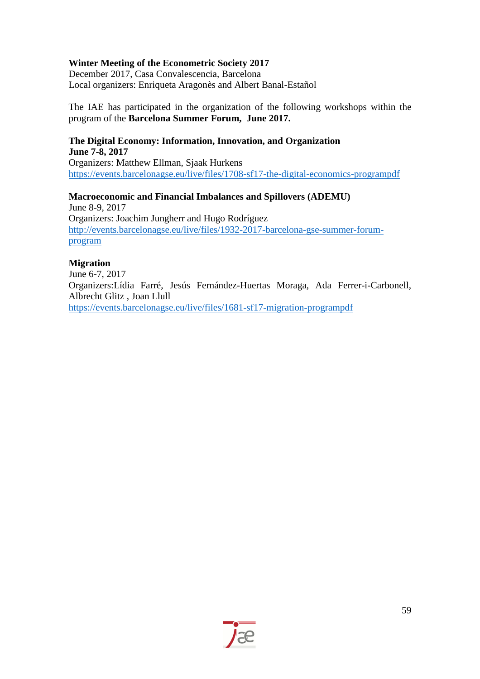#### **Winter Meeting of the Econometric Society 2017**

December 2017, Casa Convalescencia, Barcelona Local organizers: Enriqueta Aragonès and Albert Banal-Estañol

The IAE has participated in the organization of the following workshops within the program of the **Barcelona Summer Forum, June 2017.**

#### **The Digital Economy: Information, Innovation, and Organization**

**June 7-8, 2017** Organizers: Matthew Ellman, Sjaak Hurkens <https://events.barcelonagse.eu/live/files/1708-sf17-the-digital-economics-programpdf>

**Macroeconomic and Financial Imbalances and Spillovers (ADEMU)** June 8-9, 2017 Organizers: Joachim Jungherr and Hugo Rodríguez [http://events.barcelonagse.eu/live/files/1932-2017-barcelona-gse-summer-forum](http://events.barcelonagse.eu/live/files/1932-2017-barcelona-gse-summer-forum-program)[program](http://events.barcelonagse.eu/live/files/1932-2017-barcelona-gse-summer-forum-program)

#### **Migration**

June 6-7, 2017 Organizers:Lídia Farré, Jesús Fernández-Huertas Moraga, Ada Ferrer-i-Carbonell, Albrecht Glitz , Joan Llull <https://events.barcelonagse.eu/live/files/1681-sf17-migration-programpdf>

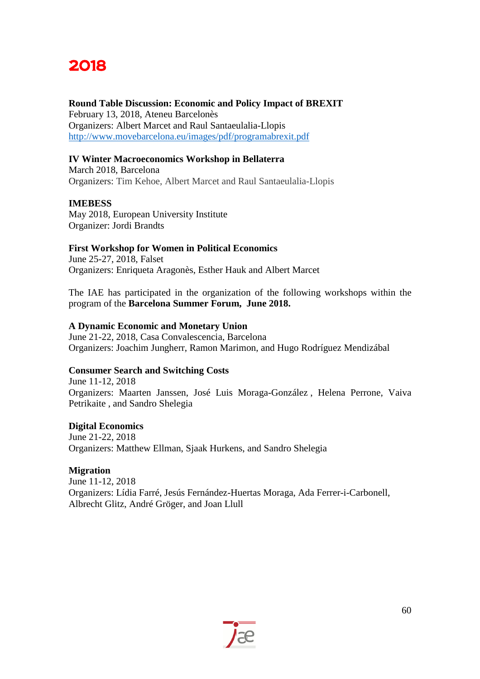## 2018

#### **Round Table Discussion: Economic and Policy Impact of BREXIT**

February 13, 2018, Ateneu Barcelonès Organizers: Albert Marcet and Raul Santaeulalia-Llopis <http://www.movebarcelona.eu/images/pdf/programabrexit.pdf>

#### **IV Winter Macroeconomics Workshop in Bellaterra**

March 2018, Barcelona Organizers: Tim Kehoe, Albert Marcet and Raul Santaeulalia-Llopis

#### **IMEBESS**

May 2018, European University Institute Organizer: Jordi Brandts

#### **First Workshop for Women in Political Economics**

June 25-27, 2018, Falset Organizers: Enriqueta Aragonès, Esther Hauk and Albert Marcet

The IAE has participated in the organization of the following workshops within the program of the **Barcelona Summer Forum, June 2018.**

#### **A Dynamic Economic and Monetary Union**

June 21-22, 2018, Casa Convalescencia, Barcelona Organizers: [Joachim Jungherr,](https://www.barcelonagse.eu/people/jungherr-joachim) [Ramon Marimon,](https://www.barcelonagse.eu/people/marimon-ramon) and [Hugo Rodríguez Mendizábal](https://www.barcelonagse.eu/people/rodriguez-mendizabal-hugo)

#### **Consumer Search and Switching Costs**

June 11-12, 2018 Organizers: [Maarten Janssen,](https://homepage.univie.ac.at/maarten.janssen/) [José Luis Moraga-González](https://research.vu.nl/en/persons/jl-moraga-gonzalez) , [Helena Perrone,](https://www.barcelonagse.eu/people/perrone-helena) [Vaiva](https://www.barcelonagse.eu/people/petrikaite-vaiva)  [Petrikaite](https://www.barcelonagse.eu/people/petrikaite-vaiva) , and [Sandro Shelegia](https://www.barcelonagse.eu/people/shelegia-sandro)

#### **Digital Economics**

June 21-22, 2018 Organizers: [Matthew Ellman,](https://www.barcelonagse.eu/people/ellman-matthew) [Sjaak Hurkens,](https://www.barcelonagse.eu/people/hurkens-sjaak) and [Sandro Shelegia](https://www.barcelonagse.eu/people/shelegia-sandro)

#### **Migration**

June 11-12, 2018 Organizers: [Lídia Farré,](https://sites.google.com/site/lidiafarre78/home) [Jesús Fernández-Huertas Moraga,](https://sites.google.com/site/jfmecon/) [Ada Ferrer-i-Carbonell,](https://www.barcelonagse.eu/people/ferrer-i-carbonell-ada) [Albrecht Glitz,](https://www.barcelonagse.eu/people/glitz-albrecht) [André Gröger,](https://www.barcelonagse.eu/people/groger-andre) and [Joan Llull](https://www.barcelonagse.eu/people/llull-joan)

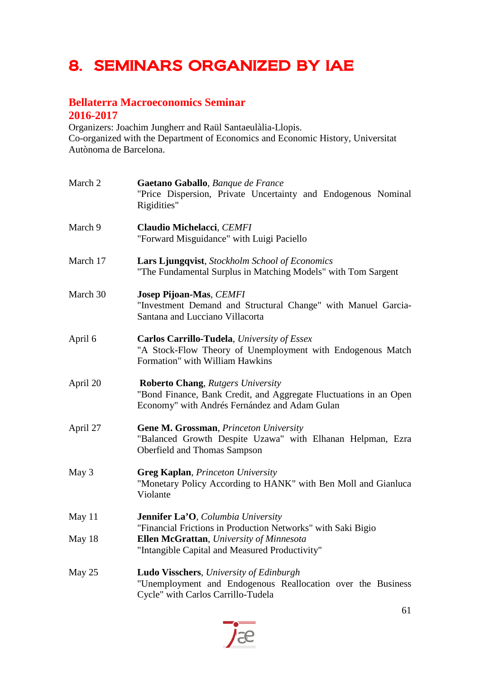# 8. SEMINARS ORGANIZED BY IAE

#### **Bellaterra Macroeconomics Seminar 2016-2017**

Organizers: Joachim Jungherr and Raül Santaeulàlia-Llopis. Co-organized with the Department of Economics and Economic History, Universitat Autònoma de Barcelona.

| March 2  | Gaetano Gaballo, Banque de France<br>"Price Dispersion, Private Uncertainty and Endogenous Nominal<br>Rigidities"                                              |
|----------|----------------------------------------------------------------------------------------------------------------------------------------------------------------|
| March 9  | Claudio Michelacci, CEMFI<br>"Forward Misguidance" with Luigi Paciello                                                                                         |
| March 17 | Lars Ljungqvist, Stockholm School of Economics<br>"The Fundamental Surplus in Matching Models" with Tom Sargent                                                |
| March 30 | Josep Pijoan-Mas, CEMFI<br>"Investment Demand and Structural Change" with Manuel Garcia-<br>Santana and Lucciano Villacorta                                    |
| April 6  | Carlos Carrillo-Tudela, University of Essex<br>"A Stock-Flow Theory of Unemployment with Endogenous Match<br>Formation" with William Hawkins                   |
| April 20 | <b>Roberto Chang, Rutgers University</b><br>"Bond Finance, Bank Credit, and Aggregate Fluctuations in an Open<br>Economy" with Andrés Fernández and Adam Gulan |
| April 27 | <b>Gene M. Grossman</b> , Princeton University<br>"Balanced Growth Despite Uzawa" with Elhanan Helpman, Ezra<br>Oberfield and Thomas Sampson                   |
| May 3    | <b>Greg Kaplan</b> , Princeton University<br>"Monetary Policy According to HANK" with Ben Moll and Gianluca<br>Violante                                        |
| May 11   | Jennifer La'O, Columbia University                                                                                                                             |
| May 18   | "Financial Frictions in Production Networks" with Saki Bigio<br>Ellen McGrattan, University of Minnesota<br>"Intangible Capital and Measured Productivity"     |
| May 25   | Ludo Visschers, University of Edinburgh<br>"Unemployment and Endogenous Reallocation over the Business<br>Cycle" with Carlos Carrillo-Tudela                   |

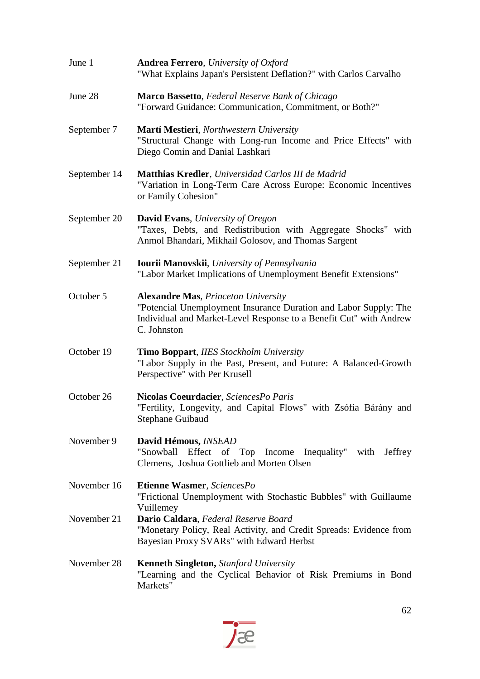| June 1       | <b>Andrea Ferrero</b> , University of Oxford<br>"What Explains Japan's Persistent Deflation?" with Carlos Carvalho                                                                                  |
|--------------|-----------------------------------------------------------------------------------------------------------------------------------------------------------------------------------------------------|
| June 28      | Marco Bassetto, Federal Reserve Bank of Chicago<br>"Forward Guidance: Communication, Commitment, or Both?"                                                                                          |
| September 7  | <b>Martí Mestieri, Northwestern University</b><br>"Structural Change with Long-run Income and Price Effects" with<br>Diego Comin and Danial Lashkari                                                |
| September 14 | Matthias Kredler, Universidad Carlos III de Madrid<br>"Variation in Long-Term Care Across Europe: Economic Incentives<br>or Family Cohesion"                                                        |
| September 20 | <b>David Evans, University of Oregon</b><br>"Taxes, Debts, and Redistribution with Aggregate Shocks" with<br>Anmol Bhandari, Mikhail Golosov, and Thomas Sargent                                    |
| September 21 | <b>Iourii Manovskii</b> , University of Pennsylvania<br>"Labor Market Implications of Unemployment Benefit Extensions"                                                                              |
| October 5    | <b>Alexandre Mas, Princeton University</b><br>"Potencial Unemployment Insurance Duration and Labor Supply: The<br>Individual and Market-Level Response to a Benefit Cut" with Andrew<br>C. Johnston |
| October 19   | <b>Timo Boppart, IIES Stockholm University</b><br>"Labor Supply in the Past, Present, and Future: A Balanced-Growth<br>Perspective" with Per Krusell                                                |
| October 26   | Nicolas Coeurdacier, SciencesPo Paris<br>"Fertility, Longevity, and Capital Flows" with Zsófia Bárány and<br>Stephane Guibaud                                                                       |
| November 9   | David Hémous, <i>INSEAD</i><br>"Snowball Effect of Top Income Inequality" with Jeffrey<br>Clemens, Joshua Gottlieb and Morten Olsen                                                                 |
| November 16  | Etienne Wasmer, SciencesPo<br>"Frictional Unemployment with Stochastic Bubbles" with Guillaume                                                                                                      |
| November 21  | Vuillemey<br>Dario Caldara, Federal Reserve Board<br>"Monetary Policy, Real Activity, and Credit Spreads: Evidence from<br>Bayesian Proxy SVARs" with Edward Herbst                                 |
| November 28  | <b>Kenneth Singleton, Stanford University</b><br>"Learning and the Cyclical Behavior of Risk Premiums in Bond<br>Markets"                                                                           |

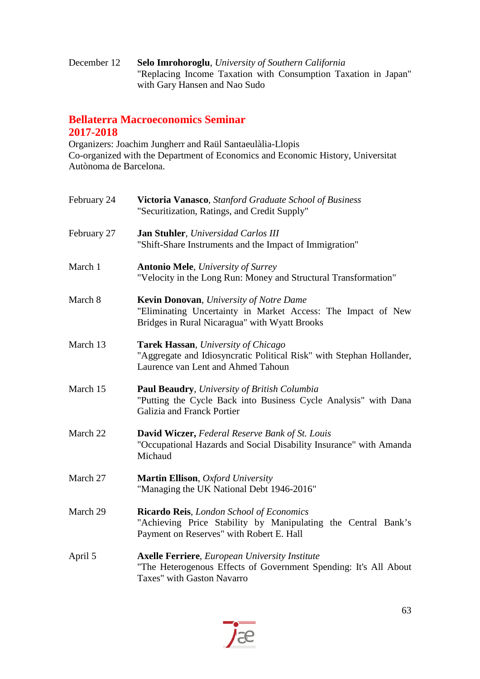December 12 **Selo Imrohoroglu**, *University of Southern California* "Replacing Income Taxation with Consumption Taxation in Japan" with Gary Hansen and Nao Sudo

### **Bellaterra Macroeconomics Seminar 2017-2018**

Organizers: Joachim Jungherr and Raül Santaeulàlia-Llopis Co-organized with the Department of Economics and Economic History, Universitat Autònoma de Barcelona.

| February 24 | Victoria Vanasco, Stanford Graduate School of Business<br>"Securitization, Ratings, and Credit Supply"                                                    |
|-------------|-----------------------------------------------------------------------------------------------------------------------------------------------------------|
| February 27 | Jan Stuhler, Universidad Carlos III<br>"Shift-Share Instruments and the Impact of Immigration"                                                            |
| March 1     | <b>Antonio Mele, University of Surrey</b><br>"Velocity in the Long Run: Money and Structural Transformation"                                              |
| March 8     | Kevin Donovan, University of Notre Dame<br>"Eliminating Uncertainty in Market Access: The Impact of New<br>Bridges in Rural Nicaragua" with Wyatt Brooks  |
| March 13    | <b>Tarek Hassan</b> , University of Chicago<br>"Aggregate and Idiosyncratic Political Risk" with Stephan Hollander,<br>Laurence van Lent and Ahmed Tahoun |
| March 15    | Paul Beaudry, University of British Columbia<br>"Putting the Cycle Back into Business Cycle Analysis" with Dana<br>Galizia and Franck Portier             |
| March 22    | <b>David Wiczer, Federal Reserve Bank of St. Louis</b><br>"Occupational Hazards and Social Disability Insurance" with Amanda<br>Michaud                   |
| March 27    | <b>Martin Ellison</b> , <i>Oxford University</i><br>"Managing the UK National Debt 1946-2016"                                                             |
| March 29    | Ricardo Reis, London School of Economics<br>"Achieving Price Stability by Manipulating the Central Bank's<br>Payment on Reserves" with Robert E. Hall     |
| April 5     | <b>Axelle Ferriere</b> , European University Institute<br>"The Heterogenous Effects of Government Spending: It's All About<br>Taxes" with Gaston Navarro  |

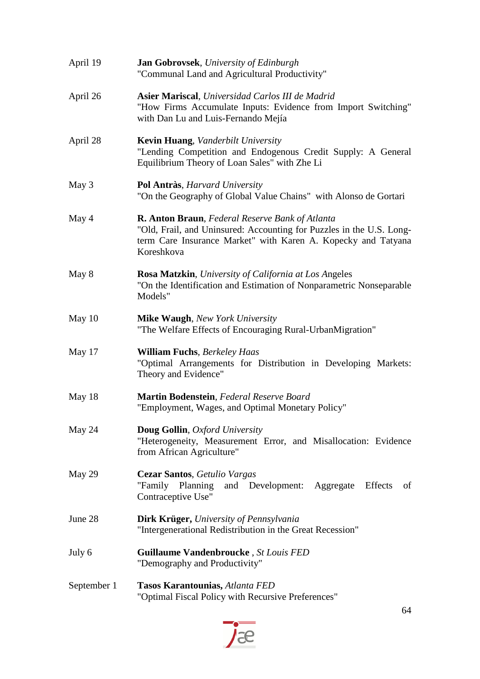| April 19    | <b>Jan Gobrovsek</b> , University of Edinburgh<br>"Communal Land and Agricultural Productivity"                                                                                                               |
|-------------|---------------------------------------------------------------------------------------------------------------------------------------------------------------------------------------------------------------|
| April 26    | <b>Asier Mariscal</b> , Universidad Carlos III de Madrid<br>"How Firms Accumulate Inputs: Evidence from Import Switching"<br>with Dan Lu and Luis-Fernando Mejía                                              |
| April 28    | <b>Kevin Huang, Vanderbilt University</b><br>"Lending Competition and Endogenous Credit Supply: A General<br>Equilibrium Theory of Loan Sales" with Zhe Li                                                    |
| May 3       | Pol Antràs, Harvard University<br>"On the Geography of Global Value Chains" with Alonso de Gortari                                                                                                            |
| May 4       | <b>R. Anton Braun, Federal Reserve Bank of Atlanta</b><br>"Old, Frail, and Uninsured: Accounting for Puzzles in the U.S. Long-<br>term Care Insurance Market" with Karen A. Kopecky and Tatyana<br>Koreshkova |
| May 8       | Rosa Matzkin, University of California at Los Angeles<br>"On the Identification and Estimation of Nonparametric Nonseparable<br>Models"                                                                       |
| May 10      | <b>Mike Waugh, New York University</b><br>"The Welfare Effects of Encouraging Rural-UrbanMigration"                                                                                                           |
| May 17      | <b>William Fuchs</b> , Berkeley Haas<br>"Optimal Arrangements for Distribution in Developing Markets:<br>Theory and Evidence"                                                                                 |
| May 18      | Martin Bodenstein, Federal Reserve Board<br>"Employment, Wages, and Optimal Monetary Policy"                                                                                                                  |
| May 24      | <b>Doug Gollin, Oxford University</b><br>"Heterogeneity, Measurement Error, and Misallocation: Evidence<br>from African Agriculture"                                                                          |
| May 29      | Cezar Santos, Getulio Vargas<br>and Development: Aggregate<br>"Family Planning<br>Effects<br>of<br>Contraceptive Use"                                                                                         |
| June 28     | <b>Dirk Krüger, University of Pennsylvania</b><br>"Intergenerational Redistribution in the Great Recession"                                                                                                   |
| July 6      | <b>Guillaume Vandenbroucke</b> , St Louis FED<br>"Demography and Productivity"                                                                                                                                |
| September 1 | <b>Tasos Karantounias, Atlanta FED</b><br>"Optimal Fiscal Policy with Recursive Preferences"                                                                                                                  |

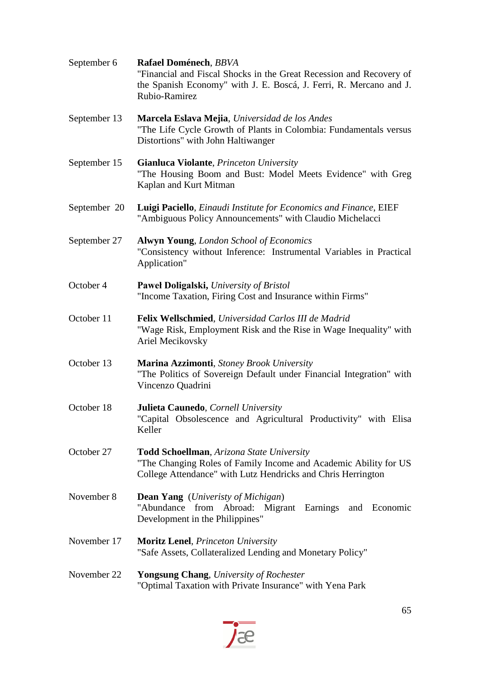| September 6  | Rafael Doménech, BBVA<br>"Financial and Fiscal Shocks in the Great Recession and Recovery of<br>the Spanish Economy" with J. E. Boscá, J. Ferri, R. Mercano and J.<br>Rubio-Ramirez  |
|--------------|--------------------------------------------------------------------------------------------------------------------------------------------------------------------------------------|
| September 13 | <b>Marcela Eslava Mejia</b> , Universidad de los Andes<br>"The Life Cycle Growth of Plants in Colombia: Fundamentals versus<br>Distortions" with John Haltiwanger                    |
| September 15 | <b>Gianluca Violante, Princeton University</b><br>"The Housing Boom and Bust: Model Meets Evidence" with Greg<br>Kaplan and Kurt Mitman                                              |
| September 20 | Luigi Paciello, Einaudi Institute for Economics and Finance, EIEF<br>"Ambiguous Policy Announcements" with Claudio Michelacci                                                        |
| September 27 | <b>Alwyn Young, London School of Economics</b><br>"Consistency without Inference: Instrumental Variables in Practical<br>Application"                                                |
| October 4    | Paweł Doligalski, University of Bristol<br>"Income Taxation, Firing Cost and Insurance within Firms"                                                                                 |
| October 11   | Felix Wellschmied, Universidad Carlos III de Madrid<br>"Wage Risk, Employment Risk and the Rise in Wage Inequality" with<br>Ariel Mecikovsky                                         |
| October 13   | Marina Azzimonti, Stoney Brook University<br>"The Politics of Sovereign Default under Financial Integration" with<br>Vincenzo Quadrini                                               |
| October 18   | <b>Julieta Caunedo, Cornell University</b><br>"Capital Obsolescence and Agricultural Productivity" with Elisa<br>Keller                                                              |
| October 27   | <b>Todd Schoellman, Arizona State University</b><br>"The Changing Roles of Family Income and Academic Ability for US<br>College Attendance" with Lutz Hendricks and Chris Herrington |
| November 8   | <b>Dean Yang</b> ( <i>Univeristy of Michigan</i> )<br>"Abundance"<br>from<br>Abroad: Migrant Earnings and Economic<br>Development in the Philippines"                                |
| November 17  | <b>Moritz Lenel</b> , Princeton University<br>"Safe Assets, Collateralized Lending and Monetary Policy"                                                                              |
| November 22  | <b>Yongsung Chang, University of Rochester</b><br>"Optimal Taxation with Private Insurance" with Yena Park                                                                           |

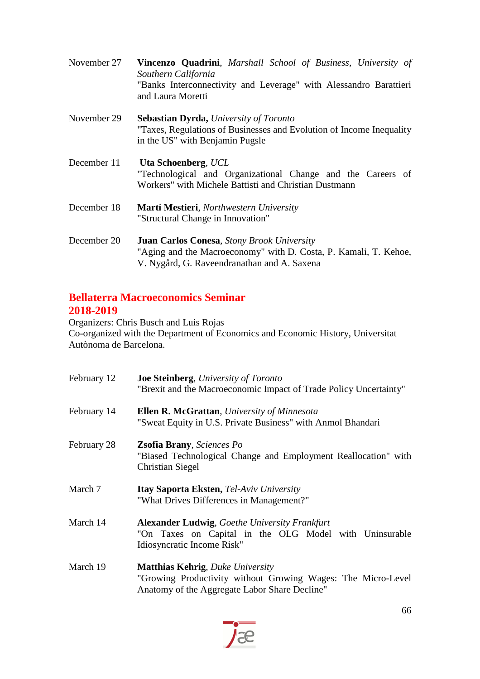| November 27 | <b>Vincenzo Quadrini</b> , Marshall School of Business, University of<br>Southern California<br>"Banks Interconnectivity and Leverage" with Alessandro Barattieri<br>and Laura Moretti |
|-------------|----------------------------------------------------------------------------------------------------------------------------------------------------------------------------------------|
| November 29 | <b>Sebastian Dyrda, University of Toronto</b><br>"Taxes, Regulations of Businesses and Evolution of Income Inequality<br>in the US" with Benjamin Pugsle                               |
| December 11 | Uta Schoenberg, UCL<br>"Technological and Organizational Change and the Careers of<br>Workers" with Michele Battisti and Christian Dustmann                                            |
| December 18 | <b>Martí Mestieri, Northwestern University</b><br>"Structural Change in Innovation"                                                                                                    |
| December 20 | Juan Carlos Conesa, Stony Brook University<br>"Aging and the Macroeconomy" with D. Costa, P. Kamali, T. Kehoe,<br>V. Nygård, G. Raveendranathan and A. Saxena                          |

### **Bellaterra Macroeconomics Seminar 2018-2019**

Organizers: Chris Busch and Luis Rojas Co-organized with the Department of Economics and Economic History, Universitat Autònoma de Barcelona.

| February 12 | <b>Joe Steinberg, University of Toronto</b><br>"Brexit and the Macroeconomic Impact of Trade Policy Uncertainty"                                         |
|-------------|----------------------------------------------------------------------------------------------------------------------------------------------------------|
| February 14 | <b>Ellen R. McGrattan, University of Minnesota</b><br>"Sweat Equity in U.S. Private Business" with Anmol Bhandari                                        |
| February 28 | <b>Zsofia Brany</b> , Sciences Po<br>"Biased Technological Change and Employment Reallocation" with<br><b>Christian Siegel</b>                           |
| March 7     | <b>Itay Saporta Eksten, Tel-Aviv University</b><br>"What Drives Differences in Management?"                                                              |
| March 14    | <b>Alexander Ludwig, Goethe University Frankfurt</b><br>"On Taxes on Capital in the OLG Model with Uninsurable<br>Idiosyncratic Income Risk"             |
| March 19    | <b>Matthias Kehrig, Duke University</b><br>"Growing Productivity without Growing Wages: The Micro-Level<br>Anatomy of the Aggregate Labor Share Decline" |

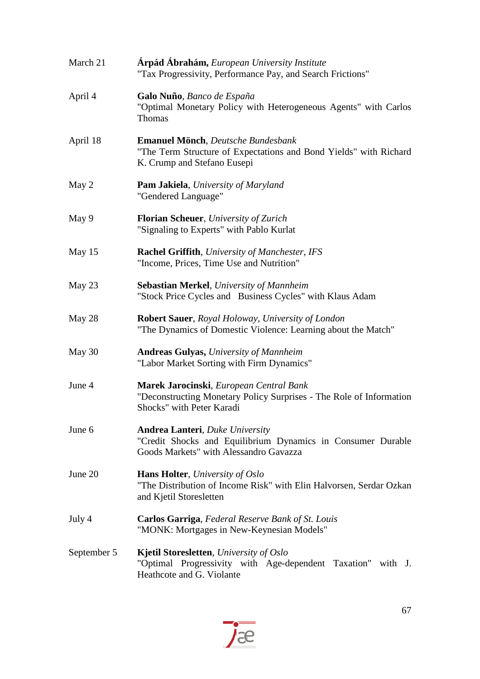| March 21    | <b>Árpád Ábrahám, European University Institute</b><br>"Tax Progressivity, Performance Pay, and Search Frictions"                                |
|-------------|--------------------------------------------------------------------------------------------------------------------------------------------------|
| April 4     | Galo Nuño, Banco de España<br>"Optimal Monetary Policy with Heterogeneous Agents" with Carlos<br><b>Thomas</b>                                   |
| April 18    | <b>Emanuel Mönch</b> , Deutsche Bundesbank<br>"The Term Structure of Expectations and Bond Yields" with Richard<br>K. Crump and Stefano Eusepi   |
| May 2       | <b>Pam Jakiela</b> , University of Maryland<br>"Gendered Language"                                                                               |
| May 9       | <b>Florian Scheuer</b> , University of Zurich<br>"Signaling to Experts" with Pablo Kurlat                                                        |
| May 15      | <b>Rachel Griffith</b> , University of Manchester, IFS<br>"Income, Prices, Time Use and Nutrition"                                               |
| May 23      | <b>Sebastian Merkel</b> , University of Mannheim<br>"Stock Price Cycles and Business Cycles" with Klaus Adam                                     |
| May 28      | <b>Robert Sauer</b> , Royal Holoway, University of London<br>"The Dynamics of Domestic Violence: Learning about the Match"                       |
| May 30      | <b>Andreas Gulyas, University of Mannheim</b><br>"Labor Market Sorting with Firm Dynamics"                                                       |
| June 4      | Marek Jarocinski, European Central Bank<br>"Deconstructing Monetary Policy Surprises - The Role of Information<br>Shocks" with Peter Karadi      |
| June 6      | <b>Andrea Lanteri</b> , Duke University<br>"Credit Shocks and Equilibrium Dynamics in Consumer Durable<br>Goods Markets" with Alessandro Gavazza |
| June 20     | Hans Holter, University of Oslo<br>"The Distribution of Income Risk" with Elin Halvorsen, Serdar Ozkan<br>and Kjetil Storesletten                |
| July 4      | <b>Carlos Garriga, Federal Reserve Bank of St. Louis</b><br>"MONK: Mortgages in New-Keynesian Models"                                            |
| September 5 | <b>Kjetil Storesletten</b> , University of Oslo<br>"Optimal Progressivity with Age-dependent Taxation" with J.<br>Heathcote and G. Violante      |

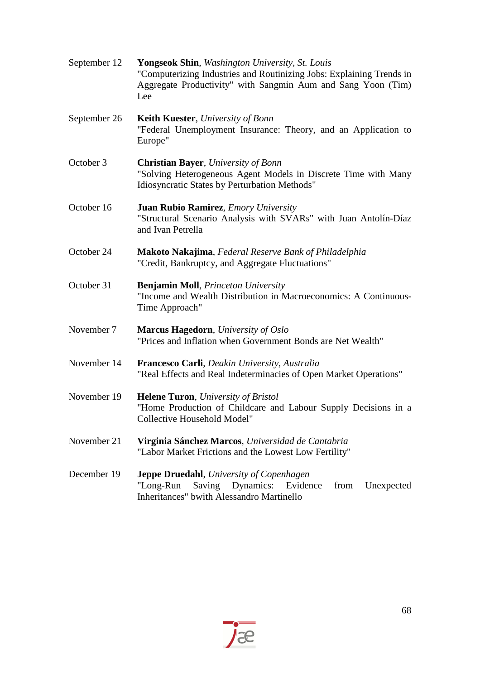| September 12 | Yongseok Shin, Washington University, St. Louis<br>"Computerizing Industries and Routinizing Jobs: Explaining Trends in<br>Aggregate Productivity" with Sangmin Aum and Sang Yoon (Tim)<br>Lee |
|--------------|------------------------------------------------------------------------------------------------------------------------------------------------------------------------------------------------|
| September 26 | Keith Kuester, University of Bonn<br>"Federal Unemployment Insurance: Theory, and an Application to<br>Europe"                                                                                 |
| October 3    | <b>Christian Bayer</b> , University of Bonn<br>"Solving Heterogeneous Agent Models in Discrete Time with Many<br>Idiosyncratic States by Perturbation Methods"                                 |
| October 16   | <b>Juan Rubio Ramirez, Emory University</b><br>"Structural Scenario Analysis with SVARs" with Juan Antolín-Díaz<br>and Ivan Petrella                                                           |
| October 24   | Makoto Nakajima, Federal Reserve Bank of Philadelphia<br>"Credit, Bankruptcy, and Aggregate Fluctuations"                                                                                      |
| October 31   | <b>Benjamin Moll</b> , Princeton University<br>"Income and Wealth Distribution in Macroeconomics: A Continuous-<br>Time Approach"                                                              |
| November 7   | <b>Marcus Hagedorn</b> , University of Oslo<br>"Prices and Inflation when Government Bonds are Net Wealth"                                                                                     |
| November 14  | <b>Francesco Carli</b> , Deakin University, Australia<br>"Real Effects and Real Indeterminacies of Open Market Operations"                                                                     |
| November 19  | Helene Turon, University of Bristol<br>"Home Production of Childcare and Labour Supply Decisions in a<br>Collective Household Model"                                                           |
| November 21  | Virginia Sánchez Marcos, Universidad de Cantabria<br>"Labor Market Frictions and the Lowest Low Fertility"                                                                                     |
| December 19  | <b>Jeppe Druedahl</b> , University of Copenhagen<br>"Long-Run<br>Saving Dynamics:<br>Evidence<br>from<br>Unexpected<br><b>Inheritances</b> " bwith Alessandro Martinello                       |

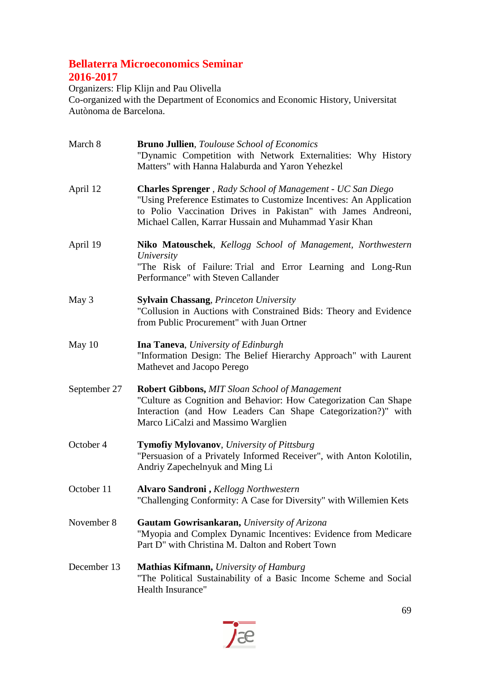### **Bellaterra Microeconomics Seminar 2016-2017**

Organizers: Flip Klijn and Pau Olivella Co-organized with the Department of Economics and Economic History, Universitat Autònoma de Barcelona.

| March 8      | <b>Bruno Jullien, Toulouse School of Economics</b><br>"Dynamic Competition with Network Externalities: Why History<br>Matters" with Hanna Halaburda and Yaron Yehezkel                                                                                               |
|--------------|----------------------------------------------------------------------------------------------------------------------------------------------------------------------------------------------------------------------------------------------------------------------|
| April 12     | <b>Charles Sprenger</b> , Rady School of Management - UC San Diego<br>"Using Preference Estimates to Customize Incentives: An Application<br>to Polio Vaccination Drives in Pakistan" with James Andreoni,<br>Michael Callen, Karrar Hussain and Muhammad Yasir Khan |
| April 19     | Niko Matouschek, Kellogg School of Management, Northwestern<br>University<br>"The Risk of Failure: Trial and Error Learning and Long-Run<br>Performance" with Steven Callander                                                                                       |
| May 3        | <b>Sylvain Chassang, Princeton University</b><br>"Collusion in Auctions with Constrained Bids: Theory and Evidence<br>from Public Procurement" with Juan Ortner                                                                                                      |
| May 10       | <b>Ina Taneva, University of Edinburgh</b><br>"Information Design: The Belief Hierarchy Approach" with Laurent<br>Mathevet and Jacopo Perego                                                                                                                         |
| September 27 | <b>Robert Gibbons, MIT Sloan School of Management</b><br>"Culture as Cognition and Behavior: How Categorization Can Shape<br>Interaction (and How Leaders Can Shape Categorization?)" with<br>Marco LiCalzi and Massimo Warglien                                     |
| October 4    | <b>Tymofiy Mylovanov</b> , University of Pittsburg<br>"Persuasion of a Privately Informed Receiver", with Anton Kolotilin,<br>Andriy Zapechelnyuk and Ming Li                                                                                                        |
| October 11   | Alvaro Sandroni, Kellogg Northwestern<br>"Challenging Conformity: A Case for Diversity" with Willemien Kets                                                                                                                                                          |
| November 8   | Gautam Gowrisankaran, University of Arizona<br>"Myopia and Complex Dynamic Incentives: Evidence from Medicare<br>Part D" with Christina M. Dalton and Robert Town                                                                                                    |
| December 13  | <b>Mathias Kifmann, University of Hamburg</b><br>"The Political Sustainability of a Basic Income Scheme and Social<br>Health Insurance"                                                                                                                              |

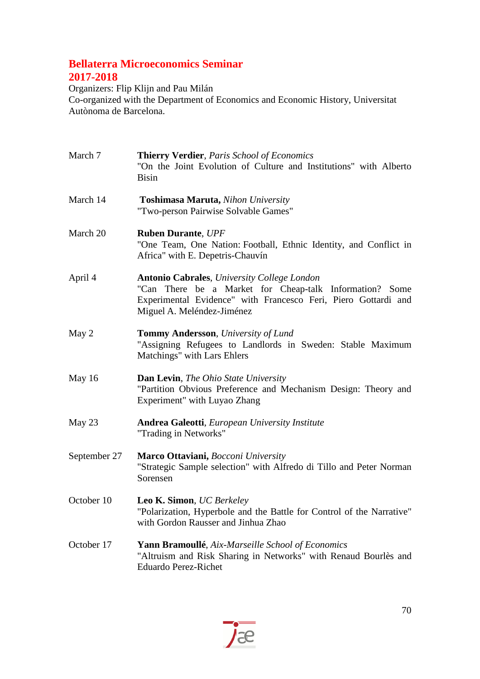#### **Bellaterra Microeconomics Seminar 2017-2018**

Organizers: Flip Klijn and Pau Milán Co-organized with the Department of Economics and Economic History, Universitat Autònoma de Barcelona.

| March 7      | Thierry Verdier, Paris School of Economics<br>"On the Joint Evolution of Culture and Institutions" with Alberto<br><b>Bisin</b>                                                                                |
|--------------|----------------------------------------------------------------------------------------------------------------------------------------------------------------------------------------------------------------|
| March 14     | <b>Toshimasa Maruta, Nihon University</b><br>"Two-person Pairwise Solvable Games"                                                                                                                              |
| March 20     | <b>Ruben Durante, UPF</b><br>"One Team, One Nation: Football, Ethnic Identity, and Conflict in<br>Africa" with E. Depetris-Chauvín                                                                             |
| April 4      | <b>Antonio Cabrales</b> , University College London<br>"Can There be a Market for Cheap-talk Information? Some<br>Experimental Evidence" with Francesco Feri, Piero Gottardi and<br>Miguel A. Meléndez-Jiménez |
| May 2        | Tommy Andersson, University of Lund<br>"Assigning Refugees to Landlords in Sweden: Stable Maximum<br>Matchings" with Lars Ehlers                                                                               |
| May 16       | <b>Dan Levin, The Ohio State University</b><br>"Partition Obvious Preference and Mechanism Design: Theory and<br>Experiment" with Luyao Zhang                                                                  |
| May 23       | <b>Andrea Galeotti, European University Institute</b><br>"Trading in Networks"                                                                                                                                 |
| September 27 | Marco Ottaviani, Bocconi University<br>"Strategic Sample selection" with Alfredo di Tillo and Peter Norman<br>Sorensen                                                                                         |
| October 10   | <b>Leo K. Simon, UC Berkeley</b><br>"Polarization, Hyperbole and the Battle for Control of the Narrative"<br>with Gordon Rausser and Jinhua Zhao                                                               |
| October 17   | Yann Bramoullé, Aix-Marseille School of Economics<br>"Altruism and Risk Sharing in Networks" with Renaud Bourlès and<br><b>Eduardo Perez-Richet</b>                                                            |

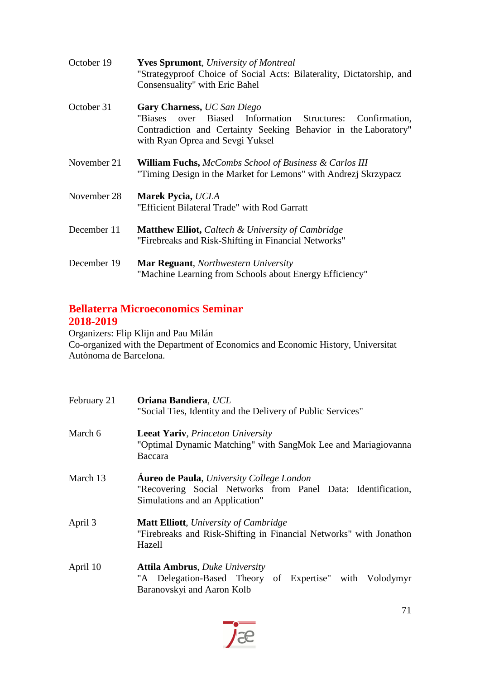| October 19  | <b>Yves Sprumont</b> , University of Montreal<br>"Strategyproof Choice of Social Acts: Bilaterality, Dictatorship, and<br>Consensuality" with Eric Bahel                                           |
|-------------|----------------------------------------------------------------------------------------------------------------------------------------------------------------------------------------------------|
| October 31  | Gary Charness, UC San Diego<br>over Biased Information Structures: Confirmation,<br>"Biases<br>Contradiction and Certainty Seeking Behavior in the Laboratory"<br>with Ryan Oprea and Sevgi Yuksel |
| November 21 | <b>William Fuchs, McCombs School of Business &amp; Carlos III</b><br>"Timing Design in the Market for Lemons" with Andrezj Skrzypacz                                                               |
| November 28 | Marek Pycia, UCLA<br>"Efficient Bilateral Trade" with Rod Garratt                                                                                                                                  |
| December 11 | <b>Matthew Elliot, Caltech &amp; University of Cambridge</b><br>"Firebreaks and Risk-Shifting in Financial Networks"                                                                               |
| December 19 | <b>Mar Reguant, Northwestern University</b><br>"Machine Learning from Schools about Energy Efficiency"                                                                                             |

### **Bellaterra Microeconomics Seminar 2018-2019**

Organizers: Flip Klijn and Pau Milán Co-organized with the Department of Economics and Economic History, Universitat Autònoma de Barcelona.

| February 21 | Oriana Bandiera, UCL                                                                                                                                 |
|-------------|------------------------------------------------------------------------------------------------------------------------------------------------------|
|             | "Social Ties, Identity and the Delivery of Public Services"                                                                                          |
| March 6     | <b>Leeat Yariv</b> , <i>Princeton University</i><br>"Optimal Dynamic Matching" with SangMok Lee and Mariagiovanna<br>Baccara                         |
| March 13    | <b>Áureo de Paula</b> , University College London<br>"Recovering Social Networks from Panel Data: Identification,<br>Simulations and an Application" |
| April 3     | <b>Matt Elliott, University of Cambridge</b><br>"Firebreaks and Risk-Shifting in Financial Networks" with Jonathon<br>Hazell                         |
| April 10    | <b>Attila Ambrus</b> , Duke University<br>"A Delegation-Based Theory of Expertise" with Volodymyr<br>Baranovskyi and Aaron Kolb                      |

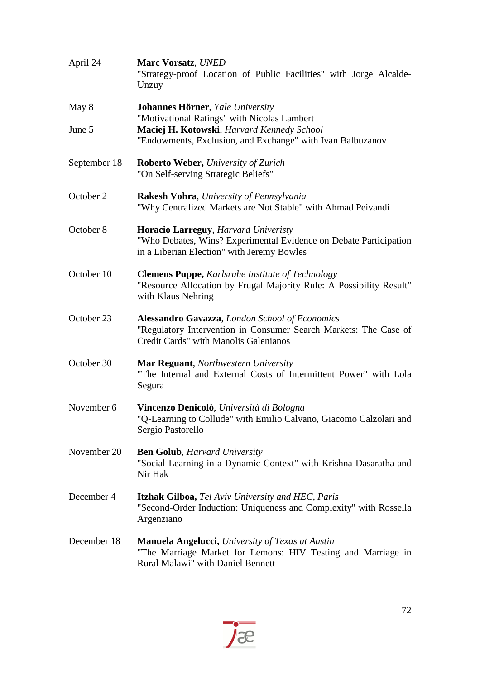| April 24     | <b>Marc Vorsatz, UNED</b><br>"Strategy-proof Location of Public Facilities" with Jorge Alcalde-<br>Unzuy                                                     |
|--------------|--------------------------------------------------------------------------------------------------------------------------------------------------------------|
| May 8        | <b>Johannes Hörner</b> , Yale University                                                                                                                     |
| June 5       | "Motivational Ratings" with Nicolas Lambert<br>Maciej H. Kotowski, Harvard Kennedy School<br>"Endowments, Exclusion, and Exchange" with Ivan Balbuzanov      |
| September 18 | <b>Roberto Weber, University of Zurich</b><br>"On Self-serving Strategic Beliefs"                                                                            |
| October 2    | <b>Rakesh Vohra, University of Pennsylvania</b><br>"Why Centralized Markets are Not Stable" with Ahmad Peivandi                                              |
| October 8    | Horacio Larreguy, Harvard Univeristy<br>"Who Debates, Wins? Experimental Evidence on Debate Participation<br>in a Liberian Election" with Jeremy Bowles      |
| October 10   | <b>Clemens Puppe, Karlsruhe Institute of Technology</b><br>"Resource Allocation by Frugal Majority Rule: A Possibility Result"<br>with Klaus Nehring         |
| October 23   | Alessandro Gavazza, London School of Economics<br>"Regulatory Intervention in Consumer Search Markets: The Case of<br>Credit Cards" with Manolis Galenianos  |
| October 30   | <b>Mar Reguant, Northwestern University</b><br>"The Internal and External Costs of Intermittent Power" with Lola<br>Segura                                   |
| November 6   | Vincenzo Denicolò, Università di Bologna<br>"Q-Learning to Collude" with Emilio Calvano, Giacomo Calzolari and<br>Sergio Pastorello                          |
| November 20  | <b>Ben Golub, Harvard University</b><br>"Social Learning in a Dynamic Context" with Krishna Dasaratha and<br>Nir Hak                                         |
| December 4   | <b>Itzhak Gilboa, Tel Aviv University and HEC, Paris</b><br>"Second-Order Induction: Uniqueness and Complexity" with Rossella<br>Argenziano                  |
| December 18  | <b>Manuela Angelucci,</b> University of Texas at Austin<br>"The Marriage Market for Lemons: HIV Testing and Marriage in<br>Rural Malawi" with Daniel Bennett |

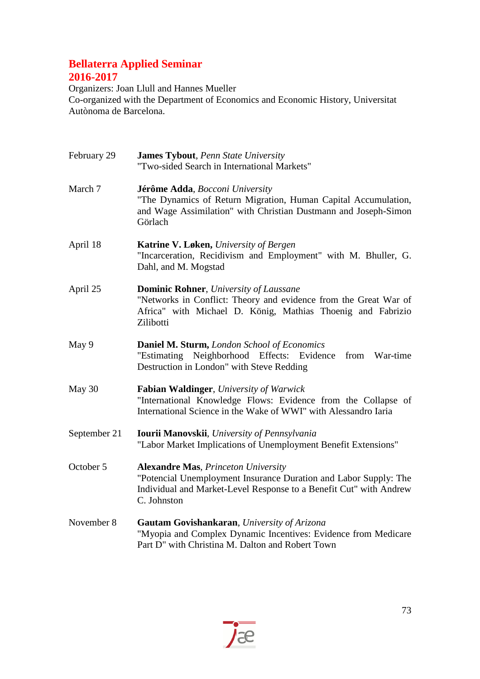## **Bellaterra Applied Seminar 2016-2017**

Organizers: Joan Llull and Hannes Mueller Co-organized with the Department of Economics and Economic History, Universitat Autònoma de Barcelona.

| February 29  | <b>James Tybout, Penn State University</b><br>"Two-sided Search in International Markets"                                                                                                           |
|--------------|-----------------------------------------------------------------------------------------------------------------------------------------------------------------------------------------------------|
| March 7      | Jérôme Adda, Bocconi University<br>"The Dynamics of Return Migration, Human Capital Accumulation,<br>and Wage Assimilation" with Christian Dustmann and Joseph-Simon<br>Görlach                     |
| April 18     | Katrine V. Løken, University of Bergen<br>"Incarceration, Recidivism and Employment" with M. Bhuller, G.<br>Dahl, and M. Mogstad                                                                    |
| April 25     | <b>Dominic Rohner</b> , University of Laussane<br>"Networks in Conflict: Theory and evidence from the Great War of<br>Africa" with Michael D. König, Mathias Thoenig and Fabrizio<br>Zilibotti      |
| May 9        | Daniel M. Sturm, London School of Economics<br>Neighborhood Effects: Evidence<br>"Estimating<br>from<br>War-time<br>Destruction in London" with Steve Redding                                       |
| May 30       | <b>Fabian Waldinger, University of Warwick</b><br>"International Knowledge Flows: Evidence from the Collapse of<br>International Science in the Wake of WWI" with Alessandro Iaria                  |
| September 21 | <b>Iourii Manovskii</b> , University of Pennsylvania<br>"Labor Market Implications of Unemployment Benefit Extensions"                                                                              |
| October 5    | <b>Alexandre Mas, Princeton University</b><br>"Potencial Unemployment Insurance Duration and Labor Supply: The<br>Individual and Market-Level Response to a Benefit Cut" with Andrew<br>C. Johnston |
| November 8   | Gautam Govishankaran, University of Arizona<br>"Myopia and Complex Dynamic Incentives: Evidence from Medicare<br>Part D" with Christina M. Dalton and Robert Town                                   |

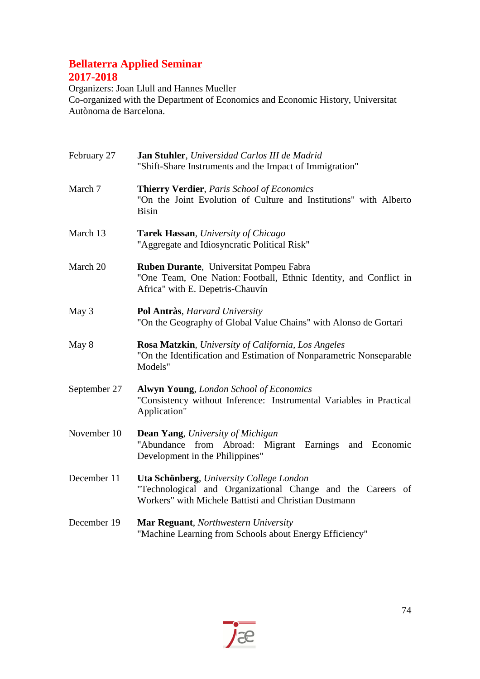## **Bellaterra Applied Seminar 2017-2018**

Organizers: Joan Llull and Hannes Mueller Co-organized with the Department of Economics and Economic History, Universitat Autònoma de Barcelona.

| February 27  | Jan Stuhler, Universidad Carlos III de Madrid<br>"Shift-Share Instruments and the Impact of Immigration"                                                         |
|--------------|------------------------------------------------------------------------------------------------------------------------------------------------------------------|
| March 7      | Thierry Verdier, Paris School of Economics<br>"On the Joint Evolution of Culture and Institutions" with Alberto<br><b>Bisin</b>                                  |
| March 13     | <b>Tarek Hassan</b> , University of Chicago<br>"Aggregate and Idiosyncratic Political Risk"                                                                      |
| March 20     | Ruben Durante, Universitat Pompeu Fabra<br>"One Team, One Nation: Football, Ethnic Identity, and Conflict in<br>Africa" with E. Depetris-Chauvín                 |
| May 3        | <b>Pol Antràs, Harvard University</b><br>"On the Geography of Global Value Chains" with Alonso de Gortari                                                        |
| May 8        | Rosa Matzkin, University of California, Los Angeles<br>"On the Identification and Estimation of Nonparametric Nonseparable<br>Models"                            |
| September 27 | <b>Alwyn Young, London School of Economics</b><br>"Consistency without Inference: Instrumental Variables in Practical<br>Application"                            |
| November 10  | <b>Dean Yang, University of Michigan</b><br>"Abundance from Abroad: Migrant Earnings and Economic<br>Development in the Philippines"                             |
| December 11  | Uta Schönberg, University College London<br>"Technological and Organizational Change and the Careers of<br>Workers" with Michele Battisti and Christian Dustmann |
| December 19  | Mar Reguant, Northwestern University<br>"Machine Learning from Schools about Energy Efficiency"                                                                  |

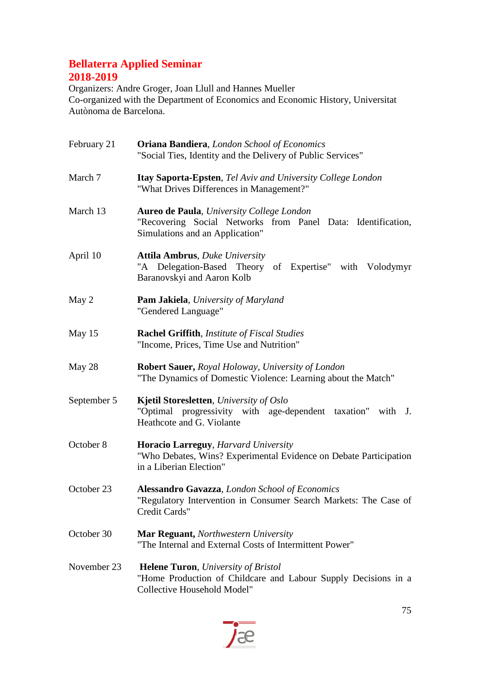## **Bellaterra Applied Seminar 2018-2019**

Organizers: Andre Groger, Joan Llull and Hannes Mueller Co-organized with the Department of Economics and Economic History, Universitat Autònoma de Barcelona.

| February 21 | <b>Oriana Bandiera, London School of Economics</b><br>"Social Ties, Identity and the Delivery of Public Services"                                    |
|-------------|------------------------------------------------------------------------------------------------------------------------------------------------------|
| March 7     | <b>Itay Saporta-Epsten, Tel Aviv and University College London</b><br>"What Drives Differences in Management?"                                       |
| March 13    | <b>Aureo de Paula</b> , University College London<br>"Recovering Social Networks from Panel Data: Identification,<br>Simulations and an Application" |
| April 10    | <b>Attila Ambrus</b> , Duke University<br>"A Delegation-Based Theory of Expertise" with Volodymyr<br>Baranovskyi and Aaron Kolb                      |
| May 2       | <b>Pam Jakiela, University of Maryland</b><br>"Gendered Language"                                                                                    |
| May 15      | <b>Rachel Griffith, Institute of Fiscal Studies</b><br>"Income, Prices, Time Use and Nutrition"                                                      |
| May 28      | <b>Robert Sauer, Royal Holoway, University of London</b><br>"The Dynamics of Domestic Violence: Learning about the Match"                            |
| September 5 | <b>Kjetil Storesletten</b> , University of Oslo<br>"Optimal progressivity with age-dependent taxation"<br>with J.<br>Heathcote and G. Violante       |
| October 8   | Horacio Larreguy, Harvard University<br>"Who Debates, Wins? Experimental Evidence on Debate Participation<br>in a Liberian Election"                 |
| October 23  | Alessandro Gavazza, London School of Economics<br>"Regulatory Intervention in Consumer Search Markets: The Case of<br>Credit Cards"                  |
| October 30  | <b>Mar Reguant, Northwestern University</b><br>"The Internal and External Costs of Intermittent Power"                                               |
| November 23 | <b>Helene Turon</b> , University of Bristol<br>"Home Production of Childcare and Labour Supply Decisions in a<br>Collective Household Model"         |

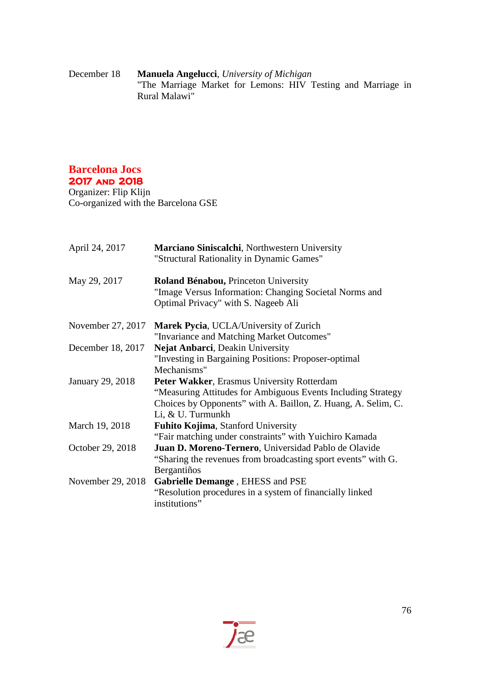#### December 18 **Manuela Angelucci**, *University of Michigan* "The Marriage Market for Lemons: HIV Testing and Marriage in Rural Malawi"

### **Barcelona Jocs** 2017 and 2018

Organizer: Flip Klijn Co-organized with the Barcelona GSE

| April 24, 2017    | Marciano Siniscalchi, Northwestern University<br>"Structural Rationality in Dynamic Games"                                                                                                       |
|-------------------|--------------------------------------------------------------------------------------------------------------------------------------------------------------------------------------------------|
| May 29, 2017      | Roland Bénabou, Princeton University<br>"Image Versus Information: Changing Societal Norms and<br>Optimal Privacy" with S. Nageeb Ali                                                            |
| November 27, 2017 | Marek Pycia, UCLA/University of Zurich<br>"Invariance and Matching Market Outcomes"                                                                                                              |
| December 18, 2017 | Nejat Anbarci, Deakin University<br>"Investing in Bargaining Positions: Proposer-optimal<br>Mechanisms"                                                                                          |
| January 29, 2018  | Peter Wakker, Erasmus University Rotterdam<br>"Measuring Attitudes for Ambiguous Events Including Strategy<br>Choices by Opponents" with A. Baillon, Z. Huang, A. Selim, C.<br>Li, & U. Turmunkh |
| March 19, 2018    | Fuhito Kojima, Stanford University<br>"Fair matching under constraints" with Yuichiro Kamada                                                                                                     |
| October 29, 2018  | Juan D. Moreno-Ternero, Universidad Pablo de Olavide<br>"Sharing the revenues from broadcasting sport events" with G.<br>Bergantiños                                                             |
| November 29, 2018 | Gabrielle Demange, EHESS and PSE<br>"Resolution procedures in a system of financially linked<br>institutions"                                                                                    |

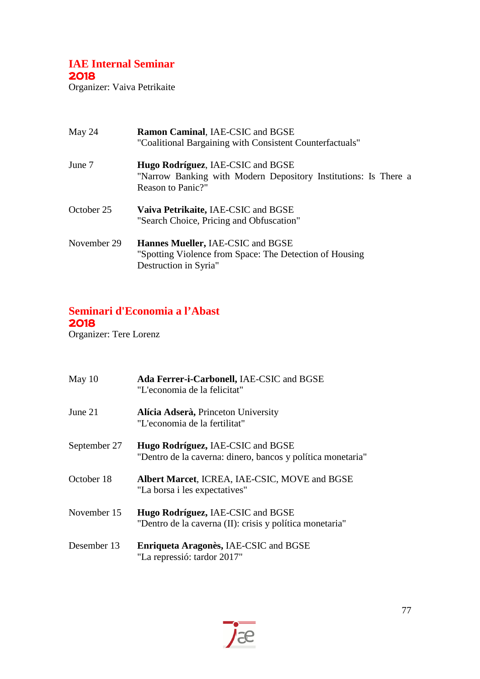## **IAE Internal Seminar** 2018

Organizer: Vaiva Petrikaite

| May $24$    | <b>Ramon Caminal, IAE-CSIC and BGSE</b><br>"Coalitional Bargaining with Consistent Counterfactuals"                       |
|-------------|---------------------------------------------------------------------------------------------------------------------------|
| June 7      | Hugo Rodríguez, IAE-CSIC and BGSE<br>"Narrow Banking with Modern Depository Institutions: Is There a<br>Reason to Panic?" |
| October 25  | Vaiva Petrikaite, IAE-CSIC and BGSE<br>"Search Choice, Pricing and Obfuscation"                                           |
| November 29 | Hannes Mueller, IAE-CSIC and BGSE<br>"Spotting Violence from Space: The Detection of Housing<br>Destruction in Syria"     |

# **Seminari d'Economia a l'Abast** 2018

Organizer: Tere Lorenz

| May 10       | Ada Ferrer-i-Carbonell, IAE-CSIC and BGSE<br>"L'economia de la felicitat"                        |
|--------------|--------------------------------------------------------------------------------------------------|
| June 21      | Alícia Adserà, Princeton University<br>"L'economia de la fertilitat"                             |
| September 27 | Hugo Rodríguez, IAE-CSIC and BGSE<br>"Dentro de la caverna: dinero, bancos y política monetaria" |
| October 18   | Albert Marcet, ICREA, IAE-CSIC, MOVE and BGSE<br>"La borsa i les expectatives"                   |
| November 15  | Hugo Rodríguez, IAE-CSIC and BGSE<br>"Dentro de la caverna (II): crisis y política monetaria"    |
| Desember 13  | Enriqueta Aragonès, IAE-CSIC and BGSE<br>"La repressió: tardor 2017"                             |